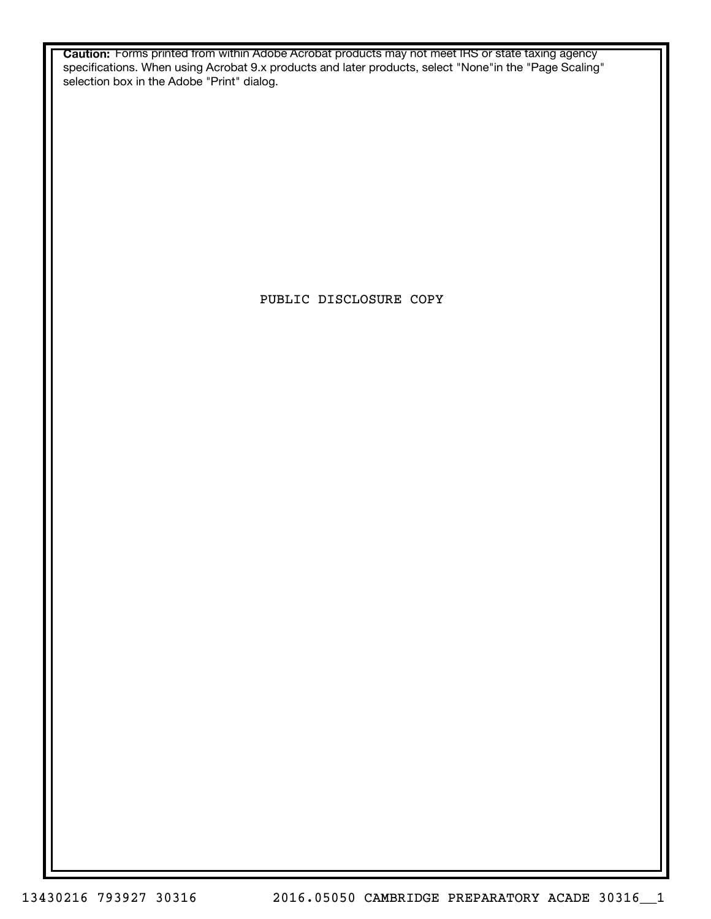**Caution:** Forms printed from within Adobe Acrobat products may not meet IRS or state taxing agency specifications. When using Acrobat 9.x products and later products, select "None"in the "Page Scaling" selection box in the Adobe "Print" dialog.

PUBLIC DISCLOSURE COPY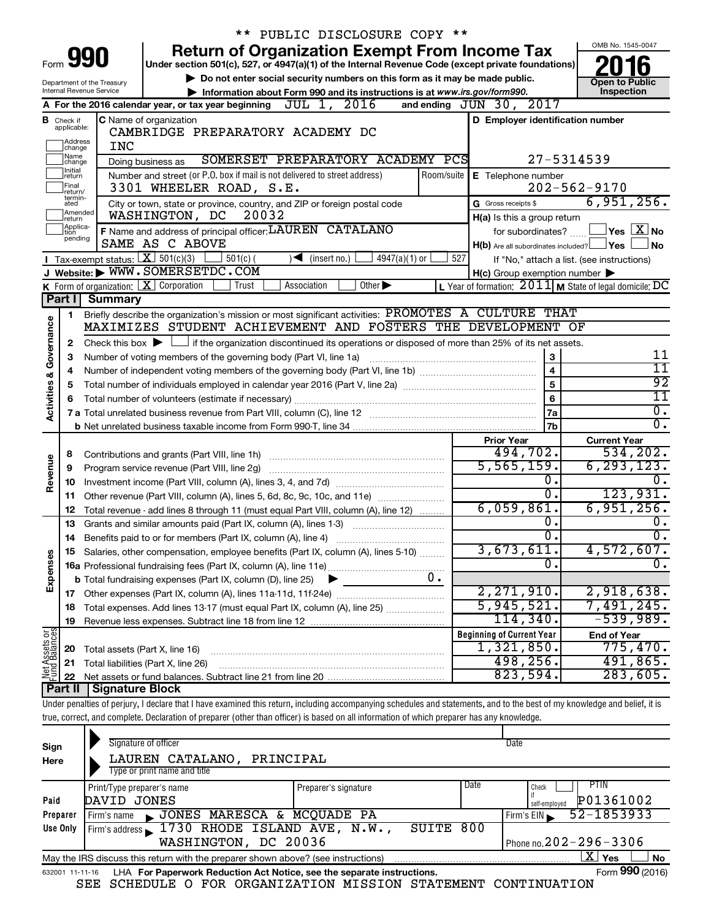|                                                                                                                   |                               |                                         | ** PUBLIC DISCLOSURE COPY **                                                                                                                                               |                                                                                                                               |                                            |  |
|-------------------------------------------------------------------------------------------------------------------|-------------------------------|-----------------------------------------|----------------------------------------------------------------------------------------------------------------------------------------------------------------------------|-------------------------------------------------------------------------------------------------------------------------------|--------------------------------------------|--|
|                                                                                                                   |                               |                                         | <b>Return of Organization Exempt From Income Tax</b>                                                                                                                       |                                                                                                                               | OMB No. 1545-0047                          |  |
| 990<br>Form<br>Under section 501(c), 527, or 4947(a)(1) of the Internal Revenue Code (except private foundations) |                               |                                         |                                                                                                                                                                            |                                                                                                                               |                                            |  |
| Department of the Treasury                                                                                        |                               |                                         | Do not enter social security numbers on this form as it may be made public.                                                                                                |                                                                                                                               | <b>Open to Public</b>                      |  |
|                                                                                                                   |                               | Internal Revenue Service                | Information about Form 990 and its instructions is at www.irs.gov/form990.                                                                                                 |                                                                                                                               | Inspection                                 |  |
|                                                                                                                   |                               |                                         | A For the 2016 calendar year, or tax year beginning $J\overline{UL} 1$ , $2016$                                                                                            | and ending JUN 30, 2017                                                                                                       |                                            |  |
|                                                                                                                   | <b>B</b> Check if applicable: |                                         | C Name of organization                                                                                                                                                     | D Employer identification number                                                                                              |                                            |  |
|                                                                                                                   |                               |                                         | CAMBRIDGE PREPARATORY ACADEMY DC                                                                                                                                           |                                                                                                                               |                                            |  |
|                                                                                                                   | ]Address<br>]change           | <b>INC</b>                              |                                                                                                                                                                            |                                                                                                                               |                                            |  |
|                                                                                                                   | Name<br> change<br>Initial    |                                         | SOMERSET PREPARATORY ACADEMY PCS<br>Doing business as                                                                                                                      |                                                                                                                               | 27-5314539                                 |  |
|                                                                                                                   | return                        |                                         | Number and street (or P.O. box if mail is not delivered to street address)                                                                                                 | Room/suite   E Telephone number                                                                                               |                                            |  |
|                                                                                                                   | Final<br>return/<br>termin-   |                                         | 3301 WHEELER ROAD, S.E.                                                                                                                                                    |                                                                                                                               | $202 - 562 - 9170$                         |  |
|                                                                                                                   | ated<br>Amended               |                                         | City or town, state or province, country, and ZIP or foreign postal code                                                                                                   | G Gross receipts \$                                                                                                           | 6,951,256.                                 |  |
|                                                                                                                   | return                        |                                         | 20032<br>WASHINGTON, DC                                                                                                                                                    | H(a) Is this a group return                                                                                                   |                                            |  |
|                                                                                                                   | Applica-<br>Ition<br>pending  |                                         | F Name and address of principal officer: LAUREN CATALANO<br>SAME AS C ABOVE                                                                                                | for subordinates?                                                                                                             | $\Box$ Yes $\Box$ X $\Box$ No              |  |
|                                                                                                                   |                               | Tax-exempt status: $X \over 301(c)(3)$  |                                                                                                                                                                            | $H(b)$ Are all subordinates included? $\Box$ Yes                                                                              | ∣ No                                       |  |
|                                                                                                                   |                               |                                         | $501(c)$ (<br>4947(a)(1) or<br>$\sqrt{\frac{1}{1}}$ (insert no.)<br>J Website: WWW.SOMERSETDC.COM                                                                          | 527                                                                                                                           | If "No," attach a list. (see instructions) |  |
|                                                                                                                   |                               | K Form of organization:   X Corporation | Association<br>Other $\blacktriangleright$<br>Trust                                                                                                                        | $H(c)$ Group exemption number $\blacktriangleright$<br>L Year of formation: $2011$ M State of legal domicile: $\overline{DC}$ |                                            |  |
|                                                                                                                   | Part I                        | <b>Summary</b>                          |                                                                                                                                                                            |                                                                                                                               |                                            |  |
|                                                                                                                   |                               |                                         | Briefly describe the organization's mission or most significant activities: PROMOTES A CULTURE THAT                                                                        |                                                                                                                               |                                            |  |
| Governance                                                                                                        | 1.                            |                                         | MAXIMIZES STUDENT ACHIEVEMENT AND FOSTERS THE DEVELOPMENT OF                                                                                                               |                                                                                                                               |                                            |  |
|                                                                                                                   | 2                             |                                         | Check this box $\blacktriangleright$ $\Box$ if the organization discontinued its operations or disposed of more than 25% of its net assets.                                |                                                                                                                               |                                            |  |
|                                                                                                                   | 3                             |                                         | Number of voting members of the governing body (Part VI, line 1a)                                                                                                          | 3                                                                                                                             | <u> 11</u>                                 |  |
|                                                                                                                   | 4                             |                                         |                                                                                                                                                                            | 4                                                                                                                             | $\overline{11}$                            |  |
|                                                                                                                   | 5                             |                                         | 5                                                                                                                                                                          |                                                                                                                               |                                            |  |
| <b>Activities &amp;</b>                                                                                           | 6                             |                                         |                                                                                                                                                                            | $\bf 6$                                                                                                                       | $\overline{92}$<br>$\overline{11}$         |  |
|                                                                                                                   |                               |                                         |                                                                                                                                                                            | 7a                                                                                                                            | $\overline{0}$ .                           |  |
|                                                                                                                   |                               |                                         |                                                                                                                                                                            | 7b                                                                                                                            | $\overline{0}$ .                           |  |
|                                                                                                                   |                               |                                         |                                                                                                                                                                            | <b>Prior Year</b>                                                                                                             | <b>Current Year</b>                        |  |
|                                                                                                                   | 8                             |                                         | Contributions and grants (Part VIII, line 1h)                                                                                                                              | 494,702.                                                                                                                      | 534, 202.                                  |  |
|                                                                                                                   | 9                             |                                         | Program service revenue (Part VIII, line 2g)                                                                                                                               | 5,565,159.                                                                                                                    | 6, 293, 123.                               |  |
| Revenue                                                                                                           | 10                            |                                         |                                                                                                                                                                            | о.                                                                                                                            |                                            |  |
|                                                                                                                   | 11                            |                                         | Other revenue (Part VIII, column (A), lines 5, 6d, 8c, 9c, 10c, and 11e)                                                                                                   | σ.                                                                                                                            | 123,931.                                   |  |
|                                                                                                                   | 12                            |                                         | Total revenue - add lines 8 through 11 (must equal Part VIII, column (A), line 12)                                                                                         | 6,059,861.                                                                                                                    | 6,951,256.                                 |  |
|                                                                                                                   | 13                            |                                         | Grants and similar amounts paid (Part IX, column (A), lines 1-3)                                                                                                           | о.                                                                                                                            | υ.                                         |  |
|                                                                                                                   |                               |                                         |                                                                                                                                                                            | σ.                                                                                                                            | $\overline{0}$ .                           |  |
|                                                                                                                   |                               |                                         | Salaries, other compensation, employee benefits (Part IX, column (A), lines 5-10)                                                                                          | 3,673,611.                                                                                                                    | 4,572,607.                                 |  |
| Expenses                                                                                                          |                               |                                         |                                                                                                                                                                            | Ο.                                                                                                                            | $\overline{0}$ .                           |  |
|                                                                                                                   |                               |                                         | $0$ .<br><b>b</b> Total fundraising expenses (Part IX, column (D), line 25)                                                                                                |                                                                                                                               |                                            |  |
|                                                                                                                   |                               |                                         |                                                                                                                                                                            | 2,271,910.                                                                                                                    | 2,918,638.                                 |  |
|                                                                                                                   | 18                            |                                         | Total expenses. Add lines 13-17 (must equal Part IX, column (A), line 25)                                                                                                  | 5,945,521.                                                                                                                    | 7,491,245.                                 |  |
|                                                                                                                   | 19                            |                                         |                                                                                                                                                                            | 114,340.                                                                                                                      | $-539,989.$                                |  |
|                                                                                                                   |                               |                                         |                                                                                                                                                                            | <b>Beginning of Current Year</b>                                                                                              | <b>End of Year</b>                         |  |
| Net Assets or<br>Fund Balances                                                                                    | 20                            | Total assets (Part X, line 16)          |                                                                                                                                                                            | 1,321,850.                                                                                                                    | 775,470.                                   |  |
|                                                                                                                   | 21                            |                                         | Total liabilities (Part X, line 26)                                                                                                                                        | 498,256.                                                                                                                      | 491,865.                                   |  |
|                                                                                                                   | 22<br>Part II                 | <b>Signature Block</b>                  |                                                                                                                                                                            | 823,594.                                                                                                                      | 283,605.                                   |  |
|                                                                                                                   |                               |                                         | Under penalties of perjury, I declare that I have examined this return, including accompanying schedules and statements, and to the best of my knowledge and belief, it is |                                                                                                                               |                                            |  |
|                                                                                                                   |                               |                                         |                                                                                                                                                                            |                                                                                                                               |                                            |  |
|                                                                                                                   |                               |                                         | true, correct, and complete. Declaration of preparer (other than officer) is based on all information of which preparer has any knowledge.                                 |                                                                                                                               |                                            |  |
|                                                                                                                   |                               |                                         | Signature of officer                                                                                                                                                       | Date                                                                                                                          |                                            |  |
| Sign                                                                                                              |                               |                                         |                                                                                                                                                                            |                                                                                                                               |                                            |  |

| Here     | LAUREN CATALANO,<br>PRINCIPAL                                                                                |                      |      |                              |  |  |
|----------|--------------------------------------------------------------------------------------------------------------|----------------------|------|------------------------------|--|--|
|          | Type or print name and title                                                                                 |                      |      |                              |  |  |
|          | Print/Type preparer's name                                                                                   | Preparer's signature | Date | PTIN<br>Check                |  |  |
| Paid     | DAVID JONES                                                                                                  |                      |      | P01361002<br>self-emploved   |  |  |
| Preparer | JONES MARESCA & MCQUADE PA<br>Firm's name                                                                    |                      |      | $52 - 1853933$<br>Firm's EIN |  |  |
| Use Only | Firm's address 1730 RHODE ISLAND AVE, N.W.,                                                                  | SUITE 800            |      |                              |  |  |
|          | WASHINGTON, DC 20036                                                                                         |                      |      | Phone no. $202 - 296 - 3306$ |  |  |
|          | ΧI<br>Yes<br><b>No</b><br>May the IRS discuss this return with the preparer shown above? (see instructions)  |                      |      |                              |  |  |
|          | Form 990 (2016)<br>LHA For Paperwork Reduction Act Notice, see the separate instructions.<br>632001 11-11-16 |                      |      |                              |  |  |

|  |  |  |  | SEE SCHEDULE O FOR ORGANIZATION MISSION STATEMENT CONTINUATION |  |  |  |
|--|--|--|--|----------------------------------------------------------------|--|--|--|
|--|--|--|--|----------------------------------------------------------------|--|--|--|

**990**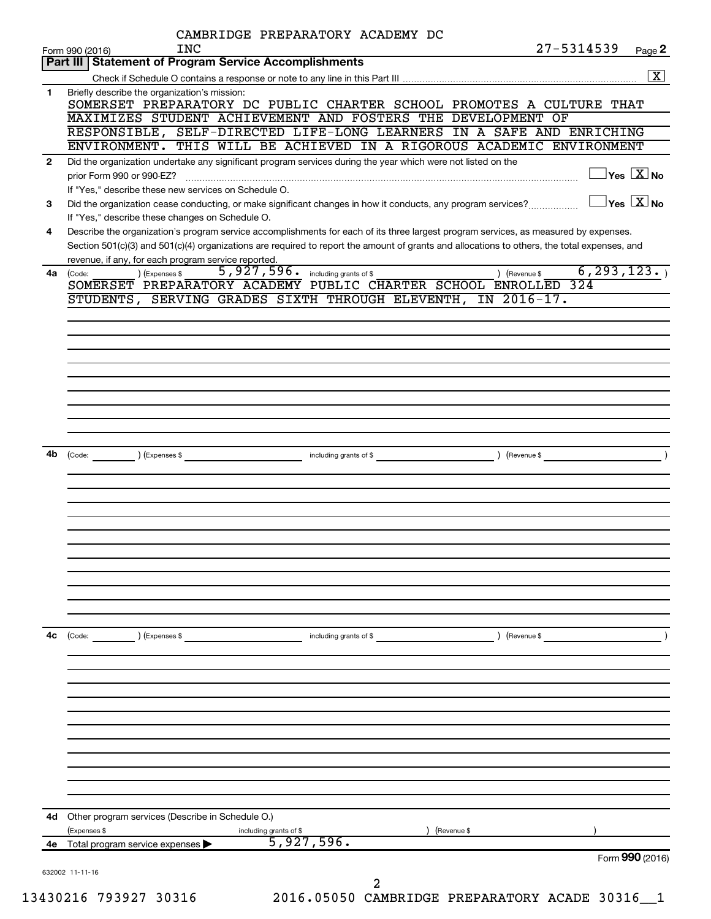|              |                                                                                                                                                                                                                                                                                                                                             | CAMBRIDGE PREPARATORY ACADEMY DC     |            |               |                                                 |                                     |
|--------------|---------------------------------------------------------------------------------------------------------------------------------------------------------------------------------------------------------------------------------------------------------------------------------------------------------------------------------------------|--------------------------------------|------------|---------------|-------------------------------------------------|-------------------------------------|
|              | <b>INC</b><br>Form 990 (2016)                                                                                                                                                                                                                                                                                                               |                                      |            |               | $27 - 5314539$                                  | Page 2                              |
|              | Part III   Statement of Program Service Accomplishments                                                                                                                                                                                                                                                                                     |                                      |            |               |                                                 |                                     |
|              |                                                                                                                                                                                                                                                                                                                                             |                                      |            |               |                                                 | $\boxed{\text{X}}$                  |
| 1            | Briefly describe the organization's mission:<br>SOMERSET PREPARATORY DC PUBLIC CHARTER SCHOOL PROMOTES A CULTURE THAT<br>MAXIMIZES STUDENT ACHIEVEMENT AND FOSTERS THE DEVELOPMENT OF<br>RESPONSIBLE, SELF-DIRECTED LIFE-LONG LEARNERS IN A SAFE AND ENRICHING<br>ENVIRONMENT. THIS WILL BE ACHIEVED IN A RIGOROUS ACADEMIC ENVIRONMENT     |                                      |            |               |                                                 |                                     |
| $\mathbf{2}$ | Did the organization undertake any significant program services during the year which were not listed on the                                                                                                                                                                                                                                |                                      |            |               |                                                 |                                     |
|              | prior Form 990 or 990-EZ?<br>If "Yes," describe these new services on Schedule O.                                                                                                                                                                                                                                                           |                                      |            |               |                                                 | $\exists$ Yes $\boxed{\text{X}}$ No |
| З            | Did the organization cease conducting, or make significant changes in how it conducts, any program services?                                                                                                                                                                                                                                |                                      |            |               | $\boxed{\phantom{1}}$ Yes $\boxed{\text{X}}$ No |                                     |
| 4            | If "Yes," describe these changes on Schedule O.                                                                                                                                                                                                                                                                                             |                                      |            |               |                                                 |                                     |
|              | Describe the organization's program service accomplishments for each of its three largest program services, as measured by expenses.<br>Section 501(c)(3) and 501(c)(4) organizations are required to report the amount of grants and allocations to others, the total expenses, and<br>revenue, if any, for each program service reported. |                                      |            |               |                                                 |                                     |
| 4a           | ) (Expenses \$<br>(Code:                                                                                                                                                                                                                                                                                                                    | 5,927,596. including grants of \$    |            | ) (Revenue \$ | 6, 293, 123.                                    |                                     |
|              | SOMERSET PREPARATORY ACADEMY PUBLIC CHARTER SCHOOL ENROLLED 324                                                                                                                                                                                                                                                                             |                                      |            |               |                                                 |                                     |
|              | STUDENTS, SERVING GRADES SIXTH THROUGH ELEVENTH, IN 2016-17.                                                                                                                                                                                                                                                                                |                                      |            |               |                                                 |                                     |
|              |                                                                                                                                                                                                                                                                                                                                             |                                      |            |               |                                                 |                                     |
|              |                                                                                                                                                                                                                                                                                                                                             |                                      |            |               |                                                 |                                     |
|              |                                                                                                                                                                                                                                                                                                                                             |                                      |            |               |                                                 |                                     |
|              |                                                                                                                                                                                                                                                                                                                                             |                                      |            |               |                                                 |                                     |
|              |                                                                                                                                                                                                                                                                                                                                             |                                      |            |               |                                                 |                                     |
|              |                                                                                                                                                                                                                                                                                                                                             |                                      |            |               |                                                 |                                     |
|              |                                                                                                                                                                                                                                                                                                                                             |                                      |            |               |                                                 |                                     |
|              |                                                                                                                                                                                                                                                                                                                                             |                                      |            |               |                                                 |                                     |
|              |                                                                                                                                                                                                                                                                                                                                             |                                      |            |               |                                                 |                                     |
|              |                                                                                                                                                                                                                                                                                                                                             |                                      |            |               |                                                 |                                     |
| 4b           |                                                                                                                                                                                                                                                                                                                                             |                                      |            |               |                                                 |                                     |
|              |                                                                                                                                                                                                                                                                                                                                             |                                      |            |               |                                                 |                                     |
|              |                                                                                                                                                                                                                                                                                                                                             |                                      |            |               |                                                 |                                     |
|              |                                                                                                                                                                                                                                                                                                                                             |                                      |            |               |                                                 |                                     |
|              |                                                                                                                                                                                                                                                                                                                                             |                                      |            |               |                                                 |                                     |
|              |                                                                                                                                                                                                                                                                                                                                             |                                      |            |               |                                                 |                                     |
|              |                                                                                                                                                                                                                                                                                                                                             |                                      |            |               |                                                 |                                     |
|              |                                                                                                                                                                                                                                                                                                                                             |                                      |            |               |                                                 |                                     |
|              |                                                                                                                                                                                                                                                                                                                                             |                                      |            |               |                                                 |                                     |
|              |                                                                                                                                                                                                                                                                                                                                             |                                      |            |               |                                                 |                                     |
|              |                                                                                                                                                                                                                                                                                                                                             |                                      |            |               |                                                 |                                     |
|              |                                                                                                                                                                                                                                                                                                                                             |                                      |            |               |                                                 |                                     |
|              |                                                                                                                                                                                                                                                                                                                                             |                                      |            |               |                                                 |                                     |
| 4c           | (Code:<br>) (Expenses \$                                                                                                                                                                                                                                                                                                                    | including grants of \$               |            | ) (Revenue \$ |                                                 |                                     |
|              |                                                                                                                                                                                                                                                                                                                                             |                                      |            |               |                                                 |                                     |
|              |                                                                                                                                                                                                                                                                                                                                             |                                      |            |               |                                                 |                                     |
|              |                                                                                                                                                                                                                                                                                                                                             |                                      |            |               |                                                 |                                     |
|              |                                                                                                                                                                                                                                                                                                                                             |                                      |            |               |                                                 |                                     |
|              |                                                                                                                                                                                                                                                                                                                                             |                                      |            |               |                                                 |                                     |
|              |                                                                                                                                                                                                                                                                                                                                             |                                      |            |               |                                                 |                                     |
|              |                                                                                                                                                                                                                                                                                                                                             |                                      |            |               |                                                 |                                     |
|              |                                                                                                                                                                                                                                                                                                                                             |                                      |            |               |                                                 |                                     |
|              |                                                                                                                                                                                                                                                                                                                                             |                                      |            |               |                                                 |                                     |
|              |                                                                                                                                                                                                                                                                                                                                             |                                      |            |               |                                                 |                                     |
|              |                                                                                                                                                                                                                                                                                                                                             |                                      |            |               |                                                 |                                     |
|              |                                                                                                                                                                                                                                                                                                                                             |                                      |            |               |                                                 |                                     |
|              |                                                                                                                                                                                                                                                                                                                                             |                                      |            |               |                                                 |                                     |
| 4d           | Other program services (Describe in Schedule O.)                                                                                                                                                                                                                                                                                            |                                      |            |               |                                                 |                                     |
|              | (Expenses \$                                                                                                                                                                                                                                                                                                                                | including grants of \$<br>5,927,596. | Revenue \$ |               |                                                 |                                     |
| 4е           | Total program service expenses                                                                                                                                                                                                                                                                                                              |                                      |            |               |                                                 | Form 990 (2016)                     |
|              |                                                                                                                                                                                                                                                                                                                                             |                                      |            |               |                                                 |                                     |
|              | 632002 11-11-16                                                                                                                                                                                                                                                                                                                             | 2                                    |            |               |                                                 |                                     |
|              |                                                                                                                                                                                                                                                                                                                                             |                                      |            |               |                                                 |                                     |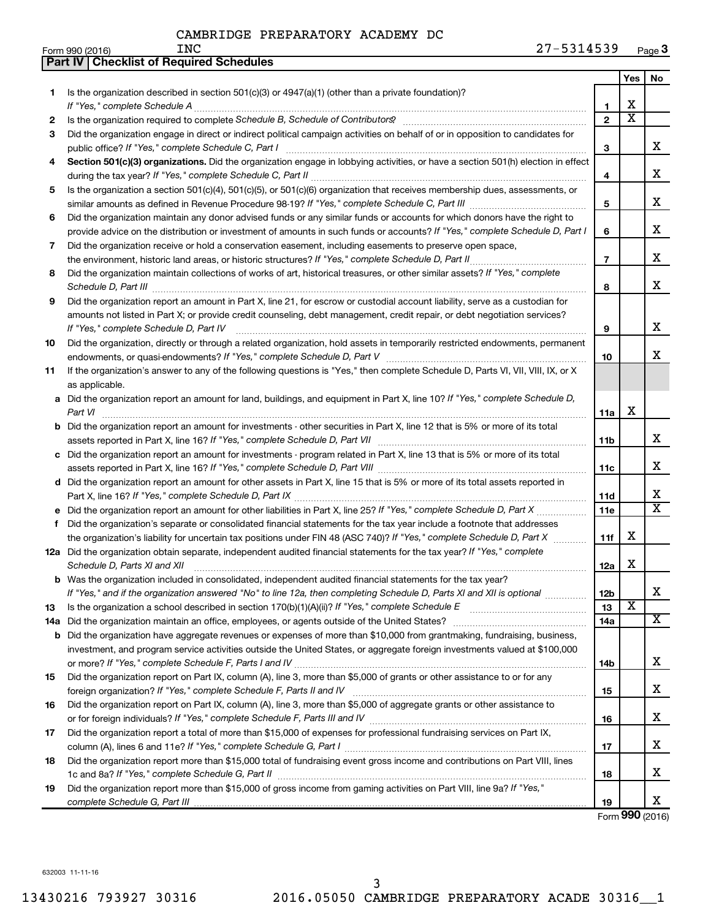|     | <b>Part IV   Checklist of Required Schedules</b>                                                                                                                                                                                    |                         |                       |                         |
|-----|-------------------------------------------------------------------------------------------------------------------------------------------------------------------------------------------------------------------------------------|-------------------------|-----------------------|-------------------------|
|     |                                                                                                                                                                                                                                     |                         | <b>Yes</b>            | No.                     |
| 1   | Is the organization described in section $501(c)(3)$ or $4947(a)(1)$ (other than a private foundation)?                                                                                                                             |                         |                       |                         |
|     |                                                                                                                                                                                                                                     | 1                       | х                     |                         |
| 2   |                                                                                                                                                                                                                                     | $\overline{\mathbf{c}}$ | $\overline{\text{x}}$ |                         |
| З   | Did the organization engage in direct or indirect political campaign activities on behalf of or in opposition to candidates for                                                                                                     |                         |                       |                         |
|     |                                                                                                                                                                                                                                     | 3                       |                       | x                       |
| 4   | Section 501(c)(3) organizations. Did the organization engage in lobbying activities, or have a section 501(h) election in effect                                                                                                    |                         |                       |                         |
|     |                                                                                                                                                                                                                                     | 4                       |                       | x                       |
| 5   | Is the organization a section 501(c)(4), 501(c)(5), or 501(c)(6) organization that receives membership dues, assessments, or                                                                                                        |                         |                       |                         |
|     |                                                                                                                                                                                                                                     | 5                       |                       | x                       |
| 6   | Did the organization maintain any donor advised funds or any similar funds or accounts for which donors have the right to                                                                                                           |                         |                       |                         |
|     | provide advice on the distribution or investment of amounts in such funds or accounts? If "Yes," complete Schedule D, Part I                                                                                                        | 6                       |                       | х                       |
| 7   | Did the organization receive or hold a conservation easement, including easements to preserve open space,                                                                                                                           |                         |                       |                         |
|     |                                                                                                                                                                                                                                     | $\overline{7}$          |                       | х                       |
| 8   | Did the organization maintain collections of works of art, historical treasures, or other similar assets? If "Yes," complete                                                                                                        |                         |                       |                         |
|     | Schedule D, Part III <b>Marting Community</b> Contract of the Community Contract of the Community Contract of the Community Contract of the Community Contract of the Community Contract of the Contract of the Contract of the Con | 8                       |                       | x                       |
| 9   | Did the organization report an amount in Part X, line 21, for escrow or custodial account liability, serve as a custodian for                                                                                                       |                         |                       |                         |
|     | amounts not listed in Part X; or provide credit counseling, debt management, credit repair, or debt negotiation services?                                                                                                           |                         |                       |                         |
|     |                                                                                                                                                                                                                                     | 9                       |                       | x                       |
| 10  | Did the organization, directly or through a related organization, hold assets in temporarily restricted endowments, permanent                                                                                                       |                         |                       |                         |
|     |                                                                                                                                                                                                                                     | 10                      |                       | x                       |
| 11  | If the organization's answer to any of the following questions is "Yes," then complete Schedule D, Parts VI, VII, VIII, IX, or X                                                                                                    |                         |                       |                         |
|     | as applicable.                                                                                                                                                                                                                      |                         |                       |                         |
|     | a Did the organization report an amount for land, buildings, and equipment in Part X, line 10? If "Yes," complete Schedule D,                                                                                                       |                         |                       |                         |
|     | Part VI                                                                                                                                                                                                                             | 11a                     | X                     |                         |
|     | <b>b</b> Did the organization report an amount for investments - other securities in Part X, line 12 that is 5% or more of its total                                                                                                |                         |                       |                         |
|     |                                                                                                                                                                                                                                     | 11 <sub>b</sub>         |                       | x                       |
|     | c Did the organization report an amount for investments - program related in Part X, line 13 that is 5% or more of its total                                                                                                        |                         |                       |                         |
|     |                                                                                                                                                                                                                                     | 11c                     |                       | х                       |
|     | d Did the organization report an amount for other assets in Part X, line 15 that is 5% or more of its total assets reported in                                                                                                      |                         |                       |                         |
|     |                                                                                                                                                                                                                                     | 11d                     |                       | x                       |
|     |                                                                                                                                                                                                                                     | 11e                     |                       | $\overline{\mathtt{x}}$ |
| f   | Did the organization's separate or consolidated financial statements for the tax year include a footnote that addresses                                                                                                             |                         |                       |                         |
|     | the organization's liability for uncertain tax positions under FIN 48 (ASC 740)? If "Yes," complete Schedule D, Part X                                                                                                              | 11f                     | х                     |                         |
|     | 12a Did the organization obtain separate, independent audited financial statements for the tax year? If "Yes," complete                                                                                                             |                         |                       |                         |
|     | Schedule D, Parts XI and XII                                                                                                                                                                                                        | 12a                     | х                     |                         |
|     | <b>b</b> Was the organization included in consolidated, independent audited financial statements for the tax year?                                                                                                                  |                         |                       |                         |
|     | If "Yes," and if the organization answered "No" to line 12a, then completing Schedule D, Parts XI and XII is optional <i></i>                                                                                                       | 12b                     |                       | x                       |
| 13  |                                                                                                                                                                                                                                     | 13                      | X                     |                         |
| 14a |                                                                                                                                                                                                                                     | 14a                     |                       | $\overline{\mathbf{X}}$ |
|     | <b>b</b> Did the organization have aggregate revenues or expenses of more than \$10,000 from grantmaking, fundraising, business,                                                                                                    |                         |                       |                         |
|     | investment, and program service activities outside the United States, or aggregate foreign investments valued at \$100,000                                                                                                          |                         |                       |                         |
|     |                                                                                                                                                                                                                                     | 14b                     |                       | х                       |
| 15  | Did the organization report on Part IX, column (A), line 3, more than \$5,000 of grants or other assistance to or for any                                                                                                           |                         |                       |                         |
|     |                                                                                                                                                                                                                                     | 15                      |                       | х                       |
| 16  | Did the organization report on Part IX, column (A), line 3, more than \$5,000 of aggregate grants or other assistance to                                                                                                            |                         |                       |                         |
|     |                                                                                                                                                                                                                                     | 16                      |                       | x                       |
| 17  | Did the organization report a total of more than \$15,000 of expenses for professional fundraising services on Part IX,                                                                                                             |                         |                       |                         |
|     |                                                                                                                                                                                                                                     | 17                      |                       | x                       |
| 18  | Did the organization report more than \$15,000 total of fundraising event gross income and contributions on Part VIII. lines                                                                                                        |                         |                       |                         |
|     |                                                                                                                                                                                                                                     | 18                      |                       | х                       |
| 19  | Did the organization report more than \$15,000 of gross income from gaming activities on Part VIII, line 9a? If "Yes,"                                                                                                              |                         |                       |                         |
|     |                                                                                                                                                                                                                                     | 19                      |                       | x                       |

Form (2016) **990**

632003 11-11-16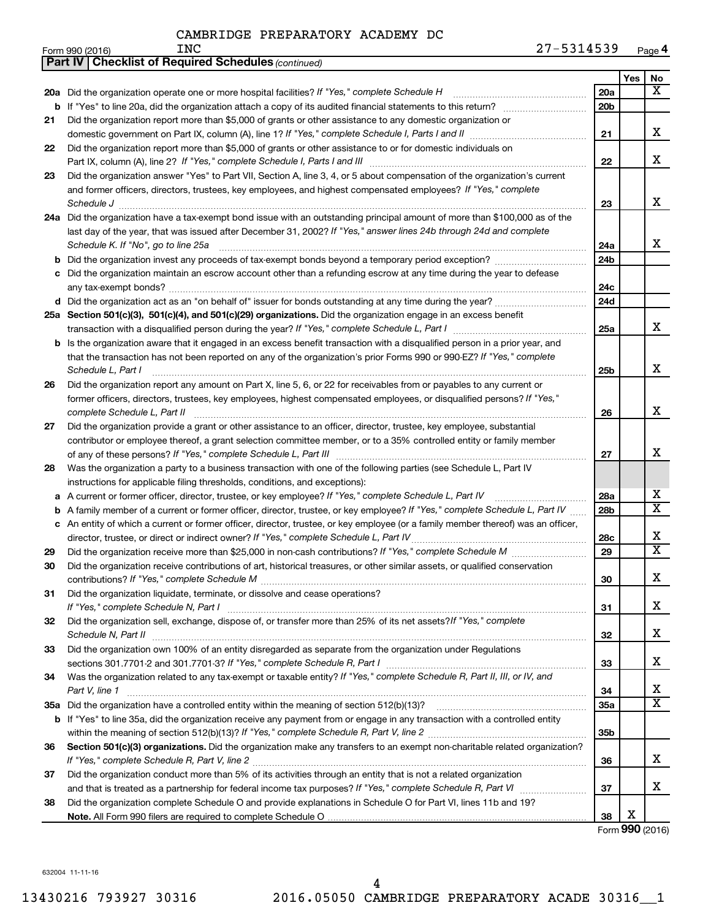|    | <b>INC</b>                                                                                                                  | 27-5314539      |            |        |
|----|-----------------------------------------------------------------------------------------------------------------------------|-----------------|------------|--------|
|    | Form 990 (2016)<br><b>Part IV   Checklist of Required Schedules (continued)</b>                                             |                 |            | Page 4 |
|    |                                                                                                                             |                 | <b>Yes</b> | No     |
|    | 20a Did the organization operate one or more hospital facilities? If "Yes," complete Schedule H                             | 20a             |            | X      |
|    |                                                                                                                             | 20 <sub>b</sub> |            |        |
| 21 | Did the organization report more than \$5,000 of grants or other assistance to any domestic organization or                 |                 |            |        |
|    | domestic government on Part IX, column (A), line 1? If "Yes," complete Schedule I, Parts I and II manufactured with the set | 21              |            | x      |
| 22 | Did the organization report more than \$5,000 of grants or other assistance to or for domestic individuals on               |                 |            |        |
|    |                                                                                                                             | 22              |            | х      |
| 23 | Did the organization answer "Yes" to Part VII, Section A, line 3, 4, or 5 about compensation of the organization's current  |                 |            |        |
|    | and former officers, directors, trustees, key employees, and highest compensated employees? If "Yes," complete              |                 |            |        |
|    | Schedule J                                                                                                                  | 23              |            | х      |
|    | 24a Did the organization have a tax-exempt bond issue with an outstanding principal amount of more than \$100,000 as of the |                 |            |        |
|    | last day of the year, that was issued after December 31, 2002? If "Yes," answer lines 24b through 24d and complete          |                 |            |        |
|    | Schedule K. If "No", go to line 25a                                                                                         | 24a             |            | х      |
|    | <b>b</b> Did the organization invest any proceeds of tax-exempt bonds beyond a temporary period exception?                  | 24 <sub>b</sub> |            |        |
| C  | Did the organization maintain an escrow account other than a refunding escrow at any time during the year to defease        |                 |            |        |
|    |                                                                                                                             | 24 <sub>c</sub> |            |        |
|    | d Did the organization act as an "on behalf of" issuer for bonds outstanding at any time during the year?                   | 24d             |            |        |
|    | 25a Section 501(c)(3), 501(c)(4), and 501(c)(29) organizations. Did the organization engage in an excess benefit            |                 |            |        |

| transaction with a disqualified person during the year? If "Yes," complete Schedule L, Part I                                       |
|-------------------------------------------------------------------------------------------------------------------------------------|
| <b>b</b> Is the organization aware that it engaged in an excess benefit transaction with a disqualified person in a prior year, and |
| that the transaction has not been reported on any of the organization's prior Forms 990 or 990-EZ? If "Yes," complete               |
| Schedule L, Part I                                                                                                                  |
|                                                                                                                                     |

| 26 | Did the organization report any amount on Part X, line 5, 6, or 22 for receivables from or payables to any current or  |
|----|------------------------------------------------------------------------------------------------------------------------|
|    | former officers, directors, trustees, key employees, highest compensated employees, or disqualified persons? If "Yes," |
|    | complete Schedule L. Part II                                                                                           |
| 27 | Did the organization provide a grant or other assistance to an officer, director, trustee, key employee, substantial   |

| Let Did the organization provide a grant or other accidence to an omeon, ancoter, tracted, hey employee, cabetantial |
|----------------------------------------------------------------------------------------------------------------------|
| contributor or employee thereof, a grant selection committee member, or to a 35% controlled entity or family member  |
| of any of these persons? If "Yes," complete Schedule L, Part III                                                     |

| 28 Was the organization a party to a business transaction with one of the following parties (see Schedule L, Part IV |
|----------------------------------------------------------------------------------------------------------------------|
| instructions for applicable filing thresholds, conditions, and exceptions):                                          |

| a A current or former officer, director, trustee, or key employee? If "Yes," complete Schedule L, Part IV                           |
|-------------------------------------------------------------------------------------------------------------------------------------|
| <b>b</b> A family member of a current or former officer, director, trustee, or key employee? If "Yes," complete Schedule L, Part IV |
| c An entity of which a current or former officer, director, trustee, or key employee (or a family member thereof) was an officer,   |
| director, trustee, or direct or indirect owner? If "Yes," complete Schedule L, Part IV                                              |

| 29  | Did the organization receive more than \$25,000 in non-cash contributions? If "Yes," complete Schedule M                    |
|-----|-----------------------------------------------------------------------------------------------------------------------------|
| 30  | Did the organization receive contributions of art, historical treasures, or other similar assets, or qualified conservation |
|     |                                                                                                                             |
| -31 | Did the organization liquidate, terminate, or dissolve and cease operations?                                                |
|     |                                                                                                                             |
| 32  | Did the organization sell, exchange, dispose of, or transfer more than 25% of its net assets? If "Yes," complete            |
|     | Schedule N, Part II                                                                                                         |
| 33  | Did the organization own 100% of an entity disregarded as separate from the organization under Regulations                  |
|     | sections 301.7701-2 and 301.7701-3? If "Yes," complete Schedule R, Part I                                                   |
|     |                                                                                                                             |

**34** Was the organization related to any tax-exempt or taxable entity? If "Yes," complete Schedule R, Part II, III, or IV, and *Part V, line 1* ~~~~~~~~~~~~~~~~~~~~~~~~~~~~~~~~~~~~~~~~~~~~~~~~~~~~~~~

| 00. Capitan E04(a)(0) annostrational Diddha annostration matre any thorofonete an assumption abouttable nelated annostration(0)    |
|------------------------------------------------------------------------------------------------------------------------------------|
| within the meaning of section 512(b)(13)? If "Yes," complete Schedule R, Part V, line 2                                            |
| <b>b</b> If "Yes" to line 35a, did the organization receive any payment from or engage in any transaction with a controlled entity |
| 35a Did the organization have a controlled entity within the meaning of section 512(b)(13)?                                        |

**36** Section 501(c)(3) organizations. Did the organization make any transfers to an exempt non-charitable related organization? *If "Yes," complete Schedule R, Part V, line 2* ~~~~~~~~~~~~~~~~~~~~~~~~~~~~~~~~~~~~~~~~

| Did the organization conduct more than 5% of its activities through an entity that is not a related organization |
|------------------------------------------------------------------------------------------------------------------|
| and that is treated as a partnership for federal income tax purposes? If "Yes," complete Schedule R, Part VI     |
| Did the examination complete Cabodule Q and provide evalenctions in Cabodule Q for Dert VI, lines 11h and 102    |

**38 Note.**  All Form 990 filers are required to complete Schedule O Did the organization complete Schedule O and provide explanations in Schedule O for Part VI, lines 11b and 19?

Form (2016) **990** X

**25a**

X

X

X

X

X  $\overline{\text{x}}$ 

X  $\overline{\mathtt{x}}$ 

X

X

X

X

X  $\overline{\mathtt{x}}$ 

X

X

**25b**

**26**

**27**

**28a 28b**

~~

**28c 29**

**30**

**31**

**32**

**33**

**34 35a**

**35b**

**36**

**37**

**38**

632004 11-11-16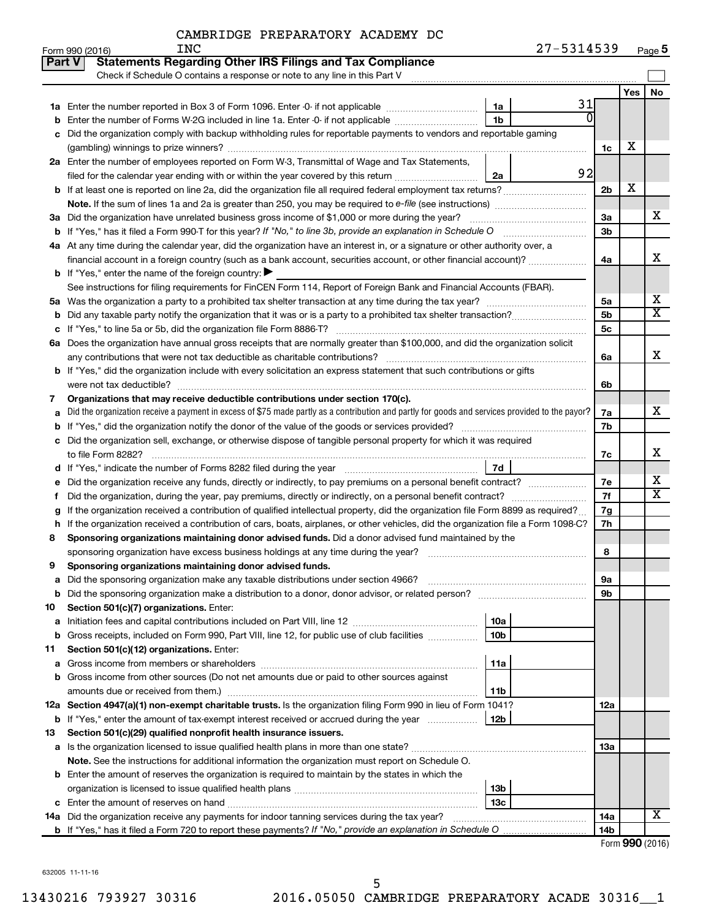|               | 27-5314539<br><b>INC</b><br>Form 990 (2016)                                                                                                     |                |     | Page 5                  |
|---------------|-------------------------------------------------------------------------------------------------------------------------------------------------|----------------|-----|-------------------------|
| <b>Part V</b> | <b>Statements Regarding Other IRS Filings and Tax Compliance</b>                                                                                |                |     |                         |
|               | Check if Schedule O contains a response or note to any line in this Part V                                                                      |                |     |                         |
|               |                                                                                                                                                 |                | Yes | No                      |
| 1a            | 31<br>Enter the number reported in Box 3 of Form 1096. Enter -0- if not applicable<br>1a                                                        |                |     |                         |
| b             | $\overline{0}$<br>1 <sub>b</sub><br>Enter the number of Forms W-2G included in line 1a. Enter -0- if not applicable                             |                |     |                         |
| с             | Did the organization comply with backup withholding rules for reportable payments to vendors and reportable gaming                              |                |     |                         |
|               |                                                                                                                                                 | 1c             | X   |                         |
|               | 2a Enter the number of employees reported on Form W-3, Transmittal of Wage and Tax Statements,                                                  |                |     |                         |
|               | 92<br>filed for the calendar year ending with or within the year covered by this return<br>2a                                                   |                |     |                         |
| b             |                                                                                                                                                 | 2 <sub>b</sub> | X   |                         |
|               |                                                                                                                                                 |                |     |                         |
|               | 3a Did the organization have unrelated business gross income of \$1,000 or more during the year?                                                | 3a             |     | х                       |
|               | <b>b</b> If "Yes," has it filed a Form 990-T for this year? If "No," to line 3b, provide an explanation in Schedule O                           | 3 <sub>b</sub> |     |                         |
|               | 4a At any time during the calendar year, did the organization have an interest in, or a signature or other authority over, a                    |                |     |                         |
|               | financial account in a foreign country (such as a bank account, securities account, or other financial account)?                                | 4a             |     | x                       |
|               | <b>b</b> If "Yes," enter the name of the foreign country: $\blacktriangleright$                                                                 |                |     |                         |
|               | See instructions for filing requirements for FinCEN Form 114, Report of Foreign Bank and Financial Accounts (FBAR).                             |                |     |                         |
| 5a            |                                                                                                                                                 | 5a             |     | х                       |
| b             |                                                                                                                                                 | 5 <sub>b</sub> |     | $\overline{\texttt{X}}$ |
| с             |                                                                                                                                                 | 5 <sub>c</sub> |     |                         |
|               | 6a Does the organization have annual gross receipts that are normally greater than \$100,000, and did the organization solicit                  |                |     |                         |
|               |                                                                                                                                                 | 6а             |     | x                       |
|               | <b>b</b> If "Yes," did the organization include with every solicitation an express statement that such contributions or gifts                   |                |     |                         |
|               | were not tax deductible?                                                                                                                        | 6b             |     |                         |
| 7             | Organizations that may receive deductible contributions under section 170(c).                                                                   |                |     |                         |
| a             | Did the organization receive a payment in excess of \$75 made partly as a contribution and partly for goods and services provided to the payor? | 7a             |     | X                       |
| b             |                                                                                                                                                 | 7b             |     |                         |
| с             | Did the organization sell, exchange, or otherwise dispose of tangible personal property for which it was required                               |                |     |                         |
|               |                                                                                                                                                 | 7c             |     | X                       |
| d             | 7d                                                                                                                                              |                |     |                         |
| е             |                                                                                                                                                 | 7е             |     | х                       |
| f             | Did the organization, during the year, pay premiums, directly or indirectly, on a personal benefit contract?                                    | 7f             |     | $\overline{\text{X}}$   |
| g             | If the organization received a contribution of qualified intellectual property, did the organization file Form 8899 as required?                | 7g             |     |                         |
| h             | If the organization received a contribution of cars, boats, airplanes, or other vehicles, did the organization file a Form 1098-C?              | 7h             |     |                         |
| 8             | Sponsoring organizations maintaining donor advised funds. Did a donor advised fund maintained by the                                            |                |     |                         |
|               |                                                                                                                                                 | 8              |     |                         |
|               | Sponsoring organizations maintaining donor advised funds.                                                                                       |                |     |                         |
| а             | Did the sponsoring organization make any taxable distributions under section 4966?                                                              | 9а             |     |                         |
| b             | Did the sponsoring organization make a distribution to a donor, donor advisor, or related person?                                               | 9b             |     |                         |
| 10            | Section 501(c)(7) organizations. Enter:                                                                                                         |                |     |                         |
| а             | 10a                                                                                                                                             |                |     |                         |
| b             | 10 <sub>b</sub><br>Gross receipts, included on Form 990, Part VIII, line 12, for public use of club facilities                                  |                |     |                         |
| 11            | Section 501(c)(12) organizations. Enter:                                                                                                        |                |     |                         |
| а             | 11a<br>Gross income from members or shareholders                                                                                                |                |     |                         |
| b             | Gross income from other sources (Do not net amounts due or paid to other sources against                                                        |                |     |                         |
|               | 11b                                                                                                                                             |                |     |                         |
|               | 12a Section 4947(a)(1) non-exempt charitable trusts. Is the organization filing Form 990 in lieu of Form 1041?                                  | 12a            |     |                         |
|               | 12b<br><b>b</b> If "Yes," enter the amount of tax-exempt interest received or accrued during the year                                           |                |     |                         |
| 13            | Section 501(c)(29) qualified nonprofit health insurance issuers.                                                                                |                |     |                         |
|               | a Is the organization licensed to issue qualified health plans in more than one state?                                                          | 13a            |     |                         |
|               | Note. See the instructions for additional information the organization must report on Schedule O.                                               |                |     |                         |
|               | <b>b</b> Enter the amount of reserves the organization is required to maintain by the states in which the                                       |                |     |                         |
|               | 13b<br>13 <sub>c</sub>                                                                                                                          |                |     |                         |
|               | <b>c</b> Enter the amount of reserves on hand<br>14a Did the organization receive any payments for indoor tanning services during the tax year? | <b>14a</b>     |     | x                       |
|               |                                                                                                                                                 | 14b            |     |                         |
|               |                                                                                                                                                 |                |     |                         |

Form (2016) **990**

632005 11-11-16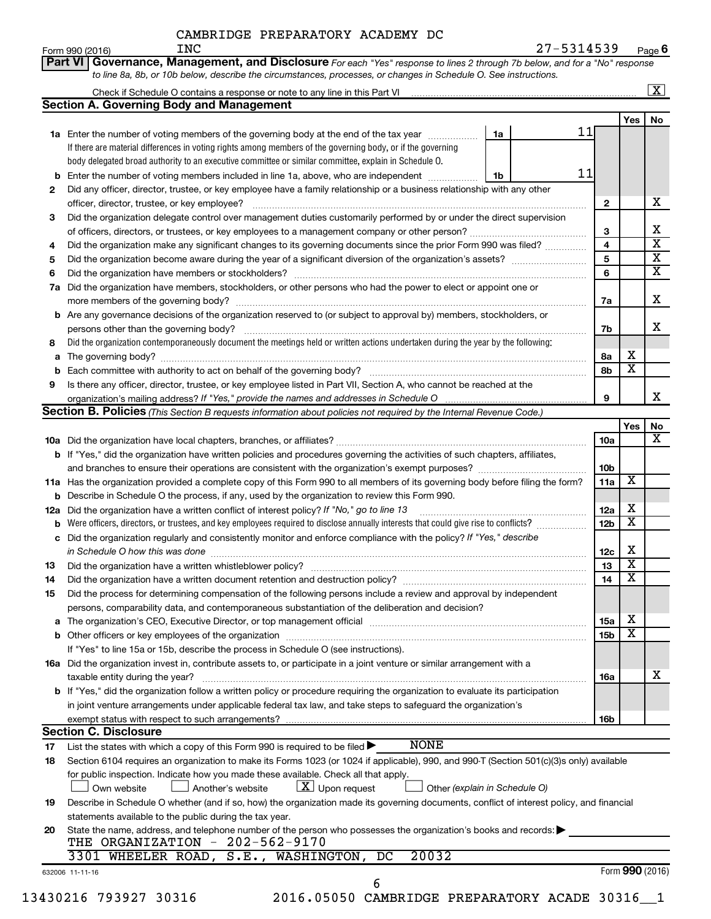|                                                                                                                            | CAMBRIDGE PREPARATORY ACADEMY DC                                                                                                    |    |                 |                         |                         |  |  |
|----------------------------------------------------------------------------------------------------------------------------|-------------------------------------------------------------------------------------------------------------------------------------|----|-----------------|-------------------------|-------------------------|--|--|
|                                                                                                                            | INC<br>Form 990 (2016)                                                                                                              |    | 27-5314539      |                         | Page 6                  |  |  |
|                                                                                                                            | Part VI   Governance, Management, and Disclosure For each "Yes" response to lines 2 through 7b below, and for a "No" response       |    |                 |                         |                         |  |  |
|                                                                                                                            | to line 8a, 8b, or 10b below, describe the circumstances, processes, or changes in Schedule O. See instructions.                    |    |                 |                         |                         |  |  |
|                                                                                                                            |                                                                                                                                     |    |                 |                         | $\overline{\mathbf{X}}$ |  |  |
|                                                                                                                            | <b>Section A. Governing Body and Management</b>                                                                                     |    |                 |                         |                         |  |  |
|                                                                                                                            |                                                                                                                                     |    |                 | Yes                     | No                      |  |  |
|                                                                                                                            | 1a Enter the number of voting members of the governing body at the end of the tax year <i>manumum</i>                               | 1a | 11              |                         |                         |  |  |
|                                                                                                                            | If there are material differences in voting rights among members of the governing body, or if the governing                         |    |                 |                         |                         |  |  |
|                                                                                                                            | body delegated broad authority to an executive committee or similar committee, explain in Schedule O.                               |    |                 |                         |                         |  |  |
|                                                                                                                            | <b>b</b> Enter the number of voting members included in line 1a, above, who are independent <i>manumum</i>                          | 1b | 11              |                         |                         |  |  |
| 2                                                                                                                          | Did any officer, director, trustee, or key employee have a family relationship or a business relationship with any other            |    |                 |                         |                         |  |  |
| officer, director, trustee, or key employee?                                                                               |                                                                                                                                     |    |                 |                         |                         |  |  |
| Did the organization delegate control over management duties customarily performed by or under the direct supervision<br>3 |                                                                                                                                     |    |                 |                         |                         |  |  |
|                                                                                                                            |                                                                                                                                     |    |                 |                         |                         |  |  |
| Did the organization make any significant changes to its governing documents since the prior Form 990 was filed?<br>4      |                                                                                                                                     |    |                 |                         |                         |  |  |
| 5                                                                                                                          |                                                                                                                                     |    | 5               |                         | $\overline{\textbf{x}}$ |  |  |
| 6                                                                                                                          |                                                                                                                                     |    | 6               |                         | $\overline{\textbf{x}}$ |  |  |
|                                                                                                                            | 7a Did the organization have members, stockholders, or other persons who had the power to elect or appoint one or                   |    |                 |                         |                         |  |  |
|                                                                                                                            | more members of the governing body?                                                                                                 |    | 7a              |                         | x                       |  |  |
|                                                                                                                            | b Are any governance decisions of the organization reserved to (or subject to approval by) members, stockholders, or                |    |                 |                         |                         |  |  |
|                                                                                                                            | persons other than the governing body?                                                                                              |    | 7b              |                         | x                       |  |  |
| 8                                                                                                                          | Did the organization contemporaneously document the meetings held or written actions undertaken during the year by the following:   |    |                 |                         |                         |  |  |
|                                                                                                                            |                                                                                                                                     |    | 8a              | x                       |                         |  |  |
|                                                                                                                            | <b>b</b> Each committee with authority to act on behalf of the governing body?                                                      |    | 8b              | $\overline{\textbf{x}}$ |                         |  |  |
| 9                                                                                                                          | Is there any officer, director, trustee, or key employee listed in Part VII, Section A, who cannot be reached at the                |    |                 |                         |                         |  |  |
|                                                                                                                            |                                                                                                                                     |    | 9               |                         | x                       |  |  |
|                                                                                                                            | Section B. Policies (This Section B requests information about policies not required by the Internal Revenue Code.)                 |    |                 |                         |                         |  |  |
|                                                                                                                            |                                                                                                                                     |    |                 | Yes                     | No                      |  |  |
|                                                                                                                            |                                                                                                                                     |    | 10a             |                         | x                       |  |  |
|                                                                                                                            | <b>b</b> If "Yes," did the organization have written policies and procedures governing the activities of such chapters, affiliates, |    |                 |                         |                         |  |  |
|                                                                                                                            |                                                                                                                                     |    | 10 <sub>b</sub> |                         |                         |  |  |
|                                                                                                                            | 11a Has the organization provided a complete copy of this Form 990 to all members of its governing body before filing the form?     |    | 11a             | $\overline{\textbf{x}}$ |                         |  |  |

|    | <b>b</b> Describe in Schedule O the process, if any, used by the organization to review this Form 990.                                                                                                                                  |                 |   |   |
|----|-----------------------------------------------------------------------------------------------------------------------------------------------------------------------------------------------------------------------------------------|-----------------|---|---|
|    | <b>12a</b> Did the organization have a written conflict of interest policy? If "No," go to line 13                                                                                                                                      | 12a             | х |   |
|    | <b>b</b> Were officers, directors, or trustees, and key employees required to disclose annually interests that could give rise to conflicts?                                                                                            | 12 <sub>b</sub> | х |   |
|    | c Did the organization regularly and consistently monitor and enforce compliance with the policy? If "Yes," describe                                                                                                                    |                 |   |   |
|    | in Schedule O how this was done manufactured and contain an intervention of the state of the state of the stat                                                                                                                          | 12c             | х |   |
| 13 |                                                                                                                                                                                                                                         | 13              | х |   |
| 14 |                                                                                                                                                                                                                                         | 14              | х |   |
| 15 | Did the process for determining compensation of the following persons include a review and approval by independent                                                                                                                      |                 |   |   |
|    | persons, comparability data, and contemporaneous substantiation of the deliberation and decision?                                                                                                                                       |                 |   |   |
|    | <b>a</b> The organization's CEO, Executive Director, or top management official                                                                                                                                                         | 15a             | х |   |
|    | <b>b</b> Other officers or key employees of the organization <i>manufacture content of the content of the organization manufacture content of the content of the content of the content of the content of the content of the conten</i> | 15 <sub>b</sub> | х |   |
|    | If "Yes" to line 15a or 15b, describe the process in Schedule O (see instructions).                                                                                                                                                     |                 |   |   |
|    | <b>16a</b> Did the organization invest in, contribute assets to, or participate in a joint venture or similar arrangement with a                                                                                                        |                 |   |   |
|    | taxable entity during the year?                                                                                                                                                                                                         | 16a             |   | х |
|    | <b>b</b> If "Yes," did the organization follow a written policy or procedure requiring the organization to evaluate its participation                                                                                                   |                 |   |   |
|    | in joint venture arrangements under applicable federal tax law, and take steps to safeguard the organization's                                                                                                                          |                 |   |   |
|    |                                                                                                                                                                                                                                         | 16b             |   |   |

# **Section C. Disclosure**

List the states with which a copy of this Form 990 is required to be filed **John Holland John Holland** NONE

| 17 | NONE<br>List the states with which a copy of this Form 990 is required to be filed $\blacktriangleright$                                                                                             |
|----|------------------------------------------------------------------------------------------------------------------------------------------------------------------------------------------------------|
| 18 | Section 6104 requires an organization to make its Forms 1023 (or 1024 if applicable), 990, and 990-T (Section 501(c)(3)s only) available                                                             |
|    | for public inspection. Indicate how you made these available. Check all that apply.<br>$\boxed{\textbf{X}}$ Upon request<br>Another's website<br>$\Box$ Other (explain in Schedule O)<br>Own website |
| 19 | Describe in Schedule O whether (and if so, how) the organization made its governing documents, conflict of interest policy, and financial                                                            |
|    | statements available to the public during the tax year.                                                                                                                                              |
| 20 | State the name, address, and telephone number of the person who possesses the organization's books and records:<br>THE ORGANIZATION - 202-562-9170                                                   |
|    | 3301 WHEELER ROAD, S.E., WASHINGTON, DC<br>20032                                                                                                                                                     |
|    | Form 990 (2016)<br>632006 11-11-16                                                                                                                                                                   |

6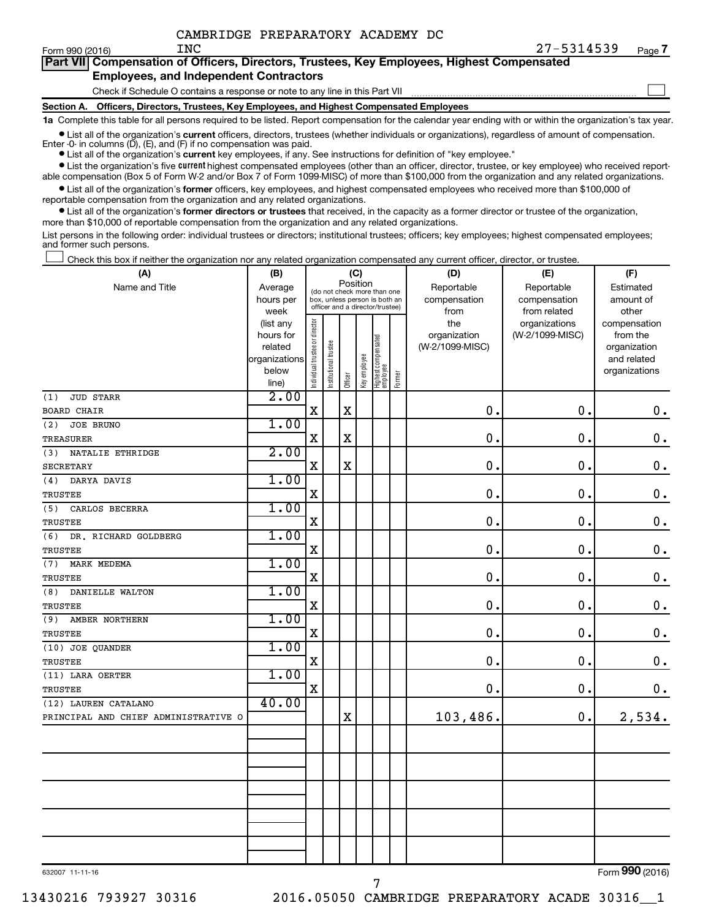|                                               | Part VII Compensation of Officers, Directors, Trustees, Key Employees, Highest Compensated |  |  |  |  |  |  |  |
|-----------------------------------------------|--------------------------------------------------------------------------------------------|--|--|--|--|--|--|--|
| <b>Employees, and Independent Contractors</b> |                                                                                            |  |  |  |  |  |  |  |
|                                               | Check if Schedule O contains a response or note to any line in this Part VII               |  |  |  |  |  |  |  |

**Section A. Officers, Directors, Trustees, Key Employees, and Highest Compensated Employees**

**1a**  Complete this table for all persons required to be listed. Report compensation for the calendar year ending with or within the organization's tax year. **•** List all of the organization's current officers, directors, trustees (whether individuals or organizations), regardless of amount of compensation.

Enter -0- in columns  $(D)$ ,  $(E)$ , and  $(F)$  if no compensation was paid.

**•** List all of the organization's **current** key employees, if any. See instructions for definition of "key employee."

**•** List the organization's five current highest compensated employees (other than an officer, director, trustee, or key employee) who received reportable compensation (Box 5 of Form W-2 and/or Box 7 of Form 1099-MISC) of more than \$100,000 from the organization and any related organizations.

**•** List all of the organization's former officers, key employees, and highest compensated employees who received more than \$100,000 of reportable compensation from the organization and any related organizations.

**•** List all of the organization's former directors or trustees that received, in the capacity as a former director or trustee of the organization, more than \$10,000 of reportable compensation from the organization and any related organizations.

List persons in the following order: individual trustees or directors; institutional trustees; officers; key employees; highest compensated employees; and former such persons.

Check this box if neither the organization nor any related organization compensated any current officer, director, or trustee.  $\Box$ 

| (A)                                  | (B)                                                                          |                                                                                                             |                       |                            | (C)                        |                                 |        | (D)                                            | (E)                                              | (F)                                                                               |
|--------------------------------------|------------------------------------------------------------------------------|-------------------------------------------------------------------------------------------------------------|-----------------------|----------------------------|----------------------------|---------------------------------|--------|------------------------------------------------|--------------------------------------------------|-----------------------------------------------------------------------------------|
| Name and Title                       | Average<br>hours per                                                         | Position<br>(do not check more than one<br>box, unless person is both an<br>officer and a director/trustee) |                       | Reportable<br>compensation | Reportable<br>compensation | Estimated<br>amount of          |        |                                                |                                                  |                                                                                   |
|                                      | week<br>(list any<br>hours for<br>related<br>organizations<br>below<br>line) | Individual trustee or director                                                                              | Institutional trustee | Officer                    | Key employee               | Highest compensated<br>employee | Former | from<br>the<br>organization<br>(W-2/1099-MISC) | from related<br>organizations<br>(W-2/1099-MISC) | other<br>compensation<br>from the<br>organization<br>and related<br>organizations |
| <b>JUD STARR</b><br>(1)              | 2.00                                                                         |                                                                                                             |                       |                            |                            |                                 |        |                                                |                                                  |                                                                                   |
| <b>BOARD CHAIR</b>                   |                                                                              | $\mathbf X$                                                                                                 |                       | $\mathbf X$                |                            |                                 |        | 0.                                             | 0.                                               | $\mathbf 0$ .                                                                     |
| (2)<br><b>JOE BRUNO</b>              | 1.00                                                                         |                                                                                                             |                       |                            |                            |                                 |        |                                                |                                                  |                                                                                   |
| <b>TREASURER</b>                     |                                                                              | $\rm X$                                                                                                     |                       | $\rm X$                    |                            |                                 |        | 0                                              | $\mathbf 0$ .                                    | $\mathbf 0$ .                                                                     |
| NATALIE ETHRIDGE<br>(3)              | 2.00                                                                         |                                                                                                             |                       |                            |                            |                                 |        |                                                |                                                  |                                                                                   |
| <b>SECRETARY</b>                     |                                                                              | $\mathbf X$                                                                                                 |                       | $\mathbf X$                |                            |                                 |        | $\mathbf 0$                                    | 0.                                               | $\mathbf 0$ .                                                                     |
| DARYA DAVIS<br>(4)                   | 1.00                                                                         |                                                                                                             |                       |                            |                            |                                 |        |                                                |                                                  |                                                                                   |
| <b>TRUSTEE</b>                       |                                                                              | $\mathbf X$                                                                                                 |                       |                            |                            |                                 |        | $\mathbf 0$                                    | $\mathbf 0$ .                                    | $\mathbf 0$ .                                                                     |
| CARLOS BECERRA<br>(5)                | 1.00                                                                         |                                                                                                             |                       |                            |                            |                                 |        |                                                |                                                  |                                                                                   |
| <b>TRUSTEE</b>                       |                                                                              | $\mathbf X$                                                                                                 |                       |                            |                            |                                 |        | $\mathbf 0$                                    | $\mathbf 0$ .                                    | $\mathbf 0$ .                                                                     |
| (6)<br>DR. RICHARD GOLDBERG          | 1.00                                                                         |                                                                                                             |                       |                            |                            |                                 |        |                                                |                                                  |                                                                                   |
| <b>TRUSTEE</b>                       |                                                                              | $\mathbf X$                                                                                                 |                       |                            |                            |                                 |        | $\mathbf 0$                                    | $\mathbf 0$ .                                    | $\mathbf 0$ .                                                                     |
| MARK MEDEMA<br>(7)                   | 1.00                                                                         |                                                                                                             |                       |                            |                            |                                 |        |                                                |                                                  |                                                                                   |
| <b>TRUSTEE</b>                       |                                                                              | X                                                                                                           |                       |                            |                            |                                 |        | 0                                              | $\mathbf 0$ .                                    | $\mathbf 0$ .                                                                     |
| (8)<br>DANIELLE WALTON               | 1.00                                                                         |                                                                                                             |                       |                            |                            |                                 |        |                                                |                                                  |                                                                                   |
| TRUSTEE                              |                                                                              | $\mathbf X$                                                                                                 |                       |                            |                            |                                 |        | $\mathbf 0$                                    | $\mathbf 0$ .                                    | $\mathbf 0$ .                                                                     |
| (9)<br>AMBER NORTHERN                | 1.00                                                                         |                                                                                                             |                       |                            |                            |                                 |        |                                                |                                                  |                                                                                   |
| TRUSTEE                              |                                                                              | $\mathbf X$                                                                                                 |                       |                            |                            |                                 |        | 0                                              | $\mathbf 0$ .                                    | $\mathbf 0$ .                                                                     |
| (10) JOE QUANDER                     | 1.00                                                                         |                                                                                                             |                       |                            |                            |                                 |        |                                                |                                                  |                                                                                   |
| <b>TRUSTEE</b>                       | 1.00                                                                         | $\mathbf X$                                                                                                 |                       |                            |                            |                                 |        | 0                                              | $\mathbf 0$ .                                    | $\mathbf 0$ .                                                                     |
| (11) LARA OERTER                     |                                                                              | $\mathbf X$                                                                                                 |                       |                            |                            |                                 |        | 0.                                             | $\mathbf 0$ .                                    |                                                                                   |
| <b>TRUSTEE</b>                       | 40.00                                                                        |                                                                                                             |                       |                            |                            |                                 |        |                                                |                                                  | 0.                                                                                |
| (12) LAUREN CATALANO                 |                                                                              |                                                                                                             |                       | $\mathbf X$                |                            |                                 |        | 103,486.                                       | $\mathbf 0$ .                                    | 2,534.                                                                            |
| PRINCIPAL AND CHIEF ADMINISTRATIVE O |                                                                              |                                                                                                             |                       |                            |                            |                                 |        |                                                |                                                  |                                                                                   |
|                                      |                                                                              |                                                                                                             |                       |                            |                            |                                 |        |                                                |                                                  |                                                                                   |
|                                      |                                                                              |                                                                                                             |                       |                            |                            |                                 |        |                                                |                                                  |                                                                                   |
|                                      |                                                                              |                                                                                                             |                       |                            |                            |                                 |        |                                                |                                                  |                                                                                   |
|                                      |                                                                              |                                                                                                             |                       |                            |                            |                                 |        |                                                |                                                  |                                                                                   |
|                                      |                                                                              |                                                                                                             |                       |                            |                            |                                 |        |                                                |                                                  |                                                                                   |
|                                      |                                                                              |                                                                                                             |                       |                            |                            |                                 |        |                                                |                                                  |                                                                                   |
|                                      |                                                                              |                                                                                                             |                       |                            |                            |                                 |        |                                                |                                                  |                                                                                   |
|                                      |                                                                              |                                                                                                             |                       |                            |                            |                                 |        |                                                |                                                  |                                                                                   |
|                                      |                                                                              |                                                                                                             |                       |                            |                            |                                 |        |                                                |                                                  |                                                                                   |
|                                      |                                                                              |                                                                                                             |                       |                            |                            |                                 |        |                                                |                                                  |                                                                                   |

632007 11-11-16

Form (2016) **990**

7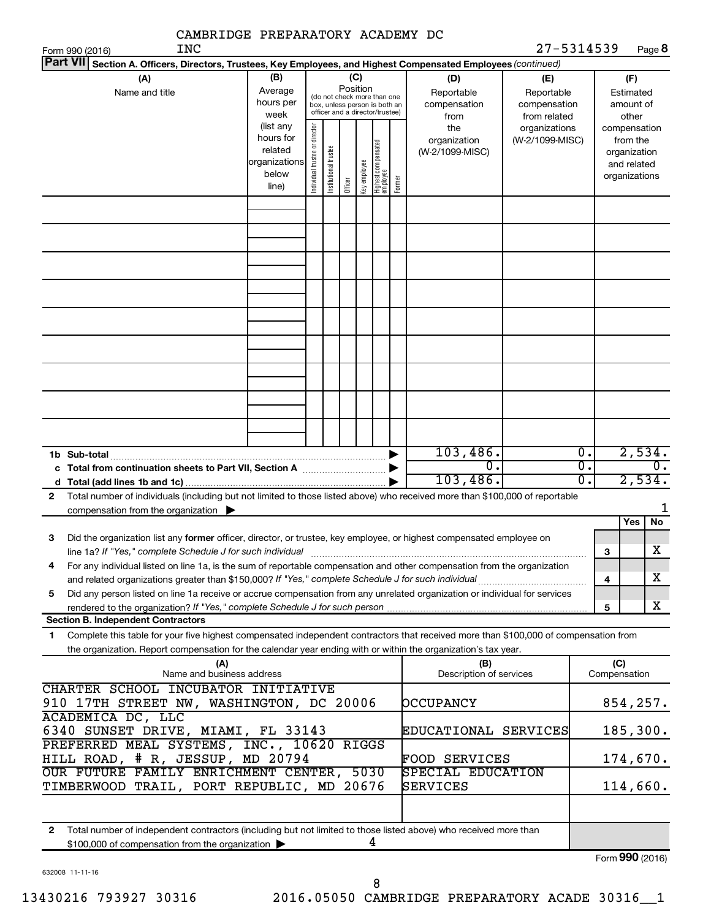| CAMBRIDGE PREPARATORY ACADEMY DC<br>INC                                                                                                                                                                                                                     |                                                                                                     |                                |                       |                 |              |                                                                                                 |        |                                                | 27-5314539                                        |                                      |                     |                                                                          |              |
|-------------------------------------------------------------------------------------------------------------------------------------------------------------------------------------------------------------------------------------------------------------|-----------------------------------------------------------------------------------------------------|--------------------------------|-----------------------|-----------------|--------------|-------------------------------------------------------------------------------------------------|--------|------------------------------------------------|---------------------------------------------------|--------------------------------------|---------------------|--------------------------------------------------------------------------|--------------|
| Form 990 (2016)<br><b>Part VII</b><br>Section A. Officers, Directors, Trustees, Key Employees, and Highest Compensated Employees (continued)                                                                                                                |                                                                                                     |                                |                       |                 |              |                                                                                                 |        |                                                |                                                   |                                      |                     |                                                                          | Page 8       |
| (A)<br>Name and title                                                                                                                                                                                                                                       | (B)<br>Average<br>hours per<br>week                                                                 |                                |                       | (C)<br>Position |              | (do not check more than one<br>box, unless person is both an<br>officer and a director/trustee) |        | (D)<br>Reportable<br>compensation              | (E)<br>Reportable<br>compensation<br>from related |                                      |                     | (F)<br>Estimated<br>amount of<br>other                                   |              |
|                                                                                                                                                                                                                                                             | (list any<br>hours for<br>related<br>organizations<br>below<br>line)                                | Individual trustee or director | Institutional trustee | Officer         | Key employee | Highest compensated<br>employee                                                                 | Former | from<br>the<br>organization<br>(W-2/1099-MISC) | organizations<br>(W-2/1099-MISC)                  |                                      |                     | compensation<br>from the<br>organization<br>and related<br>organizations |              |
|                                                                                                                                                                                                                                                             |                                                                                                     |                                |                       |                 |              |                                                                                                 |        |                                                |                                                   |                                      |                     |                                                                          |              |
|                                                                                                                                                                                                                                                             |                                                                                                     |                                |                       |                 |              |                                                                                                 |        |                                                |                                                   |                                      |                     |                                                                          |              |
|                                                                                                                                                                                                                                                             |                                                                                                     |                                |                       |                 |              |                                                                                                 |        |                                                |                                                   |                                      |                     |                                                                          |              |
|                                                                                                                                                                                                                                                             |                                                                                                     |                                |                       |                 |              |                                                                                                 |        |                                                |                                                   |                                      |                     |                                                                          |              |
|                                                                                                                                                                                                                                                             |                                                                                                     |                                |                       |                 |              |                                                                                                 |        | 103,486.                                       |                                                   | $\overline{0}$ .                     |                     |                                                                          | 2,534.       |
| 1b Sub-total                                                                                                                                                                                                                                                |                                                                                                     |                                |                       |                 |              |                                                                                                 |        | 0.<br>103,486.                                 |                                                   | $\overline{0}$ .<br>$\overline{0}$ . |                     |                                                                          | 0.<br>2,534. |
| Total number of individuals (including but not limited to those listed above) who received more than \$100,000 of reportable<br>2<br>compensation from the organization $\blacktriangleright$                                                               |                                                                                                     |                                |                       |                 |              |                                                                                                 |        |                                                |                                                   |                                      |                     |                                                                          |              |
|                                                                                                                                                                                                                                                             |                                                                                                     |                                |                       |                 |              |                                                                                                 |        |                                                |                                                   |                                      |                     | Yes                                                                      | No           |
| Did the organization list any former officer, director, or trustee, key employee, or highest compensated employee on<br>З<br>line 1a? If "Yes," complete Schedule J for such individual manufactured content content for the complete schedu                |                                                                                                     |                                |                       |                 |              |                                                                                                 |        |                                                |                                                   |                                      | з                   |                                                                          | х            |
| For any individual listed on line 1a, is the sum of reportable compensation and other compensation from the organization<br>4                                                                                                                               |                                                                                                     |                                |                       |                 |              |                                                                                                 |        |                                                |                                                   |                                      | 4                   |                                                                          | X.           |
| Did any person listed on line 1a receive or accrue compensation from any unrelated organization or individual for services<br>5                                                                                                                             |                                                                                                     |                                |                       |                 |              |                                                                                                 |        |                                                |                                                   |                                      | 5                   |                                                                          | x            |
| <b>Section B. Independent Contractors</b>                                                                                                                                                                                                                   |                                                                                                     |                                |                       |                 |              |                                                                                                 |        |                                                |                                                   |                                      |                     |                                                                          |              |
| Complete this table for your five highest compensated independent contractors that received more than \$100,000 of compensation from<br>1<br>the organization. Report compensation for the calendar year ending with or within the organization's tax year. |                                                                                                     |                                |                       |                 |              |                                                                                                 |        |                                                |                                                   |                                      |                     |                                                                          |              |
| (A)<br>Name and business address                                                                                                                                                                                                                            |                                                                                                     |                                |                       |                 |              |                                                                                                 |        | (B)<br>Description of services                 |                                                   |                                      | (C)<br>Compensation |                                                                          |              |
| ACADEMICA DC, LLC                                                                                                                                                                                                                                           | CHARTER SCHOOL INCUBATOR INITIATIVE<br>910 17TH STREET NW, WASHINGTON, DC 20006<br><b>DCCUPANCY</b> |                                |                       |                 |              |                                                                                                 |        |                                                |                                                   |                                      | 854, 257.           |                                                                          |              |
| 6340 SUNSET DRIVE, MIAMI, FL 33143                                                                                                                                                                                                                          |                                                                                                     |                                |                       |                 |              |                                                                                                 |        | EDUCATIONAL SERVICES                           |                                                   |                                      |                     |                                                                          | 185,300.     |
| PREFERRED MEAL SYSTEMS, INC., 10620 RIGGS<br>HILL ROAD, # R, JESSUP, MD 20794                                                                                                                                                                               |                                                                                                     |                                |                       |                 |              |                                                                                                 |        | FOOD SERVICES                                  |                                                   |                                      |                     |                                                                          | 174,670.     |
| OUR FUTURE FAMILY ENRICHMENT CENTER, 5030<br>TIMBERWOOD TRAIL, PORT REPUBLIC, MD 20676                                                                                                                                                                      |                                                                                                     |                                |                       |                 |              |                                                                                                 |        | SPECIAL EDUCATION<br>SERVICES                  |                                                   |                                      |                     |                                                                          | 114,660.     |
|                                                                                                                                                                                                                                                             |                                                                                                     |                                |                       |                 |              |                                                                                                 |        |                                                |                                                   |                                      |                     |                                                                          |              |
| Total number of independent contractors (including but not limited to those listed above) who received more than<br>$\mathbf{2}$<br>\$100,000 of compensation from the organization >                                                                       |                                                                                                     |                                |                       |                 |              | 4                                                                                               |        |                                                |                                                   |                                      |                     | $000 \approx$                                                            |              |

632008 11-11-16

8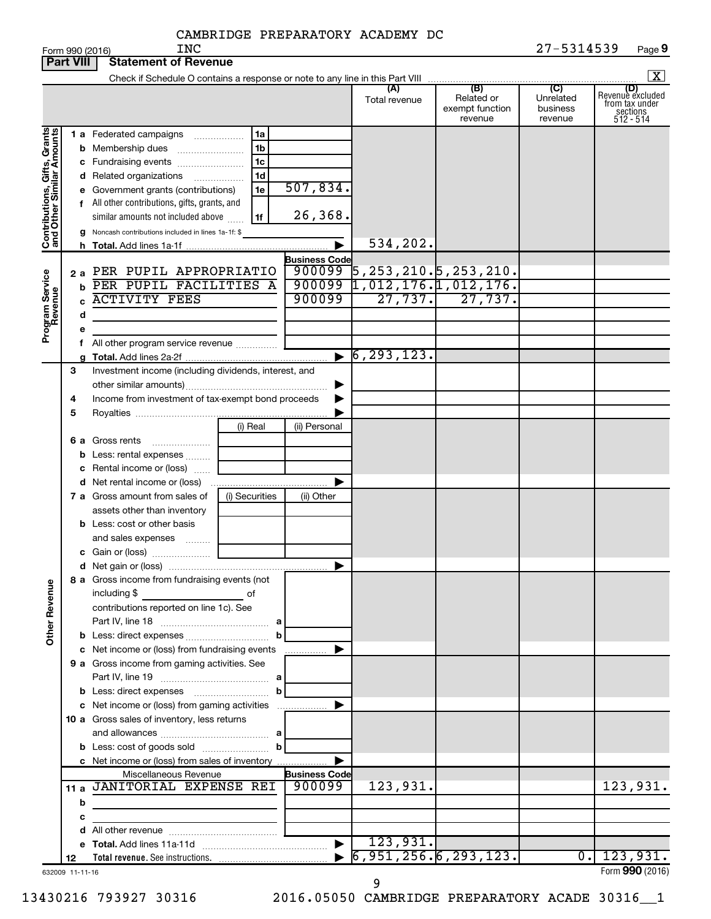|                                                           | <b>Part VIII</b> | <b>Statement of Revenue</b>                                   |                |                                |                                                                               |                                                 |                                                    |                                                                    |
|-----------------------------------------------------------|------------------|---------------------------------------------------------------|----------------|--------------------------------|-------------------------------------------------------------------------------|-------------------------------------------------|----------------------------------------------------|--------------------------------------------------------------------|
|                                                           |                  |                                                               |                |                                |                                                                               |                                                 |                                                    | $\mathbf{X}$                                                       |
|                                                           |                  |                                                               |                |                                | (A)<br>Total revenue                                                          | (B)<br>Related or<br>exempt function<br>revenue | $\overline{C}$<br>Unrelated<br>business<br>revenue | (D)<br>Revenue excluded<br>from tax under<br>sections<br>512 - 514 |
| Contributions, Gifts, Grants<br>and Other Similar Amounts |                  | <b>1 a</b> Federated campaigns                                | 1a             |                                |                                                                               |                                                 |                                                    |                                                                    |
|                                                           |                  | <b>b</b> Membership dues                                      | 1b             |                                |                                                                               |                                                 |                                                    |                                                                    |
|                                                           |                  | c Fundraising events                                          | 1c             |                                |                                                                               |                                                 |                                                    |                                                                    |
|                                                           |                  | <b>d</b> Related organizations                                | 1d<br>.        |                                |                                                                               |                                                 |                                                    |                                                                    |
|                                                           |                  | e Government grants (contributions)                           | 1e             | 507,834.                       |                                                                               |                                                 |                                                    |                                                                    |
|                                                           |                  | f All other contributions, gifts, grants, and                 |                |                                |                                                                               |                                                 |                                                    |                                                                    |
|                                                           |                  | similar amounts not included above                            | 1f             | 26,368.                        |                                                                               |                                                 |                                                    |                                                                    |
|                                                           |                  | g Noncash contributions included in lines 1a-1f: \$           |                |                                |                                                                               |                                                 |                                                    |                                                                    |
|                                                           |                  |                                                               |                |                                | 534,202.                                                                      |                                                 |                                                    |                                                                    |
|                                                           |                  |                                                               |                | <b>Business Code</b><br>900099 |                                                                               |                                                 |                                                    |                                                                    |
|                                                           |                  | 2 a PER PUPIL APPROPRIATIO<br>PER PUPIL FACILITIES A          |                | 900099                         | $\overline{5}$ , 253, 210. $\overline{5}$ , 253, 210.<br>1,012,176.1,012,176. |                                                 |                                                    |                                                                    |
|                                                           | b                | <b>ACTIVITY FEES</b>                                          |                | 900099                         | $\overline{27,737.}$                                                          | 27,737.                                         |                                                    |                                                                    |
|                                                           |                  |                                                               |                |                                |                                                                               |                                                 |                                                    |                                                                    |
|                                                           | d                |                                                               |                |                                |                                                                               |                                                 |                                                    |                                                                    |
| Program Service<br>Revenue                                |                  | All other program service revenue                             |                |                                |                                                                               |                                                 |                                                    |                                                                    |
|                                                           |                  |                                                               |                | $\blacktriangleright$          | $\sqrt{6, 293, 123}$ .                                                        |                                                 |                                                    |                                                                    |
|                                                           | 3                | Investment income (including dividends, interest, and         |                |                                |                                                                               |                                                 |                                                    |                                                                    |
|                                                           |                  |                                                               |                |                                |                                                                               |                                                 |                                                    |                                                                    |
|                                                           | 4                | Income from investment of tax-exempt bond proceeds            |                |                                |                                                                               |                                                 |                                                    |                                                                    |
|                                                           | 5                |                                                               |                |                                |                                                                               |                                                 |                                                    |                                                                    |
|                                                           |                  |                                                               | (i) Real       | (ii) Personal                  |                                                                               |                                                 |                                                    |                                                                    |
|                                                           |                  | 6 a Gross rents                                               |                |                                |                                                                               |                                                 |                                                    |                                                                    |
|                                                           |                  | <b>b</b> Less: rental expenses                                |                |                                |                                                                               |                                                 |                                                    |                                                                    |
|                                                           |                  | c Rental income or (loss)                                     |                |                                |                                                                               |                                                 |                                                    |                                                                    |
|                                                           |                  |                                                               |                |                                |                                                                               |                                                 |                                                    |                                                                    |
|                                                           |                  | 7 a Gross amount from sales of                                | (i) Securities | (ii) Other                     |                                                                               |                                                 |                                                    |                                                                    |
|                                                           |                  | assets other than inventory                                   |                |                                |                                                                               |                                                 |                                                    |                                                                    |
|                                                           |                  | <b>b</b> Less: cost or other basis                            |                |                                |                                                                               |                                                 |                                                    |                                                                    |
|                                                           |                  | and sales expenses                                            |                |                                |                                                                               |                                                 |                                                    |                                                                    |
|                                                           |                  |                                                               |                |                                |                                                                               |                                                 |                                                    |                                                                    |
|                                                           |                  |                                                               |                | ▶                              |                                                                               |                                                 |                                                    |                                                                    |
| <b>Other Revenue</b>                                      |                  | 8 a Gross income from fundraising events (not<br>including \$ | of             |                                |                                                                               |                                                 |                                                    |                                                                    |
|                                                           |                  | contributions reported on line 1c). See                       |                |                                |                                                                               |                                                 |                                                    |                                                                    |
|                                                           |                  |                                                               |                |                                |                                                                               |                                                 |                                                    |                                                                    |
|                                                           |                  |                                                               | b              |                                |                                                                               |                                                 |                                                    |                                                                    |
|                                                           |                  | c Net income or (loss) from fundraising events                |                | .                              |                                                                               |                                                 |                                                    |                                                                    |
|                                                           |                  | 9 a Gross income from gaming activities. See                  |                |                                |                                                                               |                                                 |                                                    |                                                                    |
|                                                           |                  |                                                               | b              |                                |                                                                               |                                                 |                                                    |                                                                    |
|                                                           |                  | c Net income or (loss) from gaming activities                 |                |                                |                                                                               |                                                 |                                                    |                                                                    |
|                                                           |                  | 10 a Gross sales of inventory, less returns                   |                |                                |                                                                               |                                                 |                                                    |                                                                    |
|                                                           |                  |                                                               |                |                                |                                                                               |                                                 |                                                    |                                                                    |
|                                                           |                  |                                                               |                |                                |                                                                               |                                                 |                                                    |                                                                    |
|                                                           |                  | c Net income or (loss) from sales of inventory                |                |                                |                                                                               |                                                 |                                                    |                                                                    |
|                                                           |                  | Miscellaneous Revenue                                         |                | <b>Business Code</b>           |                                                                               |                                                 |                                                    |                                                                    |
|                                                           |                  | 11 a JANITORIAL EXPENSE REI                                   |                | 900099                         | 123,931.                                                                      |                                                 |                                                    | 123,931.                                                           |
|                                                           | b                |                                                               |                |                                |                                                                               |                                                 |                                                    |                                                                    |
|                                                           | с                | <u> 1989 - Johann Barbara, martin a</u>                       |                |                                |                                                                               |                                                 |                                                    |                                                                    |
|                                                           |                  |                                                               |                |                                |                                                                               |                                                 |                                                    |                                                                    |
|                                                           |                  |                                                               |                | $\blacktriangleright$          | 123,931.                                                                      |                                                 |                                                    |                                                                    |
|                                                           | 12               |                                                               |                |                                | 6, 951, 256.6, 293, 123.                                                      |                                                 |                                                    | $0.$   123,931.                                                    |
|                                                           | 632009 11-11-16  |                                                               |                |                                |                                                                               |                                                 |                                                    | Form 990 (2016)                                                    |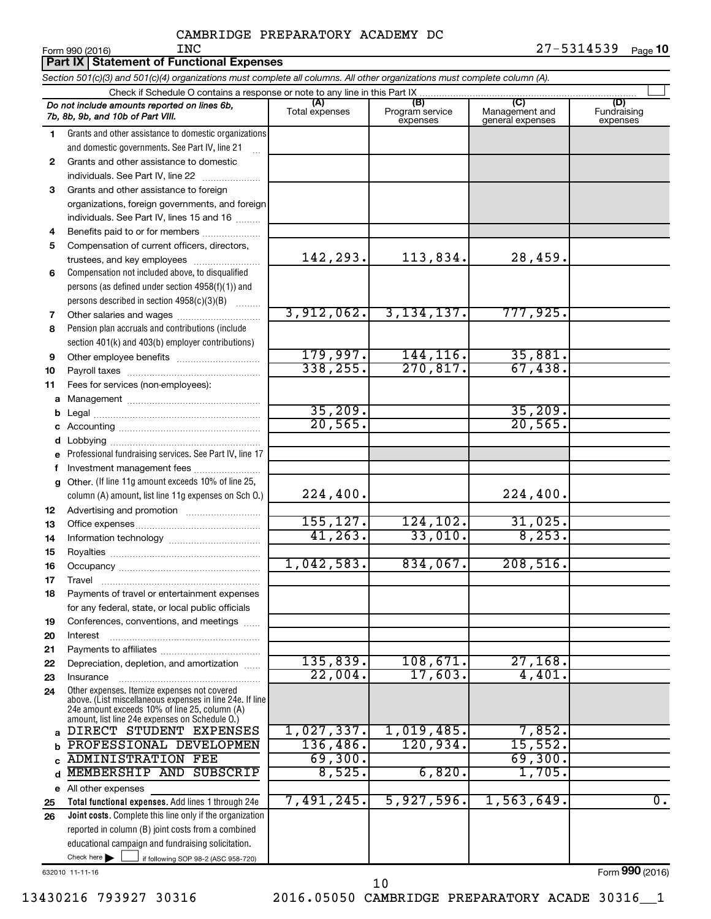|          | Part IX Statement of Functional Expenses                                                                                   |                       |                                    |                                           |                                |
|----------|----------------------------------------------------------------------------------------------------------------------------|-----------------------|------------------------------------|-------------------------------------------|--------------------------------|
|          | Section 501(c)(3) and 501(c)(4) organizations must complete all columns. All other organizations must complete column (A). |                       |                                    |                                           |                                |
|          | Check if Schedule O contains a response or note to any line in this Part IX                                                |                       |                                    |                                           |                                |
|          | Do not include amounts reported on lines 6b,<br>7b, 8b, 9b, and 10b of Part VIII.                                          | (A)<br>Total expenses | (B)<br>Program service<br>expenses | (C)<br>Management and<br>general expenses | (D)<br>Fundraising<br>expenses |
| 1        | Grants and other assistance to domestic organizations                                                                      |                       |                                    |                                           |                                |
|          | and domestic governments. See Part IV, line 21                                                                             |                       |                                    |                                           |                                |
| 2        | Grants and other assistance to domestic                                                                                    |                       |                                    |                                           |                                |
|          | individuals. See Part IV, line 22                                                                                          |                       |                                    |                                           |                                |
| 3        | Grants and other assistance to foreign                                                                                     |                       |                                    |                                           |                                |
|          | organizations, foreign governments, and foreign                                                                            |                       |                                    |                                           |                                |
|          | individuals. See Part IV, lines 15 and 16                                                                                  |                       |                                    |                                           |                                |
| 4        | Benefits paid to or for members                                                                                            |                       |                                    |                                           |                                |
| 5        | Compensation of current officers, directors,                                                                               |                       |                                    |                                           |                                |
|          | trustees, and key employees                                                                                                | 142,293.              | 113,834.                           | 28,459.                                   |                                |
| 6        | Compensation not included above, to disqualified                                                                           |                       |                                    |                                           |                                |
|          | persons (as defined under section 4958(f)(1)) and                                                                          |                       |                                    |                                           |                                |
|          | persons described in section 4958(c)(3)(B)                                                                                 | 3,912,062.            | 3,134,137.                         | 777,925.                                  |                                |
| 7<br>8   | Other salaries and wages<br>Pension plan accruals and contributions (include                                               |                       |                                    |                                           |                                |
|          | section 401(k) and 403(b) employer contributions)                                                                          |                       |                                    |                                           |                                |
| 9        |                                                                                                                            | 179,997.              | 144, 116.                          | 35,881.                                   |                                |
| 10       |                                                                                                                            | 338, 255.             | 270, 817.                          | 67,438.                                   |                                |
| 11       | Fees for services (non-employees):                                                                                         |                       |                                    |                                           |                                |
| a        |                                                                                                                            |                       |                                    |                                           |                                |
|          |                                                                                                                            | 35,209.               |                                    | 35,209.                                   |                                |
|          |                                                                                                                            | 20, 565.              |                                    | 20, 565.                                  |                                |
|          |                                                                                                                            |                       |                                    |                                           |                                |
| е        | Professional fundraising services. See Part IV, line 17                                                                    |                       |                                    |                                           |                                |
|          | Investment management fees                                                                                                 |                       |                                    |                                           |                                |
|          | g Other. (If line 11g amount exceeds 10% of line 25,                                                                       |                       |                                    |                                           |                                |
|          | column (A) amount, list line 11g expenses on Sch O.)                                                                       | 224,400.              |                                    | 224,400.                                  |                                |
| 12       |                                                                                                                            |                       |                                    |                                           |                                |
| 13       |                                                                                                                            | 155, 127.             | 124,102.                           | 31,025.                                   |                                |
| 14       |                                                                                                                            | 41, 263.              | 33,010.                            | 8, 253.                                   |                                |
| 15       |                                                                                                                            |                       |                                    |                                           |                                |
| 16       |                                                                                                                            | 1,042,583.            | 834,067.                           | 208,516.                                  |                                |
| 17       | Travel                                                                                                                     |                       |                                    |                                           |                                |
| 18       | Payments of travel or entertainment expenses                                                                               |                       |                                    |                                           |                                |
|          | for any federal, state, or local public officials                                                                          |                       |                                    |                                           |                                |
| 19       | Conferences, conventions, and meetings                                                                                     |                       |                                    |                                           |                                |
| 20<br>21 | Interest                                                                                                                   |                       |                                    |                                           |                                |
| 22       | Depreciation, depletion, and amortization                                                                                  | 135,839.              | 108,671.                           | $27,168$ .                                |                                |
| 23       | Insurance                                                                                                                  | 22,004.               | 17,603.                            | 4,401.                                    |                                |
| 24       | Other expenses. Itemize expenses not covered                                                                               |                       |                                    |                                           |                                |
|          | above. (List miscellaneous expenses in line 24e. If line                                                                   |                       |                                    |                                           |                                |
|          | 24e amount exceeds 10% of line 25, column (A)<br>amount, list line 24e expenses on Schedule O.)                            |                       |                                    |                                           |                                |
| a        | DIRECT STUDENT EXPENSES                                                                                                    | 1,027,337.            | 1,019,485.                         | 7,852.                                    |                                |
|          | PROFESSIONAL DEVELOPMEN                                                                                                    | 136,486.              | 120,934.                           | 15,552.                                   |                                |
|          | <b>ADMINISTRATION FEE</b>                                                                                                  | 69,300.               |                                    | 69,300.                                   |                                |
| d        | MEMBERSHIP AND SUBSCRIP                                                                                                    | 8,525.                | 6,820.                             | 1,705.                                    |                                |
| е        | All other expenses                                                                                                         |                       |                                    |                                           |                                |
| 25       | Total functional expenses. Add lines 1 through 24e                                                                         | 7,491,245.            | 5,927,596.                         | 1,563,649.                                | $\overline{0}$ .               |
| 26       | Joint costs. Complete this line only if the organization                                                                   |                       |                                    |                                           |                                |
|          | reported in column (B) joint costs from a combined                                                                         |                       |                                    |                                           |                                |
|          | educational campaign and fundraising solicitation.                                                                         |                       |                                    |                                           |                                |
|          | Check here $\blacktriangleright$<br>if following SOP 98-2 (ASC 958-720)                                                    |                       |                                    |                                           |                                |

632010 11-11-16

13430216 793927 30316 2016.05050 CAMBRIDGE PREPARATORY ACADE 30316\_\_1 10

Form (2016) **990**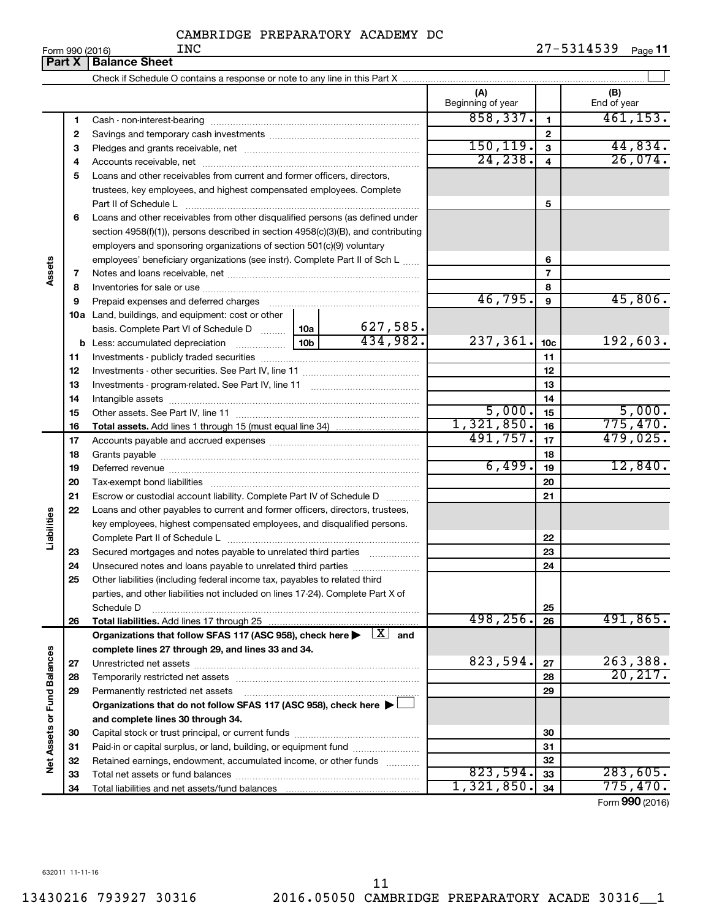**Part X** | **Balance Sheet**  $\perp$ Check if Schedule O contains a response or note to any line in this Part X **(A) (B)** Beginning of year | | End of year  $858,337.$   $1$   $461,153.$ **1 1** Cash - non-interest-bearing ~~~~~~~~~~~~~~~~~~~~~~~~~ **2 2** Savings and temporary cash investments ~~~~~~~~~~~~~~~~~~ 150,119. 44,834. **3 3** Pledges and grants receivable, net ~~~~~~~~~~~~~~~~~~~~~ 24,238. 26,074. **4 4** Accounts receivable, net ~~~~~~~~~~~~~~~~~~~~~~~~~~ **5** Loans and other receivables from current and former officers, directors, trustees, key employees, and highest compensated employees. Complete **5** Part II of Schedule L ~~~~~~~~~~~~~~~~~~~~~~~~~~~~ **6** Loans and other receivables from other disqualified persons (as defined under section 4958(f)(1)), persons described in section 4958(c)(3)(B), and contributing employers and sponsoring organizations of section 501(c)(9) voluntary employees' beneficiary organizations (see instr). Complete Part II of Sch L ...... **6 Assets 7 7** Notes and loans receivable, net ~~~~~~~~~~~~~~~~~~~~~~~ **8 8** Inventories for sale or use ~~~~~~~~~~~~~~~~~~~~~~~~~~ 46,795. 45,806. **9 9** Prepaid expenses and deferred charges ~~~~~~~~~~~~~~~~~~ **10 a** Land, buildings, and equipment: cost or other 627,585. basis. Complete Part VI of Schedule D  $\frac{1}{10}$  10a  $434,982.$  237,361.  $10c$  192,603. **10c b** Less: accumulated depreciation  $\ldots$  [10b **11 11** Investments - publicly traded securities ~~~~~~~~~~~~~~~~~~~ **12 12** Investments - other securities. See Part IV, line 11 ~~~~~~~~~~~~~~ **13 13** Investments - program-related. See Part IV, line 11 ~~~~~~~~~~~~~ **14 14** Intangible assets ~~~~~~~~~~~~~~~~~~~~~~~~~~~~~~  $5,000$ .  $15$  5,000. Other assets. See Part IV, line 11 ~~~~~~~~~~~~~~~~~~~~~~ **15 15** 1,321,850. 775,470. **16 16 Total assets.**  Add lines 1 through 15 (must equal line 34) 491,757. 17 **17 17** Accounts payable and accrued expenses ~~~~~~~~~~~~~~~~~~ **18 18** Grants payable ~~~~~~~~~~~~~~~~~~~~~~~~~~~~~~~ 6,499. 12,840. **19 19** Deferred revenue ~~~~~~~~~~~~~~~~~~~~~~~~~~~~~~ **20 20** Tax-exempt bond liabilities ~~~~~~~~~~~~~~~~~~~~~~~~~ **21 21** Escrow or custodial account liability. Complete Part IV of Schedule D ........... **22** Loans and other payables to current and former officers, directors, trustees, **Liabilities** key employees, highest compensated employees, and disqualified persons. Complete Part II of Schedule L ~~~~~~~~~~~~~~~~~~~~~~~ **22** Secured mortgages and notes payable to unrelated third parties  $\ldots$  ................. **23 23 24** Unsecured notes and loans payable to unrelated third parties ~~~~~~~~ **24 25** Other liabilities (including federal income tax, payables to related third parties, and other liabilities not included on lines 17-24). Complete Part X of Schedule D ~~~~~~~~~~~~~~~~~~~~~~~~~~~~~~~~ **25** 498, 256. 26 491, 865. **26 26 Total liabilities.**  Add lines 17 through 25 Organizations that follow SFAS 117 (ASC 958), check here  $\blacktriangleright$   $\boxed{X}$  and **complete lines 27 through 29, and lines 33 and 34. Vet Assets or Fund Balances Net Assets or Fund Balances**  $823,594$ . 27 | 263,388. **27 27** Unrestricted net assets ~~~~~~~~~~~~~~~~~~~~~~~~~~~ 20,217. **28 28** Temporarily restricted net assets ~~~~~~~~~~~~~~~~~~~~~~ **29 29** Permanently restricted net assets ~~~~~~~~~~~~~~~~~~~~~ **Organizations that do not follow SFAS 117 (ASC 958), check here** | † **and complete lines 30 through 34. 30 30** Capital stock or trust principal, or current funds ~~~~~~~~~~~~~~~ **31 31** Paid-in or capital surplus, or land, building, or equipment fund ....................... **32 32** Retained earnings, endowment, accumulated income, or other funds ............  $823,594.$   $33$  283,605. **33** Total net assets or fund balances ~~~~~~~~~~~~~~~~~~~~~~ **33** 1,321,850. 775,470. **34 34** Total liabilities and net assets/fund balances Form (2016) **990**

632011 11-11-16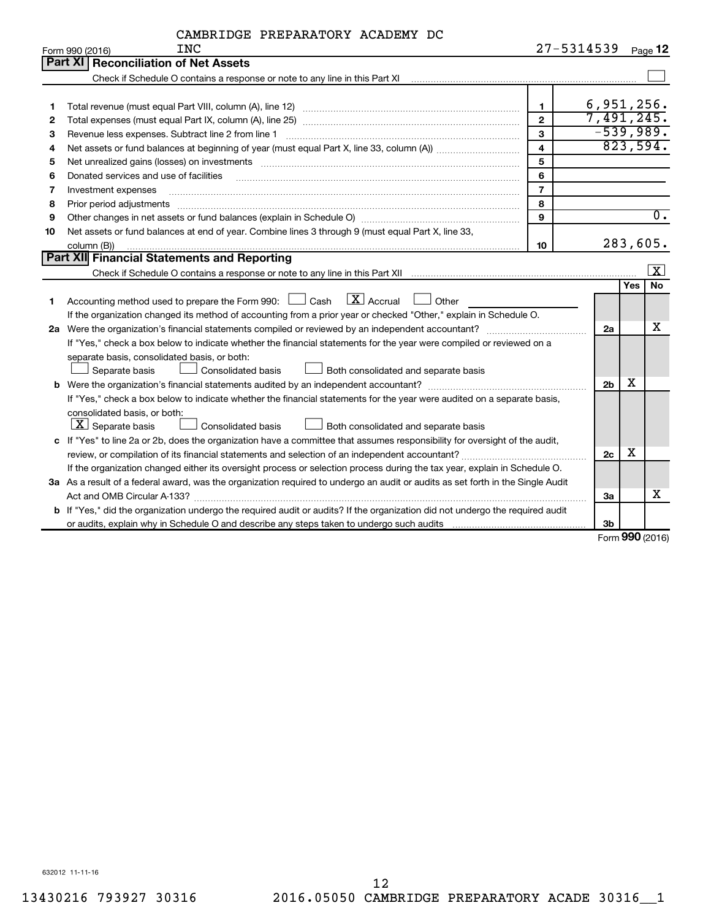| CAMBRIDGE PREPARATORY ACADEMY DC |  |
|----------------------------------|--|
|----------------------------------|--|

|    | <b>INC</b><br>Form 990 (2016)                                                                                                                                                                                                  | 27-5314539              |                |            | Page 12          |
|----|--------------------------------------------------------------------------------------------------------------------------------------------------------------------------------------------------------------------------------|-------------------------|----------------|------------|------------------|
|    | <b>Part XI</b><br><b>Reconciliation of Net Assets</b>                                                                                                                                                                          |                         |                |            |                  |
|    | Check if Schedule O contains a response or note to any line in this Part XI [11] [12] Check if Schedule O contains a response or note to any line in this Part XI                                                              |                         |                |            |                  |
|    |                                                                                                                                                                                                                                |                         |                |            |                  |
| 1  |                                                                                                                                                                                                                                | $\mathbf{1}$            | 6,951,256.     |            |                  |
| 2  |                                                                                                                                                                                                                                | $\mathbf{2}$            | 7,491,245.     |            |                  |
| З  | Revenue less expenses. Subtract line 2 from line 1                                                                                                                                                                             | 3                       | $-539,989.$    |            |                  |
| 4  |                                                                                                                                                                                                                                | $\overline{\mathbf{4}}$ |                |            | 823,594.         |
| 5  | Net unrealized gains (losses) on investments [11] matter contracts and the state of the state of the state of the state of the state of the state of the state of the state of the state of the state of the state of the stat | 5                       |                |            |                  |
| 6  | Donated services and use of facilities                                                                                                                                                                                         | 6                       |                |            |                  |
| 7  | Investment expenses                                                                                                                                                                                                            | $\overline{7}$          |                |            |                  |
| 8  | Prior period adjustments www.communication.communication.communication.com/                                                                                                                                                    | 8                       |                |            |                  |
| 9  |                                                                                                                                                                                                                                | 9                       |                |            | $\overline{0}$ . |
| 10 | Net assets or fund balances at end of year. Combine lines 3 through 9 (must equal Part X, line 33,                                                                                                                             |                         |                |            |                  |
|    | column (B))                                                                                                                                                                                                                    | 10                      |                |            | 283,605.         |
|    | <b>Part XII Financial Statements and Reporting</b>                                                                                                                                                                             |                         |                |            |                  |
|    |                                                                                                                                                                                                                                |                         |                |            | $ {\bf x} $      |
|    |                                                                                                                                                                                                                                |                         |                | <b>Yes</b> | No               |
| 1  | Accounting method used to prepare the Form 990: $\Box$ Cash $\Box X$ Accrual<br>$\Box$ Other                                                                                                                                   |                         |                |            |                  |
|    | If the organization changed its method of accounting from a prior year or checked "Other," explain in Schedule O.                                                                                                              |                         |                |            |                  |
|    |                                                                                                                                                                                                                                |                         | 2a             |            | х                |
|    | If "Yes," check a box below to indicate whether the financial statements for the year were compiled or reviewed on a                                                                                                           |                         |                |            |                  |
|    | separate basis, consolidated basis, or both:                                                                                                                                                                                   |                         |                |            |                  |
|    | Separate basis<br><b>Consolidated basis</b><br>Both consolidated and separate basis                                                                                                                                            |                         |                | х          |                  |
|    |                                                                                                                                                                                                                                |                         |                |            |                  |
|    | If "Yes," check a box below to indicate whether the financial statements for the year were audited on a separate basis,                                                                                                        |                         |                |            |                  |
|    | consolidated basis, or both:                                                                                                                                                                                                   |                         |                |            |                  |
|    | $\lfloor \underline{X} \rfloor$ Separate basis<br>Consolidated basis<br>Both consolidated and separate basis                                                                                                                   |                         |                |            |                  |
|    | c If "Yes" to line 2a or 2b, does the organization have a committee that assumes responsibility for oversight of the audit,                                                                                                    |                         |                |            |                  |
|    | review, or compilation of its financial statements and selection of an independent accountant?                                                                                                                                 |                         | 2c             | х          |                  |
|    | If the organization changed either its oversight process or selection process during the tax year, explain in Schedule O.                                                                                                      |                         |                |            |                  |
|    | 3a As a result of a federal award, was the organization required to undergo an audit or audits as set forth in the Single Audit                                                                                                |                         |                |            |                  |
|    | Act and OMB Circular A-133?                                                                                                                                                                                                    |                         | За             |            | х                |
|    | b If "Yes," did the organization undergo the required audit or audits? If the organization did not undergo the required audit                                                                                                  |                         |                |            |                  |
|    |                                                                                                                                                                                                                                |                         | 3 <sub>b</sub> |            |                  |

Form (2016) **990**

632012 11-11-16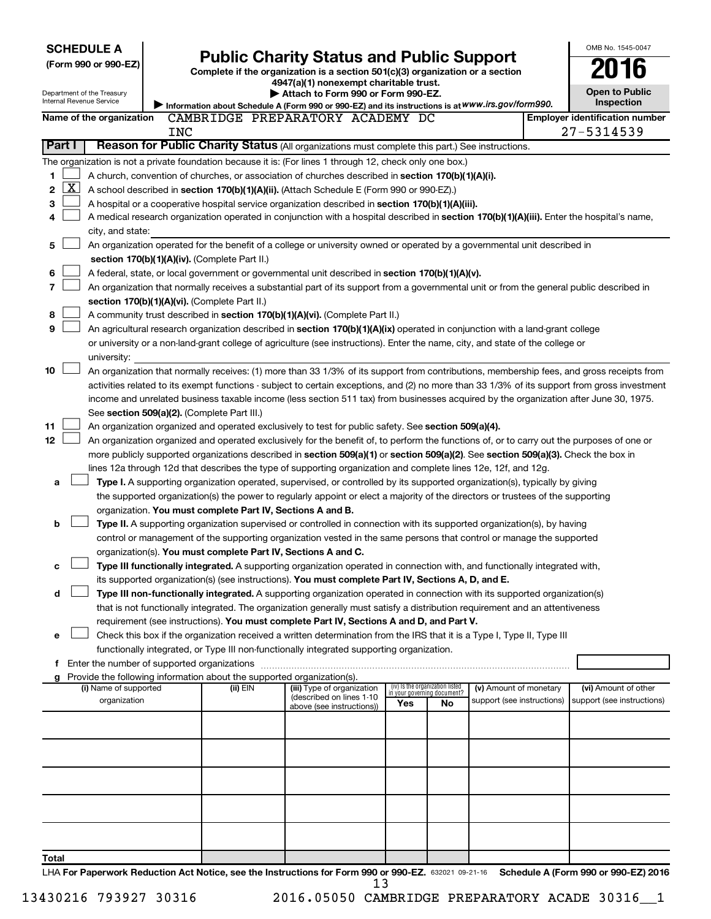| <b>SCHEDULE A</b>                             |                                                                                                                                                                                                                                                      |                                                                        |                                                                                                                                               |     |                                                                |                                                      | OMB No. 1545-0047                                  |
|-----------------------------------------------|------------------------------------------------------------------------------------------------------------------------------------------------------------------------------------------------------------------------------------------------------|------------------------------------------------------------------------|-----------------------------------------------------------------------------------------------------------------------------------------------|-----|----------------------------------------------------------------|------------------------------------------------------|----------------------------------------------------|
| (Form 990 or 990-EZ)                          |                                                                                                                                                                                                                                                      |                                                                        | <b>Public Charity Status and Public Support</b>                                                                                               |     |                                                                |                                                      | 016                                                |
|                                               |                                                                                                                                                                                                                                                      |                                                                        | Complete if the organization is a section 501(c)(3) organization or a section<br>4947(a)(1) nonexempt charitable trust.                       |     |                                                                |                                                      |                                                    |
| Department of the Treasury                    |                                                                                                                                                                                                                                                      |                                                                        | Attach to Form 990 or Form 990-EZ.                                                                                                            |     |                                                                |                                                      | <b>Open to Public</b>                              |
| Internal Revenue Service                      |                                                                                                                                                                                                                                                      |                                                                        | Information about Schedule A (Form 990 or 990-EZ) and its instructions is at WWW.irs.gov/form990.                                             |     |                                                                |                                                      | Inspection                                         |
| Name of the organization                      |                                                                                                                                                                                                                                                      |                                                                        | CAMBRIDGE PREPARATORY ACADEMY DC                                                                                                              |     |                                                                |                                                      | <b>Employer identification number</b>              |
|                                               | <b>INC</b>                                                                                                                                                                                                                                           |                                                                        |                                                                                                                                               |     |                                                                |                                                      | 27-5314539                                         |
| Part I                                        |                                                                                                                                                                                                                                                      |                                                                        | Reason for Public Charity Status (All organizations must complete this part.) See instructions.                                               |     |                                                                |                                                      |                                                    |
|                                               |                                                                                                                                                                                                                                                      |                                                                        | The organization is not a private foundation because it is: (For lines 1 through 12, check only one box.)                                     |     |                                                                |                                                      |                                                    |
| 1                                             |                                                                                                                                                                                                                                                      |                                                                        | A church, convention of churches, or association of churches described in section 170(b)(1)(A)(i).                                            |     |                                                                |                                                      |                                                    |
| $\mathbf{X}$<br>2                             |                                                                                                                                                                                                                                                      |                                                                        | A school described in section 170(b)(1)(A)(ii). (Attach Schedule E (Form 990 or 990-EZ).)                                                     |     |                                                                |                                                      |                                                    |
| 3                                             |                                                                                                                                                                                                                                                      |                                                                        |                                                                                                                                               |     |                                                                |                                                      |                                                    |
|                                               | A hospital or a cooperative hospital service organization described in section 170(b)(1)(A)(iii).<br>A medical research organization operated in conjunction with a hospital described in section 170(b)(1)(A)(iii). Enter the hospital's name,<br>4 |                                                                        |                                                                                                                                               |     |                                                                |                                                      |                                                    |
| city, and state:                              |                                                                                                                                                                                                                                                      |                                                                        |                                                                                                                                               |     |                                                                |                                                      |                                                    |
| 5                                             |                                                                                                                                                                                                                                                      |                                                                        | An organization operated for the benefit of a college or university owned or operated by a governmental unit described in                     |     |                                                                |                                                      |                                                    |
|                                               |                                                                                                                                                                                                                                                      | section 170(b)(1)(A)(iv). (Complete Part II.)                          |                                                                                                                                               |     |                                                                |                                                      |                                                    |
|                                               |                                                                                                                                                                                                                                                      |                                                                        |                                                                                                                                               |     |                                                                |                                                      |                                                    |
| 6                                             |                                                                                                                                                                                                                                                      |                                                                        | A federal, state, or local government or governmental unit described in section 170(b)(1)(A)(v).                                              |     |                                                                |                                                      |                                                    |
| 7                                             |                                                                                                                                                                                                                                                      |                                                                        | An organization that normally receives a substantial part of its support from a governmental unit or from the general public described in     |     |                                                                |                                                      |                                                    |
|                                               |                                                                                                                                                                                                                                                      | section 170(b)(1)(A)(vi). (Complete Part II.)                          |                                                                                                                                               |     |                                                                |                                                      |                                                    |
| 8                                             |                                                                                                                                                                                                                                                      |                                                                        | A community trust described in section 170(b)(1)(A)(vi). (Complete Part II.)                                                                  |     |                                                                |                                                      |                                                    |
| 9                                             |                                                                                                                                                                                                                                                      |                                                                        | An agricultural research organization described in section 170(b)(1)(A)(ix) operated in conjunction with a land-grant college                 |     |                                                                |                                                      |                                                    |
|                                               |                                                                                                                                                                                                                                                      |                                                                        | or university or a non-land-grant college of agriculture (see instructions). Enter the name, city, and state of the college or                |     |                                                                |                                                      |                                                    |
| university:                                   |                                                                                                                                                                                                                                                      |                                                                        |                                                                                                                                               |     |                                                                |                                                      |                                                    |
| 10                                            |                                                                                                                                                                                                                                                      |                                                                        | An organization that normally receives: (1) more than 33 1/3% of its support from contributions, membership fees, and gross receipts from     |     |                                                                |                                                      |                                                    |
|                                               |                                                                                                                                                                                                                                                      |                                                                        | activities related to its exempt functions - subject to certain exceptions, and (2) no more than 33 1/3% of its support from gross investment |     |                                                                |                                                      |                                                    |
|                                               |                                                                                                                                                                                                                                                      |                                                                        | income and unrelated business taxable income (less section 511 tax) from businesses acquired by the organization after June 30, 1975.         |     |                                                                |                                                      |                                                    |
|                                               |                                                                                                                                                                                                                                                      | See section 509(a)(2). (Complete Part III.)                            |                                                                                                                                               |     |                                                                |                                                      |                                                    |
| 11                                            |                                                                                                                                                                                                                                                      |                                                                        | An organization organized and operated exclusively to test for public safety. See section 509(a)(4).                                          |     |                                                                |                                                      |                                                    |
| 12 <sub>2</sub>                               |                                                                                                                                                                                                                                                      |                                                                        | An organization organized and operated exclusively for the benefit of, to perform the functions of, or to carry out the purposes of one or    |     |                                                                |                                                      |                                                    |
|                                               |                                                                                                                                                                                                                                                      |                                                                        | more publicly supported organizations described in section 509(a)(1) or section 509(a)(2). See section 509(a)(3). Check the box in            |     |                                                                |                                                      |                                                    |
|                                               |                                                                                                                                                                                                                                                      |                                                                        | lines 12a through 12d that describes the type of supporting organization and complete lines 12e, 12f, and 12g.                                |     |                                                                |                                                      |                                                    |
| a                                             |                                                                                                                                                                                                                                                      |                                                                        | Type I. A supporting organization operated, supervised, or controlled by its supported organization(s), typically by giving                   |     |                                                                |                                                      |                                                    |
|                                               |                                                                                                                                                                                                                                                      |                                                                        | the supported organization(s) the power to regularly appoint or elect a majority of the directors or trustees of the supporting               |     |                                                                |                                                      |                                                    |
|                                               |                                                                                                                                                                                                                                                      | organization. You must complete Part IV, Sections A and B.             |                                                                                                                                               |     |                                                                |                                                      |                                                    |
| b                                             |                                                                                                                                                                                                                                                      |                                                                        | Type II. A supporting organization supervised or controlled in connection with its supported organization(s), by having                       |     |                                                                |                                                      |                                                    |
|                                               |                                                                                                                                                                                                                                                      |                                                                        | control or management of the supporting organization vested in the same persons that control or manage the supported                          |     |                                                                |                                                      |                                                    |
|                                               |                                                                                                                                                                                                                                                      | organization(s). You must complete Part IV, Sections A and C.          |                                                                                                                                               |     |                                                                |                                                      |                                                    |
|                                               |                                                                                                                                                                                                                                                      |                                                                        | Type III functionally integrated. A supporting organization operated in connection with, and functionally integrated with,                    |     |                                                                |                                                      |                                                    |
|                                               |                                                                                                                                                                                                                                                      |                                                                        | its supported organization(s) (see instructions). You must complete Part IV, Sections A, D, and E.                                            |     |                                                                |                                                      |                                                    |
| d                                             |                                                                                                                                                                                                                                                      |                                                                        | Type III non-functionally integrated. A supporting organization operated in connection with its supported organization(s)                     |     |                                                                |                                                      |                                                    |
|                                               |                                                                                                                                                                                                                                                      |                                                                        | that is not functionally integrated. The organization generally must satisfy a distribution requirement and an attentiveness                  |     |                                                                |                                                      |                                                    |
|                                               |                                                                                                                                                                                                                                                      |                                                                        | requirement (see instructions). You must complete Part IV, Sections A and D, and Part V.                                                      |     |                                                                |                                                      |                                                    |
| е                                             |                                                                                                                                                                                                                                                      |                                                                        | Check this box if the organization received a written determination from the IRS that it is a Type I, Type II, Type III                       |     |                                                                |                                                      |                                                    |
|                                               |                                                                                                                                                                                                                                                      |                                                                        | functionally integrated, or Type III non-functionally integrated supporting organization.                                                     |     |                                                                |                                                      |                                                    |
| f Enter the number of supported organizations |                                                                                                                                                                                                                                                      |                                                                        |                                                                                                                                               |     |                                                                |                                                      |                                                    |
|                                               |                                                                                                                                                                                                                                                      | Provide the following information about the supported organization(s). |                                                                                                                                               |     |                                                                |                                                      |                                                    |
| (i) Name of supported                         |                                                                                                                                                                                                                                                      | (ii) EIN                                                               | (iii) Type of organization<br>(described on lines 1-10                                                                                        |     | (iv) Is the organization listed<br>in your governing document? | (v) Amount of monetary<br>support (see instructions) | (vi) Amount of other<br>support (see instructions) |
| organization                                  |                                                                                                                                                                                                                                                      |                                                                        | above (see instructions))                                                                                                                     | Yes | No                                                             |                                                      |                                                    |
|                                               |                                                                                                                                                                                                                                                      |                                                                        |                                                                                                                                               |     |                                                                |                                                      |                                                    |
|                                               |                                                                                                                                                                                                                                                      |                                                                        |                                                                                                                                               |     |                                                                |                                                      |                                                    |
|                                               |                                                                                                                                                                                                                                                      |                                                                        |                                                                                                                                               |     |                                                                |                                                      |                                                    |
|                                               |                                                                                                                                                                                                                                                      |                                                                        |                                                                                                                                               |     |                                                                |                                                      |                                                    |
|                                               |                                                                                                                                                                                                                                                      |                                                                        |                                                                                                                                               |     |                                                                |                                                      |                                                    |
|                                               |                                                                                                                                                                                                                                                      |                                                                        |                                                                                                                                               |     |                                                                |                                                      |                                                    |
|                                               |                                                                                                                                                                                                                                                      |                                                                        |                                                                                                                                               |     |                                                                |                                                      |                                                    |
|                                               |                                                                                                                                                                                                                                                      |                                                                        |                                                                                                                                               |     |                                                                |                                                      |                                                    |
|                                               |                                                                                                                                                                                                                                                      |                                                                        |                                                                                                                                               |     |                                                                |                                                      |                                                    |
|                                               |                                                                                                                                                                                                                                                      |                                                                        |                                                                                                                                               |     |                                                                |                                                      |                                                    |
| Total                                         |                                                                                                                                                                                                                                                      |                                                                        |                                                                                                                                               |     |                                                                |                                                      |                                                    |

LHA For Paperwork Reduction Act Notice, see the Instructions for Form 990 or 990-EZ. 632021 09-21-16 Schedule A (Form 990 or 990-EZ) 2016 13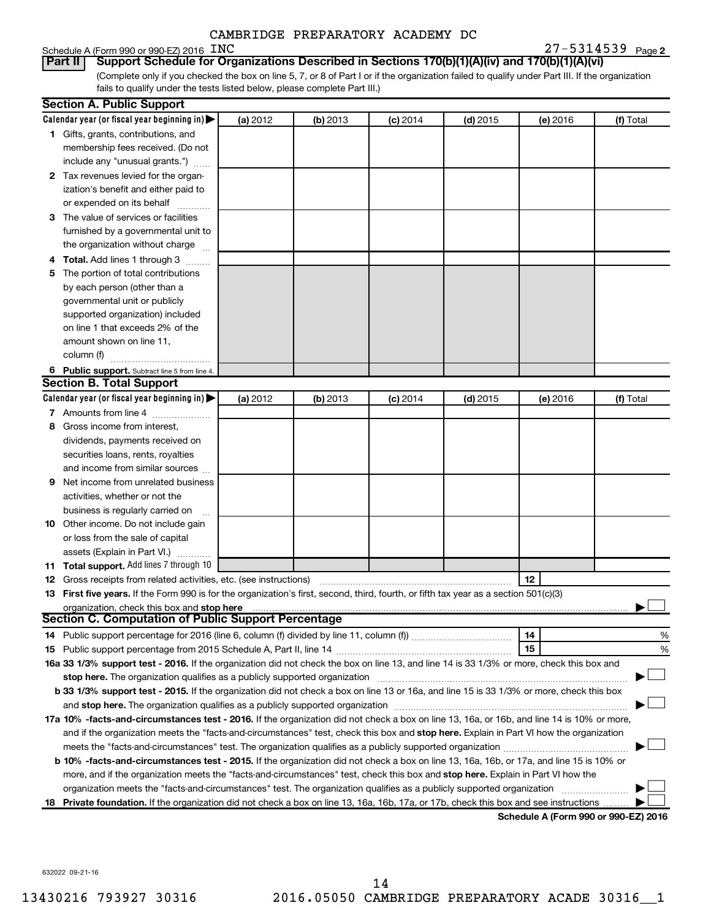# Schedule A (Form 990 or 990-EZ) 2016 INC

**2** INC 27-5314539

(Complete only if you checked the box on line 5, 7, or 8 of Part I or if the organization failed to qualify under Part III. If the organization fails to qualify under the tests listed below, please complete Part III.) **Part II Support Schedule for Organizations Described in Sections 170(b)(1)(A)(iv) and 170(b)(1)(A)(vi)**

|   | <b>Section A. Public Support</b>                                                                                                                                                                                               |          |          |            |            |          |                                      |
|---|--------------------------------------------------------------------------------------------------------------------------------------------------------------------------------------------------------------------------------|----------|----------|------------|------------|----------|--------------------------------------|
|   | Calendar year (or fiscal year beginning in)                                                                                                                                                                                    | (a) 2012 | (b) 2013 | $(c)$ 2014 | $(d)$ 2015 | (e) 2016 | (f) Total                            |
|   | 1 Gifts, grants, contributions, and                                                                                                                                                                                            |          |          |            |            |          |                                      |
|   | membership fees received. (Do not                                                                                                                                                                                              |          |          |            |            |          |                                      |
|   | include any "unusual grants.")                                                                                                                                                                                                 |          |          |            |            |          |                                      |
|   | 2 Tax revenues levied for the organ-                                                                                                                                                                                           |          |          |            |            |          |                                      |
|   | ization's benefit and either paid to                                                                                                                                                                                           |          |          |            |            |          |                                      |
|   | or expended on its behalf                                                                                                                                                                                                      |          |          |            |            |          |                                      |
|   | 3 The value of services or facilities                                                                                                                                                                                          |          |          |            |            |          |                                      |
|   | furnished by a governmental unit to                                                                                                                                                                                            |          |          |            |            |          |                                      |
|   | the organization without charge                                                                                                                                                                                                |          |          |            |            |          |                                      |
|   | 4 Total. Add lines 1 through 3                                                                                                                                                                                                 |          |          |            |            |          |                                      |
|   | 5 The portion of total contributions                                                                                                                                                                                           |          |          |            |            |          |                                      |
|   | by each person (other than a                                                                                                                                                                                                   |          |          |            |            |          |                                      |
|   | governmental unit or publicly                                                                                                                                                                                                  |          |          |            |            |          |                                      |
|   | supported organization) included                                                                                                                                                                                               |          |          |            |            |          |                                      |
|   | on line 1 that exceeds 2% of the                                                                                                                                                                                               |          |          |            |            |          |                                      |
|   | amount shown on line 11,                                                                                                                                                                                                       |          |          |            |            |          |                                      |
|   | column (f)                                                                                                                                                                                                                     |          |          |            |            |          |                                      |
|   | 6 Public support. Subtract line 5 from line 4.                                                                                                                                                                                 |          |          |            |            |          |                                      |
|   | <b>Section B. Total Support</b>                                                                                                                                                                                                |          |          |            |            |          |                                      |
|   | Calendar year (or fiscal year beginning in)                                                                                                                                                                                    | (a) 2012 | (b) 2013 | $(c)$ 2014 | $(d)$ 2015 | (e) 2016 | (f) Total                            |
|   | 7 Amounts from line 4                                                                                                                                                                                                          |          |          |            |            |          |                                      |
|   | 8 Gross income from interest,                                                                                                                                                                                                  |          |          |            |            |          |                                      |
|   | dividends, payments received on                                                                                                                                                                                                |          |          |            |            |          |                                      |
|   | securities loans, rents, royalties                                                                                                                                                                                             |          |          |            |            |          |                                      |
|   | and income from similar sources                                                                                                                                                                                                |          |          |            |            |          |                                      |
| 9 | Net income from unrelated business                                                                                                                                                                                             |          |          |            |            |          |                                      |
|   | activities, whether or not the                                                                                                                                                                                                 |          |          |            |            |          |                                      |
|   | business is regularly carried on                                                                                                                                                                                               |          |          |            |            |          |                                      |
|   | 10 Other income. Do not include gain                                                                                                                                                                                           |          |          |            |            |          |                                      |
|   | or loss from the sale of capital                                                                                                                                                                                               |          |          |            |            |          |                                      |
|   | assets (Explain in Part VI.)                                                                                                                                                                                                   |          |          |            |            |          |                                      |
|   | 11 Total support. Add lines 7 through 10                                                                                                                                                                                       |          |          |            |            |          |                                      |
|   | <b>12</b> Gross receipts from related activities, etc. (see instructions)                                                                                                                                                      |          |          |            |            | 12       |                                      |
|   | 13 First five years. If the Form 990 is for the organization's first, second, third, fourth, or fifth tax year as a section 501(c)(3)                                                                                          |          |          |            |            |          |                                      |
|   | organization, check this box and stop here                                                                                                                                                                                     |          |          |            |            |          |                                      |
|   | <b>Section C. Computation of Public Support Percentage</b>                                                                                                                                                                     |          |          |            |            |          |                                      |
|   |                                                                                                                                                                                                                                |          |          |            |            | 14       | %                                    |
|   |                                                                                                                                                                                                                                |          |          |            |            | 15       | %                                    |
|   | 16a 33 1/3% support test - 2016. If the organization did not check the box on line 13, and line 14 is 33 1/3% or more, check this box and                                                                                      |          |          |            |            |          |                                      |
|   | stop here. The organization qualifies as a publicly supported organization                                                                                                                                                     |          |          |            |            |          |                                      |
|   | b 33 1/3% support test - 2015. If the organization did not check a box on line 13 or 16a, and line 15 is 33 1/3% or more, check this box                                                                                       |          |          |            |            |          |                                      |
|   | and stop here. The organization qualifies as a publicly supported organization matching material content and stop here. The organization qualifies as a publicly supported organization material and an analyze of the stop ha |          |          |            |            |          |                                      |
|   | 17a 10% -facts-and-circumstances test - 2016. If the organization did not check a box on line 13, 16a, or 16b, and line 14 is 10% or more,                                                                                     |          |          |            |            |          |                                      |
|   | and if the organization meets the "facts-and-circumstances" test, check this box and stop here. Explain in Part VI how the organization                                                                                        |          |          |            |            |          |                                      |
|   |                                                                                                                                                                                                                                |          |          |            |            |          |                                      |
|   | b 10% -facts-and-circumstances test - 2015. If the organization did not check a box on line 13, 16a, 16b, or 17a, and line 15 is 10% or                                                                                        |          |          |            |            |          |                                      |
|   | more, and if the organization meets the "facts-and-circumstances" test, check this box and stop here. Explain in Part VI how the                                                                                               |          |          |            |            |          |                                      |
|   | organization meets the "facts-and-circumstances" test. The organization qualifies as a publicly supported organization                                                                                                         |          |          |            |            |          |                                      |
|   | 18 Private foundation. If the organization did not check a box on line 13, 16a, 16b, 17a, or 17b, check this box and see instructions                                                                                          |          |          |            |            |          |                                      |
|   |                                                                                                                                                                                                                                |          |          |            |            |          | Schodule A (Form 000 or 000 F7) 2016 |

**Schedule A (Form 990 or 990-EZ) 2016**

632022 09-21-16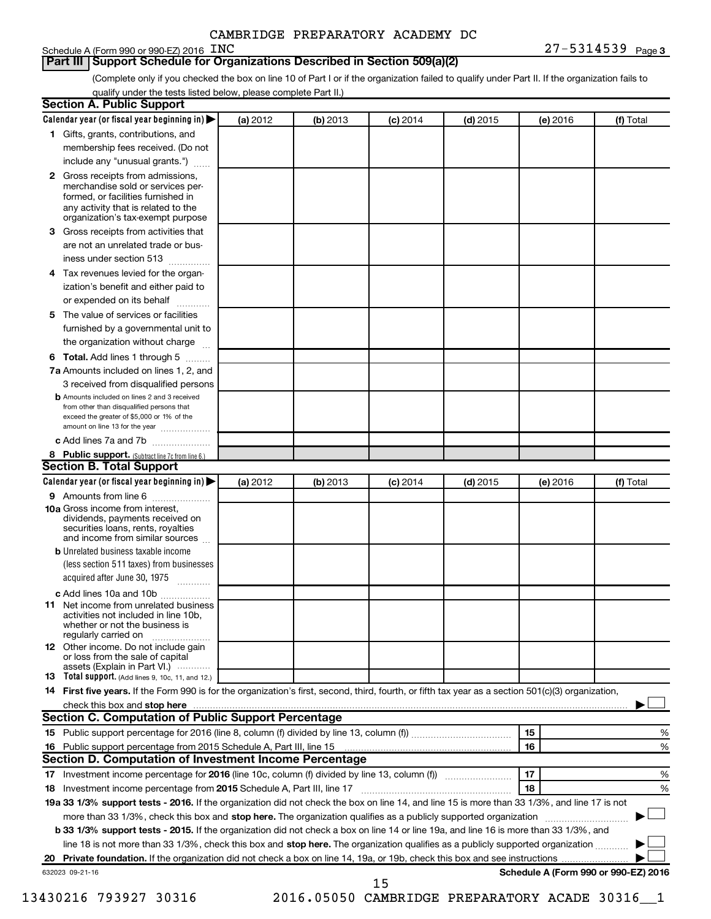# Schedule A (Form 990 or 990-EZ) 2016 INC

**Part III Support Schedule for Organizations Described in Section 509(a)(2)** 

(Complete only if you checked the box on line 10 of Part I or if the organization failed to qualify under Part II. If the organization fails to qualify under the tests listed below, please complete Part II.)

| <b>Section A. Public Support</b>                                                                                                                                                                                                        |          |          |                 |            |          |                                      |
|-----------------------------------------------------------------------------------------------------------------------------------------------------------------------------------------------------------------------------------------|----------|----------|-----------------|------------|----------|--------------------------------------|
| Calendar year (or fiscal year beginning in)                                                                                                                                                                                             | (a) 2012 | (b) 2013 | $(c)$ 2014      | $(d)$ 2015 | (e) 2016 | (f) Total                            |
| 1 Gifts, grants, contributions, and                                                                                                                                                                                                     |          |          |                 |            |          |                                      |
| membership fees received. (Do not                                                                                                                                                                                                       |          |          |                 |            |          |                                      |
| include any "unusual grants.")                                                                                                                                                                                                          |          |          |                 |            |          |                                      |
| 2 Gross receipts from admissions,<br>merchandise sold or services per-<br>formed, or facilities furnished in<br>any activity that is related to the<br>organization's tax-exempt purpose                                                |          |          |                 |            |          |                                      |
| 3 Gross receipts from activities that                                                                                                                                                                                                   |          |          |                 |            |          |                                      |
| are not an unrelated trade or bus-<br>iness under section 513                                                                                                                                                                           |          |          |                 |            |          |                                      |
| 4 Tax revenues levied for the organ-                                                                                                                                                                                                    |          |          |                 |            |          |                                      |
| ization's benefit and either paid to                                                                                                                                                                                                    |          |          |                 |            |          |                                      |
| or expended on its behalf                                                                                                                                                                                                               |          |          |                 |            |          |                                      |
| 5 The value of services or facilities<br>furnished by a governmental unit to                                                                                                                                                            |          |          |                 |            |          |                                      |
| the organization without charge                                                                                                                                                                                                         |          |          |                 |            |          |                                      |
|                                                                                                                                                                                                                                         |          |          |                 |            |          |                                      |
| 6 Total. Add lines 1 through 5                                                                                                                                                                                                          |          |          |                 |            |          |                                      |
| 7a Amounts included on lines 1, 2, and<br>3 received from disqualified persons                                                                                                                                                          |          |          |                 |            |          |                                      |
| <b>b</b> Amounts included on lines 2 and 3 received<br>from other than disqualified persons that<br>exceed the greater of \$5,000 or 1% of the<br>amount on line 13 for the year                                                        |          |          |                 |            |          |                                      |
| c Add lines 7a and 7b                                                                                                                                                                                                                   |          |          |                 |            |          |                                      |
| 8 Public support. (Subtract line 7c from line 6.)                                                                                                                                                                                       |          |          |                 |            |          |                                      |
| <b>Section B. Total Support</b>                                                                                                                                                                                                         |          |          |                 |            |          |                                      |
| Calendar year (or fiscal year beginning in)                                                                                                                                                                                             | (a) 2012 | (b) 2013 | <b>(c)</b> 2014 | $(d)$ 2015 | (e) 2016 | (f) Total                            |
| 9 Amounts from line 6                                                                                                                                                                                                                   |          |          |                 |            |          |                                      |
| <b>10a</b> Gross income from interest,<br>dividends, payments received on<br>securities loans, rents, royalties<br>and income from similar sources                                                                                      |          |          |                 |            |          |                                      |
| <b>b</b> Unrelated business taxable income<br>(less section 511 taxes) from businesses                                                                                                                                                  |          |          |                 |            |          |                                      |
| acquired after June 30, 1975                                                                                                                                                                                                            |          |          |                 |            |          |                                      |
| c Add lines 10a and 10b                                                                                                                                                                                                                 |          |          |                 |            |          |                                      |
| <b>11</b> Net income from unrelated business<br>activities not included in line 10b.<br>whether or not the business is<br>regularly carried on                                                                                          |          |          |                 |            |          |                                      |
| 12 Other income. Do not include gain<br>or loss from the sale of capital<br>assets (Explain in Part VI.)                                                                                                                                |          |          |                 |            |          |                                      |
| <b>13</b> Total support. (Add lines 9, 10c, 11, and 12.)                                                                                                                                                                                |          |          |                 |            |          |                                      |
| 14 First five years. If the Form 990 is for the organization's first, second, third, fourth, or fifth tax year as a section 501(c)(3) organization,                                                                                     |          |          |                 |            |          |                                      |
| check this box and stop here <b>contained and the contained and stop here</b> check this box and stop here <b>contained and the contained and stop here</b> contained and stop here contained and and stop here contained and stop here |          |          |                 |            |          |                                      |
| Section C. Computation of Public Support Percentage                                                                                                                                                                                     |          |          |                 |            |          |                                      |
|                                                                                                                                                                                                                                         |          |          |                 |            | 15       | ℅                                    |
|                                                                                                                                                                                                                                         |          |          |                 |            | 16       | %                                    |
| Section D. Computation of Investment Income Percentage                                                                                                                                                                                  |          |          |                 |            |          |                                      |
|                                                                                                                                                                                                                                         |          |          |                 |            | 17       | %                                    |
| 18 Investment income percentage from 2015 Schedule A, Part III, line 17                                                                                                                                                                 |          |          |                 |            | 18       | %                                    |
| 19a 33 1/3% support tests - 2016. If the organization did not check the box on line 14, and line 15 is more than 33 1/3%, and line 17 is not                                                                                            |          |          |                 |            |          |                                      |
| more than 33 1/3%, check this box and stop here. The organization qualifies as a publicly supported organization                                                                                                                        |          |          |                 |            |          |                                      |
| b 33 1/3% support tests - 2015. If the organization did not check a box on line 14 or line 19a, and line 16 is more than 33 1/3%, and                                                                                                   |          |          |                 |            |          |                                      |
| line 18 is not more than 33 1/3%, check this box and stop here. The organization qualifies as a publicly supported organization                                                                                                         |          |          |                 |            |          |                                      |
|                                                                                                                                                                                                                                         |          |          |                 |            |          |                                      |
| 632023 09-21-16                                                                                                                                                                                                                         |          |          | 15              |            |          | Schedule A (Form 990 or 990-EZ) 2016 |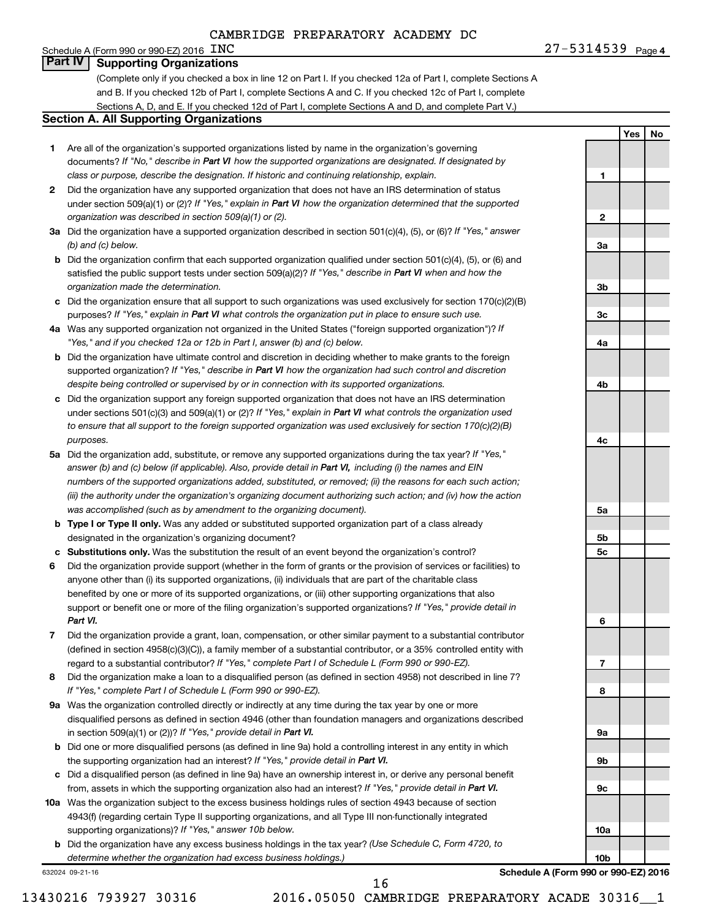Schedule A (Form 990 or 990-EZ) 2016  $\overline{\text{INC}}$ 

**1**

**2**

**3a**

**3b**

**3c**

**4a**

**4b**

**4c**

**5a**

**5b 5c**

**6**

**7**

**8**

**9a**

**9b**

**9c**

**10a**

**10b**

**Yes No**

# **Part IV Supporting Organizations**

(Complete only if you checked a box in line 12 on Part I. If you checked 12a of Part I, complete Sections A and B. If you checked 12b of Part I, complete Sections A and C. If you checked 12c of Part I, complete Sections A, D, and E. If you checked 12d of Part I, complete Sections A and D, and complete Part V.)

## **Section A. All Supporting Organizations**

- **1** Are all of the organization's supported organizations listed by name in the organization's governing documents? If "No," describe in Part VI how the supported organizations are designated. If designated by *class or purpose, describe the designation. If historic and continuing relationship, explain.*
- **2** Did the organization have any supported organization that does not have an IRS determination of status under section 509(a)(1) or (2)? If "Yes," explain in Part VI how the organization determined that the supported *organization was described in section 509(a)(1) or (2).*
- **3a** Did the organization have a supported organization described in section 501(c)(4), (5), or (6)? If "Yes," answer *(b) and (c) below.*
- **b** Did the organization confirm that each supported organization qualified under section 501(c)(4), (5), or (6) and satisfied the public support tests under section 509(a)(2)? If "Yes," describe in Part VI when and how the *organization made the determination.*
- **c** Did the organization ensure that all support to such organizations was used exclusively for section 170(c)(2)(B) purposes? If "Yes," explain in Part VI what controls the organization put in place to ensure such use.
- **4 a** *If* Was any supported organization not organized in the United States ("foreign supported organization")? *"Yes," and if you checked 12a or 12b in Part I, answer (b) and (c) below.*
- **b** Did the organization have ultimate control and discretion in deciding whether to make grants to the foreign supported organization? If "Yes," describe in Part VI how the organization had such control and discretion *despite being controlled or supervised by or in connection with its supported organizations.*
- **c** Did the organization support any foreign supported organization that does not have an IRS determination under sections 501(c)(3) and 509(a)(1) or (2)? If "Yes," explain in Part VI what controls the organization used *to ensure that all support to the foreign supported organization was used exclusively for section 170(c)(2)(B) purposes.*
- **5a** Did the organization add, substitute, or remove any supported organizations during the tax year? If "Yes," answer (b) and (c) below (if applicable). Also, provide detail in Part VI, including (i) the names and EIN *numbers of the supported organizations added, substituted, or removed; (ii) the reasons for each such action; (iii) the authority under the organization's organizing document authorizing such action; and (iv) how the action was accomplished (such as by amendment to the organizing document).*
- **b Type I or Type II only.** Was any added or substituted supported organization part of a class already designated in the organization's organizing document?
- **c Substitutions only.**  Was the substitution the result of an event beyond the organization's control?
- **6** Did the organization provide support (whether in the form of grants or the provision of services or facilities) to support or benefit one or more of the filing organization's supported organizations? If "Yes," provide detail in anyone other than (i) its supported organizations, (ii) individuals that are part of the charitable class benefited by one or more of its supported organizations, or (iii) other supporting organizations that also *Part VI.*
- **7** Did the organization provide a grant, loan, compensation, or other similar payment to a substantial contributor regard to a substantial contributor? If "Yes," complete Part I of Schedule L (Form 990 or 990-EZ). (defined in section 4958(c)(3)(C)), a family member of a substantial contributor, or a 35% controlled entity with
- **8** Did the organization make a loan to a disqualified person (as defined in section 4958) not described in line 7? *If "Yes," complete Part I of Schedule L (Form 990 or 990-EZ).*
- **9 a** Was the organization controlled directly or indirectly at any time during the tax year by one or more in section 509(a)(1) or (2))? If "Yes," provide detail in Part VI. disqualified persons as defined in section 4946 (other than foundation managers and organizations described
- **b** Did one or more disqualified persons (as defined in line 9a) hold a controlling interest in any entity in which the supporting organization had an interest? If "Yes," provide detail in Part VI.
- **c** Did a disqualified person (as defined in line 9a) have an ownership interest in, or derive any personal benefit from, assets in which the supporting organization also had an interest? If "Yes," provide detail in Part VI.
- **10 a** Was the organization subject to the excess business holdings rules of section 4943 because of section supporting organizations)? If "Yes," answer 10b below. 4943(f) (regarding certain Type II supporting organizations, and all Type III non-functionally integrated
	- **b** Did the organization have any excess business holdings in the tax year? (Use Schedule C, Form 4720, to *determine whether the organization had excess business holdings.)*

632024 09-21-16

**Schedule A (Form 990 or 990-EZ) 2016**

16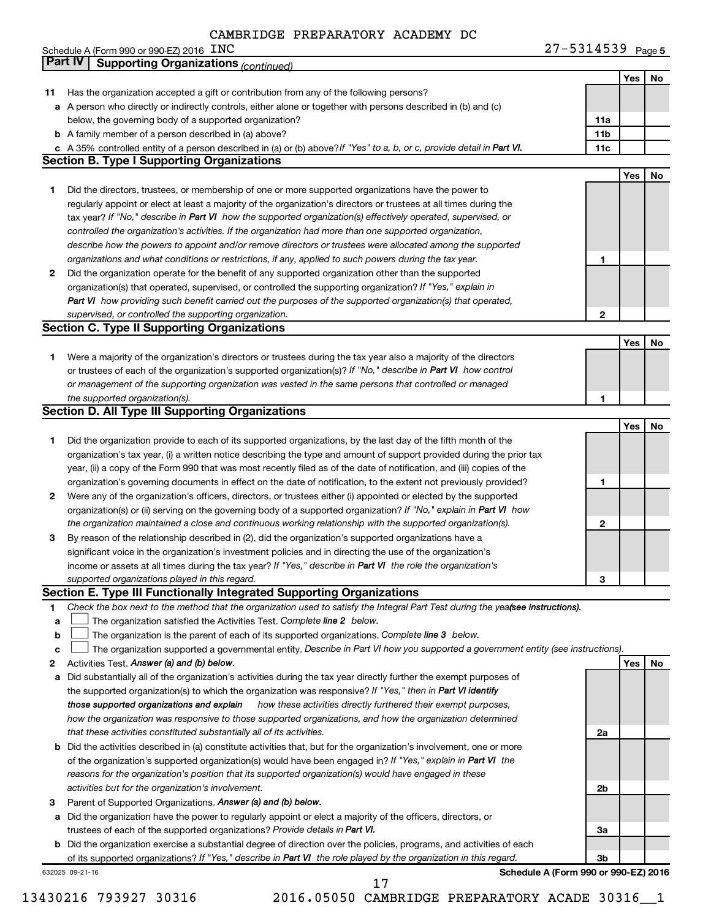|        | Schedule A (Form 990 or 990-EZ) 2016 $\,$ $\rm LNC$                                                                                                                                                                              | $27 - 5314539$ Page 5 |            |    |
|--------|----------------------------------------------------------------------------------------------------------------------------------------------------------------------------------------------------------------------------------|-----------------------|------------|----|
|        | Part IV<br><b>Supporting Organizations (continued)</b>                                                                                                                                                                           |                       |            |    |
|        |                                                                                                                                                                                                                                  |                       | Yes        | No |
| 11     | Has the organization accepted a gift or contribution from any of the following persons?                                                                                                                                          |                       |            |    |
|        | a A person who directly or indirectly controls, either alone or together with persons described in (b) and (c)                                                                                                                   |                       |            |    |
|        | below, the governing body of a supported organization?                                                                                                                                                                           | 11a                   |            |    |
|        | <b>b</b> A family member of a person described in (a) above?                                                                                                                                                                     | 11 <sub>b</sub>       |            |    |
|        | c A 35% controlled entity of a person described in (a) or (b) above? If "Yes" to a, b, or c, provide detail in Part VI.                                                                                                          | 11c                   |            |    |
|        | <b>Section B. Type I Supporting Organizations</b>                                                                                                                                                                                |                       |            |    |
|        |                                                                                                                                                                                                                                  |                       | Yes        | No |
| 1      | Did the directors, trustees, or membership of one or more supported organizations have the power to                                                                                                                              |                       |            |    |
|        | regularly appoint or elect at least a majority of the organization's directors or trustees at all times during the                                                                                                               |                       |            |    |
|        | tax year? If "No," describe in Part VI how the supported organization(s) effectively operated, supervised, or                                                                                                                    |                       |            |    |
|        | controlled the organization's activities. If the organization had more than one supported organization,                                                                                                                          |                       |            |    |
|        | describe how the powers to appoint and/or remove directors or trustees were allocated among the supported                                                                                                                        |                       |            |    |
|        | organizations and what conditions or restrictions, if any, applied to such powers during the tax year.                                                                                                                           | 1                     |            |    |
| 2      | Did the organization operate for the benefit of any supported organization other than the supported                                                                                                                              |                       |            |    |
|        | organization(s) that operated, supervised, or controlled the supporting organization? If "Yes," explain in                                                                                                                       |                       |            |    |
|        | Part VI how providing such benefit carried out the purposes of the supported organization(s) that operated,                                                                                                                      |                       |            |    |
|        | supervised, or controlled the supporting organization.<br><b>Section C. Type II Supporting Organizations</b>                                                                                                                     | $\mathbf{2}$          |            |    |
|        |                                                                                                                                                                                                                                  |                       | Yes        | No |
| 1.     | Were a majority of the organization's directors or trustees during the tax year also a majority of the directors                                                                                                                 |                       |            |    |
|        | or trustees of each of the organization's supported organization(s)? If "No," describe in Part VI how control                                                                                                                    |                       |            |    |
|        | or management of the supporting organization was vested in the same persons that controlled or managed                                                                                                                           |                       |            |    |
|        | the supported organization(s).                                                                                                                                                                                                   | 1                     |            |    |
|        | <b>Section D. All Type III Supporting Organizations</b>                                                                                                                                                                          |                       |            |    |
|        |                                                                                                                                                                                                                                  |                       | Yes        | No |
| 1.     | Did the organization provide to each of its supported organizations, by the last day of the fifth month of the                                                                                                                   |                       |            |    |
|        | organization's tax year, (i) a written notice describing the type and amount of support provided during the prior tax                                                                                                            |                       |            |    |
|        | year, (ii) a copy of the Form 990 that was most recently filed as of the date of notification, and (iii) copies of the                                                                                                           |                       |            |    |
|        | organization's governing documents in effect on the date of notification, to the extent not previously provided?                                                                                                                 | 1                     |            |    |
| 2      | Were any of the organization's officers, directors, or trustees either (i) appointed or elected by the supported                                                                                                                 |                       |            |    |
|        | organization(s) or (ii) serving on the governing body of a supported organization? If "No," explain in Part VI how                                                                                                               |                       |            |    |
|        | the organization maintained a close and continuous working relationship with the supported organization(s).                                                                                                                      | 2                     |            |    |
| 3      | By reason of the relationship described in (2), did the organization's supported organizations have a                                                                                                                            |                       |            |    |
|        | significant voice in the organization's investment policies and in directing the use of the organization's                                                                                                                       |                       |            |    |
|        | income or assets at all times during the tax year? If "Yes," describe in Part VI the role the organization's                                                                                                                     |                       |            |    |
|        | supported organizations played in this regard.                                                                                                                                                                                   | з                     |            |    |
|        | Section E. Type III Functionally Integrated Supporting Organizations                                                                                                                                                             |                       |            |    |
| 1.     | Check the box next to the method that the organization used to satisfy the Integral Part Test during the yea(see instructions).                                                                                                  |                       |            |    |
| a      | The organization satisfied the Activities Test. Complete line 2 below.                                                                                                                                                           |                       |            |    |
| b      | The organization is the parent of each of its supported organizations. Complete line 3 below.<br>The organization supported a governmental entity. Describe in Part VI how you supported a government entity (see instructions). |                       |            |    |
| с      | Activities Test. Answer (a) and (b) below.                                                                                                                                                                                       |                       | <b>Yes</b> | No |
| 2<br>a | Did substantially all of the organization's activities during the tax year directly further the exempt purposes of                                                                                                               |                       |            |    |
|        | the supported organization(s) to which the organization was responsive? If "Yes," then in Part VI identify                                                                                                                       |                       |            |    |
|        | those supported organizations and explain how these activities directly furthered their exempt purposes,                                                                                                                         |                       |            |    |
|        | how the organization was responsive to those supported organizations, and how the organization determined                                                                                                                        |                       |            |    |
|        | that these activities constituted substantially all of its activities.                                                                                                                                                           | 2a                    |            |    |
| b      | Did the activities described in (a) constitute activities that, but for the organization's involvement, one or more                                                                                                              |                       |            |    |
|        | of the organization's supported organization(s) would have been engaged in? If "Yes," explain in Part VI the                                                                                                                     |                       |            |    |
|        | reasons for the organization's position that its supported organization(s) would have engaged in these                                                                                                                           |                       |            |    |
|        | activities but for the organization's involvement.                                                                                                                                                                               | 2b                    |            |    |
| 3      | Parent of Supported Organizations. Answer (a) and (b) below.                                                                                                                                                                     |                       |            |    |
| а      | Did the organization have the power to regularly appoint or elect a majority of the officers, directors, or                                                                                                                      |                       |            |    |
|        | trustees of each of the supported organizations? Provide details in Part VI.                                                                                                                                                     | За                    |            |    |
| b      | Did the organization exercise a substantial degree of direction over the policies, programs, and activities of each                                                                                                              |                       |            |    |
|        | of its supported organizations? If "Yes," describe in Part VI the role played by the organization in this regard.                                                                                                                | 3b                    |            |    |

632025 09-21-16

**Schedule A (Form 990 or 990-EZ) 2016**

17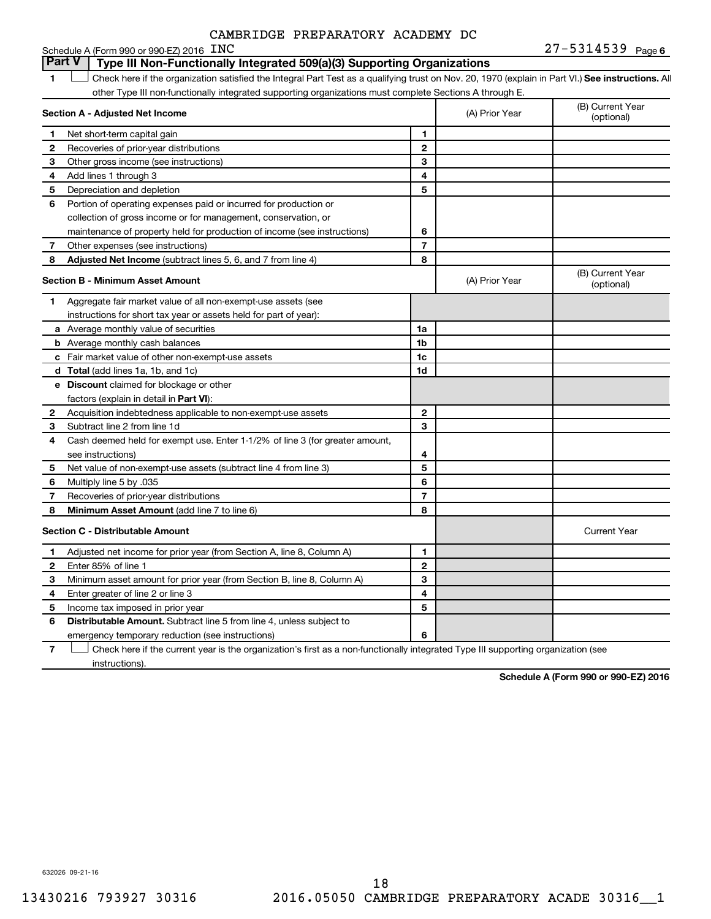| CAMBRIDGE PREPARATORY ACADEMY DC |
|----------------------------------|
|----------------------------------|

#### **FINC** 27-5314539 Page 6 **1 Letter or if the organization satisfied the Integral Part Test as a qualifying trust on Nov. 20, 1970 (explain in Part VI.) See instructions. All Section A - Adjusted Net Income 1 2 3 4 5 6 7 8 1 2 3 4 5 6 7 Adjusted Net Income** (subtract lines 5, 6, and 7 from line 4) **8 8 Section B - Minimum Asset Amount 1 2 3 4 5 6 7 8 a** Average monthly value of securities **b** Average monthly cash balances **c** Fair market value of other non-exempt-use assets **d Total**  (add lines 1a, 1b, and 1c) **e Discount** claimed for blockage or other **1a 1b 1c 1d 2 3 4 5 6 7 8** factors (explain in detail in Part VI): **Minimum Asset Amount**  (add line 7 to line 6) **Section C - Distributable Amount 1 2 3 4 5 6 1 2 3 4 5 6** Distributable Amount. Subtract line 5 from line 4, unless subject to Schedule A (Form 990 or 990-EZ) 2016  $\,$  INC other Type III non-functionally integrated supporting organizations must complete Sections A through E. (B) Current Year (A) Prior Year Net short-term capital gain Recoveries of prior-year distributions Other gross income (see instructions) Add lines 1 through 3 Depreciation and depletion Portion of operating expenses paid or incurred for production or collection of gross income or for management, conservation, or maintenance of property held for production of income (see instructions) Other expenses (see instructions) (B) Current Year  $(A)$  Prior Year  $\left\{\n\begin{array}{ccc}\n\end{array}\n\right\}$  (optional) Aggregate fair market value of all non-exempt-use assets (see instructions for short tax year or assets held for part of year): Acquisition indebtedness applicable to non-exempt-use assets Subtract line 2 from line 1d Cash deemed held for exempt use. Enter 1-1/2% of line 3 (for greater amount, see instructions) Net value of non-exempt-use assets (subtract line 4 from line 3) Multiply line 5 by .035 Recoveries of prior-year distributions Current Year Adjusted net income for prior year (from Section A, line 8, Column A) Enter 85% of line 1 Minimum asset amount for prior year (from Section B, line 8, Column A) Enter greater of line 2 or line 3 Income tax imposed in prior year emergency temporary reduction (see instructions) **Part V Type III Non-Functionally Integrated 509(a)(3) Supporting Organizations**   $\Box$

**7** Check here if the current year is the organization's first as a non-functionally integrated Type III supporting organization (see † instructions).

**Schedule A (Form 990 or 990-EZ) 2016**

632026 09-21-16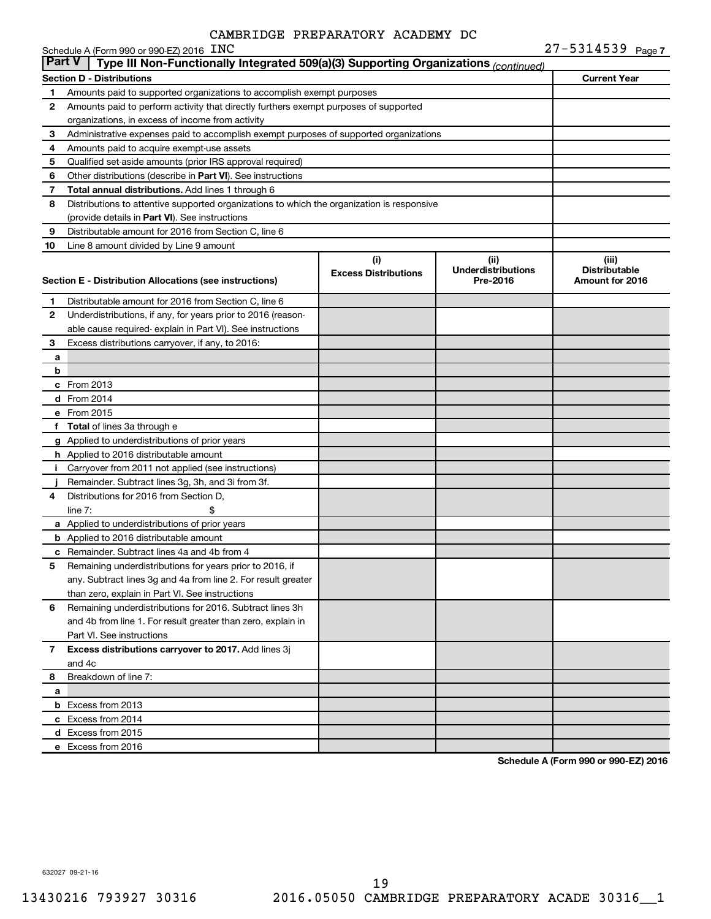|               | Schedule A (Form 990 or 990-EZ) 2016 $\pm$ NC                                              |                                    |                                               | $21 - 5314539$ Page 7                            |  |
|---------------|--------------------------------------------------------------------------------------------|------------------------------------|-----------------------------------------------|--------------------------------------------------|--|
| <b>Part V</b> | Type III Non-Functionally Integrated 509(a)(3) Supporting Organizations (continued)        |                                    |                                               |                                                  |  |
|               | <b>Section D - Distributions</b>                                                           |                                    |                                               | <b>Current Year</b>                              |  |
| 1             | Amounts paid to supported organizations to accomplish exempt purposes                      |                                    |                                               |                                                  |  |
| 2             | Amounts paid to perform activity that directly furthers exempt purposes of supported       |                                    |                                               |                                                  |  |
|               | organizations, in excess of income from activity                                           |                                    |                                               |                                                  |  |
| 3             | Administrative expenses paid to accomplish exempt purposes of supported organizations      |                                    |                                               |                                                  |  |
| 4             | Amounts paid to acquire exempt-use assets                                                  |                                    |                                               |                                                  |  |
| 5             | Qualified set-aside amounts (prior IRS approval required)                                  |                                    |                                               |                                                  |  |
| 6             | Other distributions (describe in Part VI). See instructions                                |                                    |                                               |                                                  |  |
| 7             | <b>Total annual distributions.</b> Add lines 1 through 6                                   |                                    |                                               |                                                  |  |
| 8             | Distributions to attentive supported organizations to which the organization is responsive |                                    |                                               |                                                  |  |
|               | (provide details in Part VI). See instructions                                             |                                    |                                               |                                                  |  |
| 9             | Distributable amount for 2016 from Section C, line 6                                       |                                    |                                               |                                                  |  |
| 10            | Line 8 amount divided by Line 9 amount                                                     |                                    |                                               |                                                  |  |
|               | Section E - Distribution Allocations (see instructions)                                    | (i)<br><b>Excess Distributions</b> | (ii)<br><b>Underdistributions</b><br>Pre-2016 | (iii)<br><b>Distributable</b><br>Amount for 2016 |  |
| 1.            | Distributable amount for 2016 from Section C, line 6                                       |                                    |                                               |                                                  |  |
| 2             | Underdistributions, if any, for years prior to 2016 (reason-                               |                                    |                                               |                                                  |  |
|               | able cause required- explain in Part VI). See instructions                                 |                                    |                                               |                                                  |  |
| 3             | Excess distributions carryover, if any, to 2016:                                           |                                    |                                               |                                                  |  |
| a             |                                                                                            |                                    |                                               |                                                  |  |
| b             |                                                                                            |                                    |                                               |                                                  |  |
|               | c From 2013                                                                                |                                    |                                               |                                                  |  |
|               | <b>d</b> From 2014                                                                         |                                    |                                               |                                                  |  |
|               | e From 2015                                                                                |                                    |                                               |                                                  |  |
|               | f Total of lines 3a through e                                                              |                                    |                                               |                                                  |  |
|               | g Applied to underdistributions of prior years                                             |                                    |                                               |                                                  |  |
|               | h Applied to 2016 distributable amount                                                     |                                    |                                               |                                                  |  |
|               | i Carryover from 2011 not applied (see instructions)                                       |                                    |                                               |                                                  |  |
|               | Remainder. Subtract lines 3g, 3h, and 3i from 3f.                                          |                                    |                                               |                                                  |  |
| 4             | Distributions for 2016 from Section D,                                                     |                                    |                                               |                                                  |  |
|               | line $7:$<br>\$                                                                            |                                    |                                               |                                                  |  |
|               | a Applied to underdistributions of prior years                                             |                                    |                                               |                                                  |  |
|               | <b>b</b> Applied to 2016 distributable amount                                              |                                    |                                               |                                                  |  |
|               | c Remainder. Subtract lines 4a and 4b from 4                                               |                                    |                                               |                                                  |  |
| 5             | Remaining underdistributions for years prior to 2016, if                                   |                                    |                                               |                                                  |  |
|               | any. Subtract lines 3g and 4a from line 2. For result greater                              |                                    |                                               |                                                  |  |
|               | than zero, explain in Part VI. See instructions                                            |                                    |                                               |                                                  |  |
| 6             | Remaining underdistributions for 2016. Subtract lines 3h                                   |                                    |                                               |                                                  |  |
|               | and 4b from line 1. For result greater than zero, explain in                               |                                    |                                               |                                                  |  |
|               | Part VI. See instructions                                                                  |                                    |                                               |                                                  |  |
| 7             | Excess distributions carryover to 2017. Add lines 3j                                       |                                    |                                               |                                                  |  |
|               | and 4c                                                                                     |                                    |                                               |                                                  |  |
| 8             | Breakdown of line 7:                                                                       |                                    |                                               |                                                  |  |
| a             |                                                                                            |                                    |                                               |                                                  |  |
|               | <b>b</b> Excess from 2013                                                                  |                                    |                                               |                                                  |  |
|               | c Excess from 2014                                                                         |                                    |                                               |                                                  |  |
|               | d Excess from 2015                                                                         |                                    |                                               |                                                  |  |
|               | e Excess from 2016                                                                         |                                    |                                               |                                                  |  |

**Schedule A (Form 990 or 990-EZ) 2016**

632027 09-21-16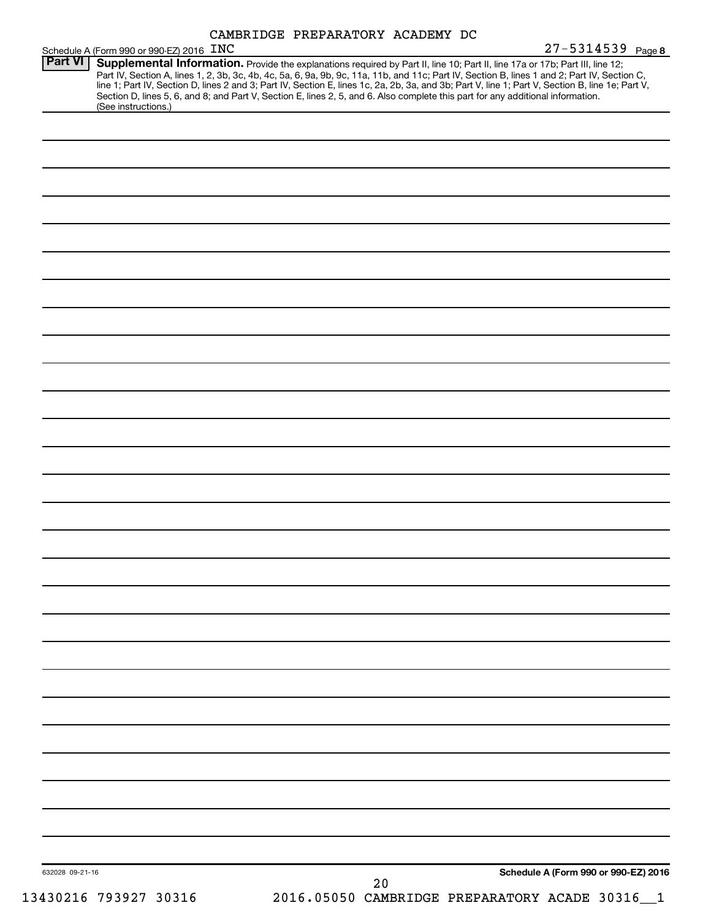| CAMBRIDGE PREPARATORY ACADEMY DC |  |  |  |  |
|----------------------------------|--|--|--|--|
|----------------------------------|--|--|--|--|

|                 | Schedule A (Form 990 or 990-EZ) 2016 INC                                                                                                                                                                                                                                                                                                                                                                                                                                                                                                                                                    |                                                | 27-5314539 Page 8                    |
|-----------------|---------------------------------------------------------------------------------------------------------------------------------------------------------------------------------------------------------------------------------------------------------------------------------------------------------------------------------------------------------------------------------------------------------------------------------------------------------------------------------------------------------------------------------------------------------------------------------------------|------------------------------------------------|--------------------------------------|
| Part VI         | Supplemental Information. Provide the explanations required by Part II, line 10; Part II, line 17a or 17b; Part III, line 12;<br>Part IV, Section A, lines 1, 2, 3b, 3c, 4b, 4c, 5a, 6, 9a, 9b, 9c, 11a, 11b, and 11c; Part IV, Section B, lines 1 and 2; Part IV, Section C,<br>line 1; Part IV, Section D, lines 2 and 3; Part IV, Section E, lines 1c, 2a, 2b, 3a, and 3b; Part V, line 1; Part V, Section B, line 1e; Part V,<br>Section D, lines 5, 6, and 8; and Part V, Section E, lines 2, 5, and 6. Also complete this part for any additional information.<br>(See instructions.) |                                                |                                      |
|                 |                                                                                                                                                                                                                                                                                                                                                                                                                                                                                                                                                                                             |                                                |                                      |
|                 |                                                                                                                                                                                                                                                                                                                                                                                                                                                                                                                                                                                             |                                                |                                      |
|                 |                                                                                                                                                                                                                                                                                                                                                                                                                                                                                                                                                                                             |                                                |                                      |
|                 |                                                                                                                                                                                                                                                                                                                                                                                                                                                                                                                                                                                             |                                                |                                      |
|                 |                                                                                                                                                                                                                                                                                                                                                                                                                                                                                                                                                                                             |                                                |                                      |
|                 |                                                                                                                                                                                                                                                                                                                                                                                                                                                                                                                                                                                             |                                                |                                      |
|                 |                                                                                                                                                                                                                                                                                                                                                                                                                                                                                                                                                                                             |                                                |                                      |
|                 |                                                                                                                                                                                                                                                                                                                                                                                                                                                                                                                                                                                             |                                                |                                      |
|                 |                                                                                                                                                                                                                                                                                                                                                                                                                                                                                                                                                                                             |                                                |                                      |
|                 |                                                                                                                                                                                                                                                                                                                                                                                                                                                                                                                                                                                             |                                                |                                      |
|                 |                                                                                                                                                                                                                                                                                                                                                                                                                                                                                                                                                                                             |                                                |                                      |
|                 |                                                                                                                                                                                                                                                                                                                                                                                                                                                                                                                                                                                             |                                                |                                      |
|                 |                                                                                                                                                                                                                                                                                                                                                                                                                                                                                                                                                                                             |                                                |                                      |
|                 |                                                                                                                                                                                                                                                                                                                                                                                                                                                                                                                                                                                             |                                                |                                      |
|                 |                                                                                                                                                                                                                                                                                                                                                                                                                                                                                                                                                                                             |                                                |                                      |
|                 |                                                                                                                                                                                                                                                                                                                                                                                                                                                                                                                                                                                             |                                                |                                      |
|                 |                                                                                                                                                                                                                                                                                                                                                                                                                                                                                                                                                                                             |                                                |                                      |
|                 |                                                                                                                                                                                                                                                                                                                                                                                                                                                                                                                                                                                             |                                                |                                      |
|                 |                                                                                                                                                                                                                                                                                                                                                                                                                                                                                                                                                                                             |                                                |                                      |
|                 |                                                                                                                                                                                                                                                                                                                                                                                                                                                                                                                                                                                             |                                                |                                      |
|                 |                                                                                                                                                                                                                                                                                                                                                                                                                                                                                                                                                                                             |                                                |                                      |
|                 |                                                                                                                                                                                                                                                                                                                                                                                                                                                                                                                                                                                             |                                                |                                      |
|                 |                                                                                                                                                                                                                                                                                                                                                                                                                                                                                                                                                                                             |                                                |                                      |
|                 |                                                                                                                                                                                                                                                                                                                                                                                                                                                                                                                                                                                             |                                                |                                      |
|                 |                                                                                                                                                                                                                                                                                                                                                                                                                                                                                                                                                                                             |                                                |                                      |
|                 |                                                                                                                                                                                                                                                                                                                                                                                                                                                                                                                                                                                             |                                                |                                      |
|                 |                                                                                                                                                                                                                                                                                                                                                                                                                                                                                                                                                                                             |                                                |                                      |
|                 |                                                                                                                                                                                                                                                                                                                                                                                                                                                                                                                                                                                             |                                                |                                      |
|                 |                                                                                                                                                                                                                                                                                                                                                                                                                                                                                                                                                                                             |                                                |                                      |
|                 |                                                                                                                                                                                                                                                                                                                                                                                                                                                                                                                                                                                             |                                                |                                      |
|                 |                                                                                                                                                                                                                                                                                                                                                                                                                                                                                                                                                                                             |                                                |                                      |
|                 |                                                                                                                                                                                                                                                                                                                                                                                                                                                                                                                                                                                             |                                                |                                      |
|                 |                                                                                                                                                                                                                                                                                                                                                                                                                                                                                                                                                                                             |                                                |                                      |
|                 |                                                                                                                                                                                                                                                                                                                                                                                                                                                                                                                                                                                             |                                                |                                      |
|                 |                                                                                                                                                                                                                                                                                                                                                                                                                                                                                                                                                                                             |                                                |                                      |
|                 |                                                                                                                                                                                                                                                                                                                                                                                                                                                                                                                                                                                             |                                                |                                      |
| 632028 09-21-16 |                                                                                                                                                                                                                                                                                                                                                                                                                                                                                                                                                                                             | 20                                             | Schedule A (Form 990 or 990-EZ) 2016 |
|                 | 13430216 793927 30316                                                                                                                                                                                                                                                                                                                                                                                                                                                                                                                                                                       | 2016.05050 CAMBRIDGE PREPARATORY ACADE 30316_1 |                                      |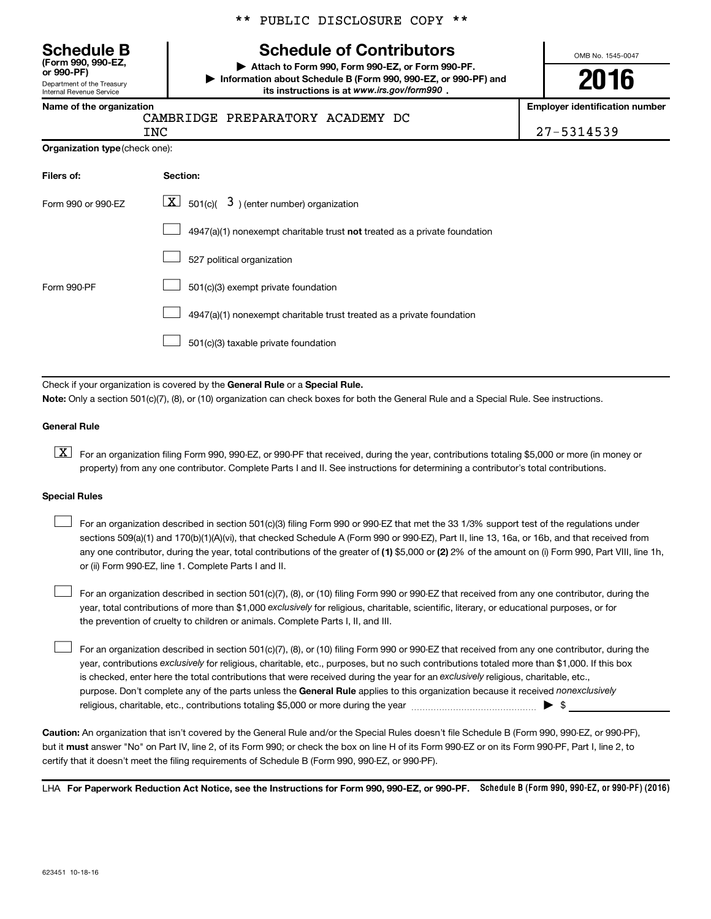\*\* PUBLIC DISCLOSURE COPY \*\*

# **Schedule B Schedule of Contributors**

**or 990-PF) | Attach to Form 990, Form 990-EZ, or Form 990-PF. | Information about Schedule B (Form 990, 990-EZ, or 990-PF) and** its instructions is at www.irs.gov/form990.

OMB No. 1545-0047

# **2016**

**Employer identification number** 

| Name of the organization |
|--------------------------|
|--------------------------|

Department of the Treasury Internal Revenue Service

**(Form 990, 990-EZ,**

# CAMBRIDGE PREPARATORY ACADEMY DC

INC 27-5314539

| <b>Organization type (check one):</b> |  |
|---------------------------------------|--|
|                                       |  |

| Filers of:         | Section:                                                                           |
|--------------------|------------------------------------------------------------------------------------|
| Form 990 or 990-FZ | $\lfloor x \rfloor$ 501(c)( 3) (enter number) organization                         |
|                    | $4947(a)(1)$ nonexempt charitable trust <b>not</b> treated as a private foundation |
|                    | 527 political organization                                                         |
| Form 990-PF        | 501(c)(3) exempt private foundation                                                |
|                    | 4947(a)(1) nonexempt charitable trust treated as a private foundation              |
|                    | 501(c)(3) taxable private foundation                                               |

Check if your organization is covered by the General Rule or a Special Rule.

**Note:**  Only a section 501(c)(7), (8), or (10) organization can check boxes for both the General Rule and a Special Rule. See instructions.

### **General Rule**

**K** For an organization filing Form 990, 990-EZ, or 990-PF that received, during the year, contributions totaling \$5,000 or more (in money or property) from any one contributor. Complete Parts I and II. See instructions for determining a contributor's total contributions.

### **Special Rules**

 $\Box$ 

any one contributor, during the year, total contributions of the greater of **(1)** \$5,000 or **(2)** 2% of the amount on (i) Form 990, Part VIII, line 1h, For an organization described in section 501(c)(3) filing Form 990 or 990-EZ that met the 33 1/3% support test of the regulations under sections 509(a)(1) and 170(b)(1)(A)(vi), that checked Schedule A (Form 990 or 990-EZ), Part II, line 13, 16a, or 16b, and that received from or (ii) Form 990-EZ, line 1. Complete Parts I and II.  $\Box$ 

year, total contributions of more than \$1,000 *exclusively* for religious, charitable, scientific, literary, or educational purposes, or for For an organization described in section 501(c)(7), (8), or (10) filing Form 990 or 990-EZ that received from any one contributor, during the the prevention of cruelty to children or animals. Complete Parts I, II, and III.  $\Box$ 

purpose. Don't complete any of the parts unless the General Rule applies to this organization because it received nonexclusively year, contributions exclusively for religious, charitable, etc., purposes, but no such contributions totaled more than \$1,000. If this box is checked, enter here the total contributions that were received during the year for an exclusively religious, charitable, etc., For an organization described in section 501(c)(7), (8), or (10) filing Form 990 or 990-EZ that received from any one contributor, during the religious, charitable, etc., contributions totaling \$5,000 or more during the year  $\ldots$  $\ldots$  $\ldots$  $\ldots$  $\ldots$  $\ldots$ 

**Caution:**  An organization that isn't covered by the General Rule and/or the Special Rules doesn't file Schedule B (Form 990, 990-EZ, or 990-PF),  **must** but it answer "No" on Part IV, line 2, of its Form 990; or check the box on line H of its Form 990-EZ or on its Form 990-PF, Part I, line 2, to certify that it doesn't meet the filing requirements of Schedule B (Form 990, 990-EZ, or 990-PF).

LHA For Paperwork Reduction Act Notice, see the Instructions for Form 990, 990-EZ, or 990-PF. Schedule B (Form 990, 990-EZ, or 990-PF) (2016)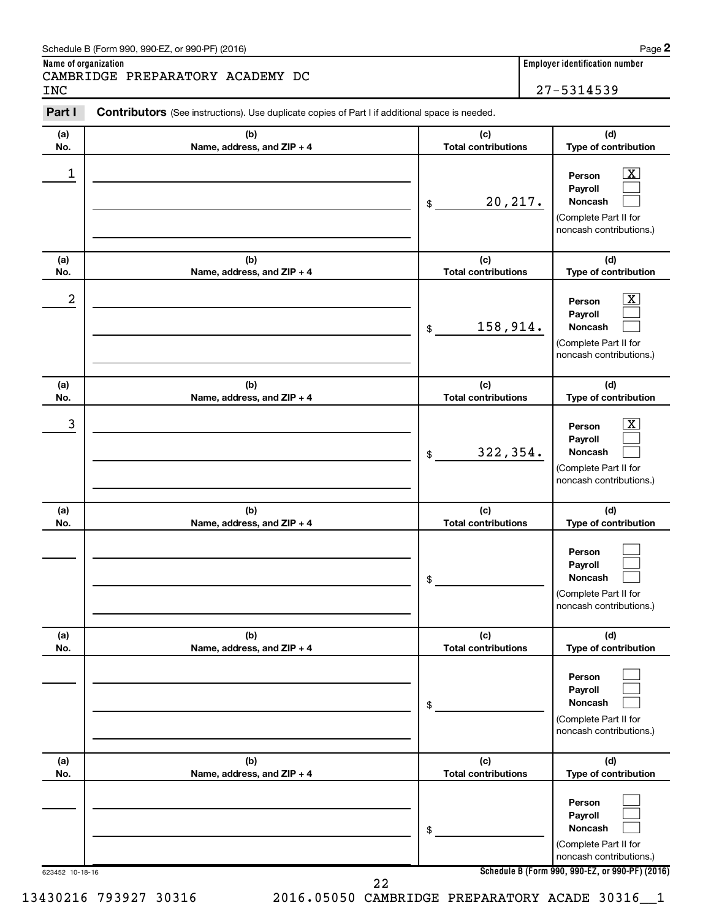### Schedule B (Form 990, 990-EZ, or 990-PF) (2016)

CAMBRIDGE PREPARATORY ACADEMY DC INC 27-5314539

623452 10-18-16 **Schedule B (Form 990, 990-EZ, or 990-PF) (2016) (a) No. (b) Name, address, and ZIP + 4 (c) Total contributions (d) Type of contribution Person Payroll Noncash (a) No. (b) Name, address, and ZIP + 4 (c) Total contributions (d) Type of contribution Person Payroll Noncash (a) No. (b) Name, address, and ZIP + 4 (c) Total contributions (d) Type of contribution Person Payroll Noncash (a) No. (b) Name, address, and ZIP + 4 (c) Total contributions (d) Type of contribution Person Payroll Noncash (a) No. (b) Name, address, and ZIP + 4 (c) Total contributions (d) Type of contribution Person Payroll Noncash (a) No. (b) Name, address, and ZIP + 4 (c) Total contributions (d) Type of contribution Person Payroll Noncash Part I** Contributors (See instructions). Use duplicate copies of Part I if additional space is needed. \$ (Complete Part II for noncash contributions.) \$ (Complete Part II for noncash contributions.) \$ (Complete Part II for noncash contributions.) \$ (Complete Part II for noncash contributions.) \$ (Complete Part II for noncash contributions.) \$ (Complete Part II for noncash contributions.)  $\begin{array}{|c|c|c|c|c|}\hline \ \text{1} & \text{Person} & \text{X} \ \hline \end{array}$ 20,217.  $2$  Person  $\overline{\text{X}}$ 158,914.  $\begin{array}{|c|c|c|c|c|c|}\hline \text{3} & \text{Person} & \text{X} \ \hline \end{array}$ 322,354. 22

 $\boxed{\textbf{X}}$  $\Box$  $\Box$ 

 $\overline{\mathbf{X}}$  $\Box$  $\Box$ 

 $\boxed{\textbf{X}}$  $\Box$  $\Box$ 

 $\Box$  $\Box$  $\Box$ 

 $\Box$  $\Box$  $\Box$ 

 $\Box$  $\Box$  $\Box$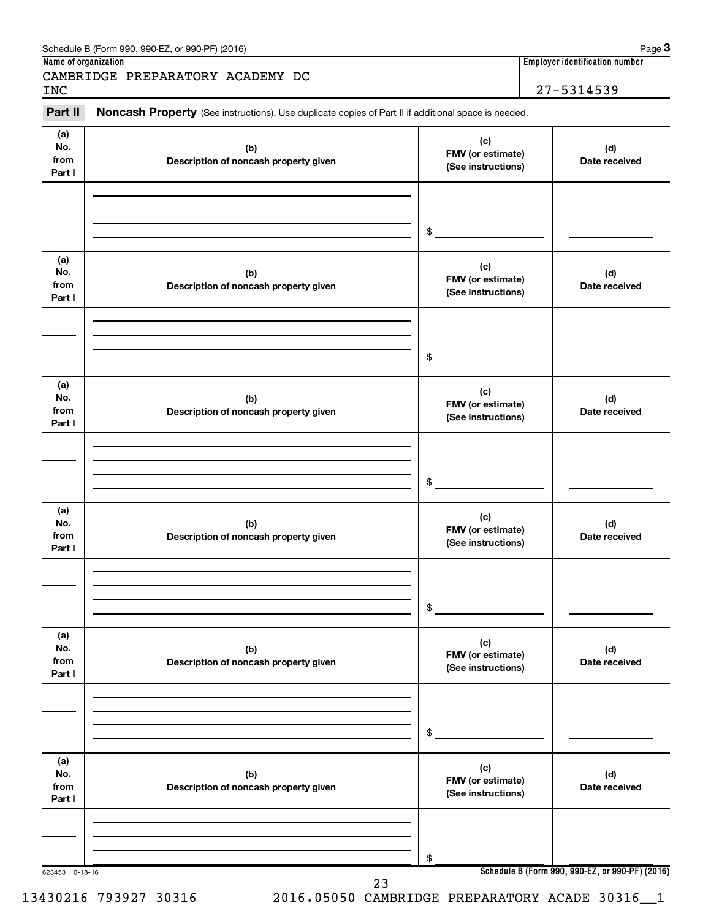| Schedule B (Form 990, 990-EZ, or 990-PF) (2016) | Page |
|-------------------------------------------------|------|
|                                                 |      |

#### 623453 10-18-16 **Schedule B (Form 990, 990-EZ, or 990-PF) (2016) (a) No. from Part I (c) FMV (or estimate) (See instructions) (b) Description of noncash property given (d) Date received (a) No. from Part I (c) FMV (or estimate) (See instructions) (b) Description of noncash property given (d) Date received (a) No. from Part I (c) FMV (or estimate) (See instructions) (b) Description of noncash property given (d) Date received (a) No. from Part I (c) FMV (or estimate) (See instructions) (b) Description of noncash property given (d) Date received (a) No. from Part I (c) FMV (or estimate) (See instructions) (b) Description of noncash property given (d) Date received (a) No. from Part I (c) FMV (or estimate) (See instructions) (b) Description of noncash property given (d) Date received** Part II Noncash Property (See instructions). Use duplicate copies of Part II if additional space is needed. \$ \$ \$ \$ \$ \$ 23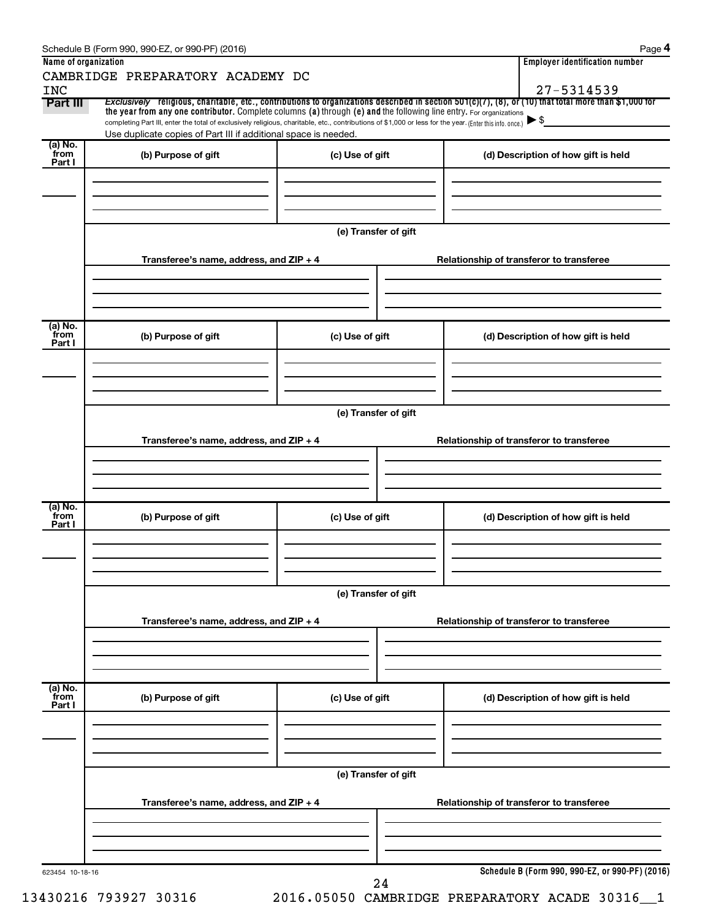|                      | Schedule B (Form 990, 990-EZ, or 990-PF) (2016)                                                                                                                                                                                                                                 |                      |                                          | Page 4                                          |  |  |  |
|----------------------|---------------------------------------------------------------------------------------------------------------------------------------------------------------------------------------------------------------------------------------------------------------------------------|----------------------|------------------------------------------|-------------------------------------------------|--|--|--|
| Name of organization |                                                                                                                                                                                                                                                                                 |                      |                                          | <b>Employer identification number</b>           |  |  |  |
| <b>INC</b>           | CAMBRIDGE PREPARATORY ACADEMY DC                                                                                                                                                                                                                                                |                      |                                          | 27-5314539                                      |  |  |  |
| Part III             | Exclusively religious, charitable, etc., contributions to organizations described in section 501(c)(7), (8), or (10) that total more than \$1,000 for                                                                                                                           |                      |                                          |                                                 |  |  |  |
|                      | the year from any one contributor. Complete columns (a) through (e) and the following line entry. For organizations<br>completing Part III, enter the total of exclusively religious, charitable, etc., contributions of \$1,000 or less for the year. (Enter this info. once.) |                      |                                          | $\blacktriangleright$ \$                        |  |  |  |
|                      | Use duplicate copies of Part III if additional space is needed.                                                                                                                                                                                                                 |                      |                                          |                                                 |  |  |  |
| (a) No.<br>`from     |                                                                                                                                                                                                                                                                                 |                      |                                          |                                                 |  |  |  |
| Part I               | (b) Purpose of gift                                                                                                                                                                                                                                                             | (c) Use of gift      |                                          | (d) Description of how gift is held             |  |  |  |
|                      |                                                                                                                                                                                                                                                                                 |                      |                                          |                                                 |  |  |  |
|                      |                                                                                                                                                                                                                                                                                 |                      |                                          |                                                 |  |  |  |
|                      |                                                                                                                                                                                                                                                                                 |                      |                                          |                                                 |  |  |  |
|                      |                                                                                                                                                                                                                                                                                 | (e) Transfer of gift |                                          |                                                 |  |  |  |
|                      |                                                                                                                                                                                                                                                                                 |                      |                                          |                                                 |  |  |  |
|                      | Transferee's name, address, and ZIP + 4                                                                                                                                                                                                                                         |                      | Relationship of transferor to transferee |                                                 |  |  |  |
|                      |                                                                                                                                                                                                                                                                                 |                      |                                          |                                                 |  |  |  |
|                      |                                                                                                                                                                                                                                                                                 |                      |                                          |                                                 |  |  |  |
|                      |                                                                                                                                                                                                                                                                                 |                      |                                          |                                                 |  |  |  |
| (a) No.<br>from      | (b) Purpose of gift                                                                                                                                                                                                                                                             | (c) Use of gift      |                                          | (d) Description of how gift is held             |  |  |  |
| Part I               |                                                                                                                                                                                                                                                                                 |                      |                                          |                                                 |  |  |  |
|                      |                                                                                                                                                                                                                                                                                 |                      |                                          |                                                 |  |  |  |
|                      |                                                                                                                                                                                                                                                                                 |                      |                                          |                                                 |  |  |  |
|                      |                                                                                                                                                                                                                                                                                 |                      |                                          |                                                 |  |  |  |
|                      |                                                                                                                                                                                                                                                                                 | (e) Transfer of gift |                                          |                                                 |  |  |  |
|                      | Transferee's name, address, and ZIP + 4                                                                                                                                                                                                                                         |                      |                                          | Relationship of transferor to transferee        |  |  |  |
|                      |                                                                                                                                                                                                                                                                                 |                      |                                          |                                                 |  |  |  |
|                      |                                                                                                                                                                                                                                                                                 |                      |                                          |                                                 |  |  |  |
|                      |                                                                                                                                                                                                                                                                                 |                      |                                          |                                                 |  |  |  |
| (a) No.              |                                                                                                                                                                                                                                                                                 |                      |                                          |                                                 |  |  |  |
| from<br>Part I       | (b) Purpose of gift                                                                                                                                                                                                                                                             | (c) Use of gift      |                                          | (d) Description of how gift is held             |  |  |  |
|                      |                                                                                                                                                                                                                                                                                 |                      |                                          |                                                 |  |  |  |
|                      |                                                                                                                                                                                                                                                                                 |                      |                                          |                                                 |  |  |  |
|                      |                                                                                                                                                                                                                                                                                 |                      |                                          |                                                 |  |  |  |
|                      | (e) Transfer of gift                                                                                                                                                                                                                                                            |                      |                                          |                                                 |  |  |  |
|                      |                                                                                                                                                                                                                                                                                 |                      |                                          |                                                 |  |  |  |
|                      | Transferee's name, address, and ZIP + 4                                                                                                                                                                                                                                         |                      |                                          | Relationship of transferor to transferee        |  |  |  |
|                      |                                                                                                                                                                                                                                                                                 |                      |                                          |                                                 |  |  |  |
|                      |                                                                                                                                                                                                                                                                                 |                      |                                          |                                                 |  |  |  |
|                      |                                                                                                                                                                                                                                                                                 |                      |                                          |                                                 |  |  |  |
| (a) No.<br>`from     | (b) Purpose of gift                                                                                                                                                                                                                                                             | (c) Use of gift      |                                          | (d) Description of how gift is held             |  |  |  |
| Part I               |                                                                                                                                                                                                                                                                                 |                      |                                          |                                                 |  |  |  |
|                      |                                                                                                                                                                                                                                                                                 |                      |                                          |                                                 |  |  |  |
|                      |                                                                                                                                                                                                                                                                                 |                      |                                          |                                                 |  |  |  |
|                      |                                                                                                                                                                                                                                                                                 |                      |                                          |                                                 |  |  |  |
|                      |                                                                                                                                                                                                                                                                                 | (e) Transfer of gift |                                          |                                                 |  |  |  |
|                      | Transferee's name, address, and ZIP + 4                                                                                                                                                                                                                                         |                      |                                          | Relationship of transferor to transferee        |  |  |  |
|                      |                                                                                                                                                                                                                                                                                 |                      |                                          |                                                 |  |  |  |
|                      |                                                                                                                                                                                                                                                                                 |                      |                                          |                                                 |  |  |  |
|                      |                                                                                                                                                                                                                                                                                 |                      |                                          |                                                 |  |  |  |
| 623454 10-18-16      |                                                                                                                                                                                                                                                                                 |                      |                                          | Schedule B (Form 990, 990-EZ, or 990-PF) (2016) |  |  |  |
|                      |                                                                                                                                                                                                                                                                                 | 24                   |                                          |                                                 |  |  |  |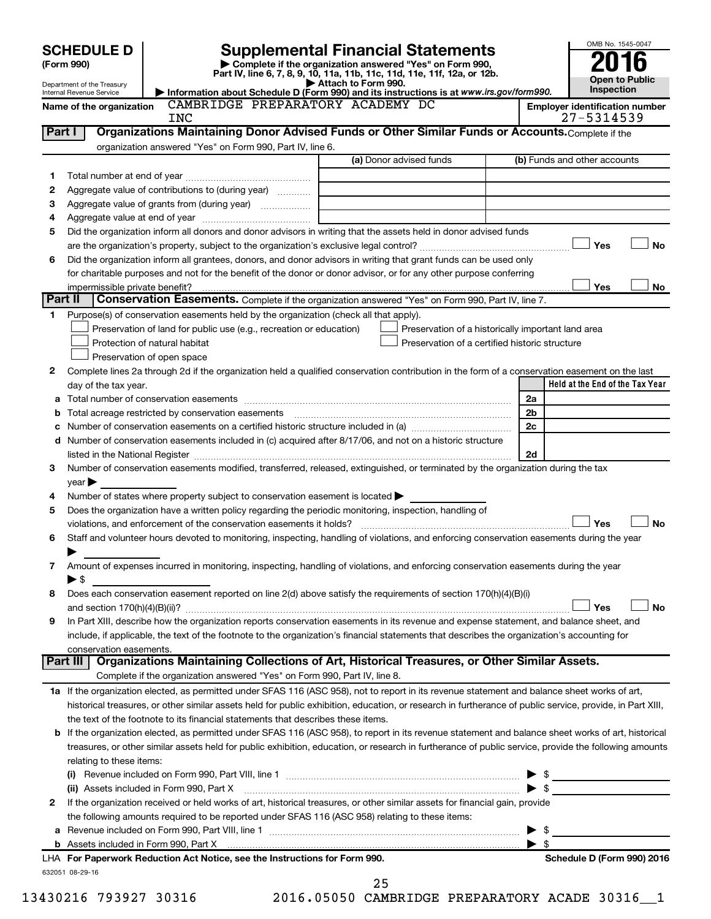|                                                                                                                                                            |                                                                                                                                                           |                                                                            |                                                    |                          | OMB No. 1545-0047                                   |
|------------------------------------------------------------------------------------------------------------------------------------------------------------|-----------------------------------------------------------------------------------------------------------------------------------------------------------|----------------------------------------------------------------------------|----------------------------------------------------|--------------------------|-----------------------------------------------------|
| <b>SCHEDULE D</b>                                                                                                                                          | <b>Supplemental Financial Statements</b><br>Complete if the organization answered "Yes" on Form 990,                                                      |                                                                            |                                                    |                          |                                                     |
| (Form 990)                                                                                                                                                 | Part IV, line 6, 7, 8, 9, 10, 11a, 11b, 11c, 11d, 11e, 11f, 12a, or 12b.                                                                                  |                                                                            |                                                    |                          | <b>Open to Public</b>                               |
| Department of the Treasury<br>Internal Revenue Service                                                                                                     | Information about Schedule D (Form 990) and its instructions is at www.irs.gov/form990.                                                                   | Attach to Form 990.                                                        |                                                    |                          | Inspection                                          |
| Name of the organization<br>INC                                                                                                                            | CAMBRIDGE PREPARATORY ACADEMY DC                                                                                                                          |                                                                            |                                                    |                          | <b>Employer identification number</b><br>27-5314539 |
| Part I                                                                                                                                                     | Organizations Maintaining Donor Advised Funds or Other Similar Funds or Accounts. Complete if the                                                         |                                                                            |                                                    |                          |                                                     |
|                                                                                                                                                            | organization answered "Yes" on Form 990, Part IV, line 6.                                                                                                 |                                                                            |                                                    |                          |                                                     |
|                                                                                                                                                            |                                                                                                                                                           | (a) Donor advised funds                                                    |                                                    |                          | (b) Funds and other accounts                        |
| 1                                                                                                                                                          |                                                                                                                                                           |                                                                            |                                                    |                          |                                                     |
| 2<br>Aggregate value of contributions to (during year)                                                                                                     |                                                                                                                                                           |                                                                            |                                                    |                          |                                                     |
| 3                                                                                                                                                          |                                                                                                                                                           | the control of the control of the control of the control of the control of |                                                    |                          |                                                     |
| 4                                                                                                                                                          |                                                                                                                                                           |                                                                            |                                                    |                          |                                                     |
| 5                                                                                                                                                          | Did the organization inform all donors and donor advisors in writing that the assets held in donor advised funds                                          |                                                                            |                                                    |                          | Yes<br><b>No</b>                                    |
| 6                                                                                                                                                          | Did the organization inform all grantees, donors, and donor advisors in writing that grant funds can be used only                                         |                                                                            |                                                    |                          |                                                     |
|                                                                                                                                                            | for charitable purposes and not for the benefit of the donor or donor advisor, or for any other purpose conferring                                        |                                                                            |                                                    |                          |                                                     |
| impermissible private benefit?                                                                                                                             |                                                                                                                                                           |                                                                            |                                                    |                          | Yes<br>No                                           |
| Part II                                                                                                                                                    | Conservation Easements. Complete if the organization answered "Yes" on Form 990, Part IV, line 7.                                                         |                                                                            |                                                    |                          |                                                     |
| 1.                                                                                                                                                         | Purpose(s) of conservation easements held by the organization (check all that apply).                                                                     |                                                                            |                                                    |                          |                                                     |
|                                                                                                                                                            | Preservation of land for public use (e.g., recreation or education)                                                                                       |                                                                            | Preservation of a historically important land area |                          |                                                     |
| Protection of natural habitat                                                                                                                              |                                                                                                                                                           |                                                                            | Preservation of a certified historic structure     |                          |                                                     |
| Preservation of open space                                                                                                                                 |                                                                                                                                                           |                                                                            |                                                    |                          |                                                     |
| 2                                                                                                                                                          | Complete lines 2a through 2d if the organization held a qualified conservation contribution in the form of a conservation easement on the last            |                                                                            |                                                    |                          |                                                     |
| day of the tax year.                                                                                                                                       |                                                                                                                                                           |                                                                            |                                                    |                          | Held at the End of the Tax Year                     |
| а                                                                                                                                                          |                                                                                                                                                           |                                                                            |                                                    | 2a                       |                                                     |
| Total acreage restricted by conservation easements<br>b                                                                                                    |                                                                                                                                                           |                                                                            |                                                    | 2 <sub>b</sub>           |                                                     |
| c                                                                                                                                                          |                                                                                                                                                           |                                                                            |                                                    | 2c                       |                                                     |
| d Number of conservation easements included in (c) acquired after 8/17/06, and not on a historic structure                                                 |                                                                                                                                                           |                                                                            |                                                    |                          |                                                     |
| 3                                                                                                                                                          | Number of conservation easements modified, transferred, released, extinguished, or terminated by the organization during the tax                          |                                                                            |                                                    | 2d                       |                                                     |
| $\gamma$ ear $\blacktriangleright$                                                                                                                         |                                                                                                                                                           |                                                                            |                                                    |                          |                                                     |
| 4                                                                                                                                                          | Number of states where property subject to conservation easement is located >                                                                             |                                                                            |                                                    |                          |                                                     |
| 5                                                                                                                                                          | Does the organization have a written policy regarding the periodic monitoring, inspection, handling of                                                    |                                                                            |                                                    |                          |                                                     |
|                                                                                                                                                            | violations, and enforcement of the conservation easements it holds?                                                                                       |                                                                            |                                                    |                          | Yes<br><b>No</b>                                    |
| 6                                                                                                                                                          | Staff and volunteer hours devoted to monitoring, inspecting, handling of violations, and enforcing conservation easements during the year                 |                                                                            |                                                    |                          |                                                     |
| ▶                                                                                                                                                          |                                                                                                                                                           |                                                                            |                                                    |                          |                                                     |
| 7                                                                                                                                                          | Amount of expenses incurred in monitoring, inspecting, handling of violations, and enforcing conservation easements during the year                       |                                                                            |                                                    |                          |                                                     |
| $\blacktriangleright$ \$                                                                                                                                   |                                                                                                                                                           |                                                                            |                                                    |                          |                                                     |
| 8                                                                                                                                                          | Does each conservation easement reported on line 2(d) above satisfy the requirements of section 170(h)(4)(B)(i)                                           |                                                                            |                                                    |                          |                                                     |
|                                                                                                                                                            |                                                                                                                                                           |                                                                            |                                                    |                          | Yes<br><b>No</b>                                    |
| 9                                                                                                                                                          | In Part XIII, describe how the organization reports conservation easements in its revenue and expense statement, and balance sheet, and                   |                                                                            |                                                    |                          |                                                     |
| conservation easements.                                                                                                                                    | include, if applicable, the text of the footnote to the organization's financial statements that describes the organization's accounting for              |                                                                            |                                                    |                          |                                                     |
| Part III   Organizations Maintaining Collections of Art, Historical Treasures, or Other Similar Assets.                                                    |                                                                                                                                                           |                                                                            |                                                    |                          |                                                     |
|                                                                                                                                                            | Complete if the organization answered "Yes" on Form 990, Part IV, line 8.                                                                                 |                                                                            |                                                    |                          |                                                     |
| 1a If the organization elected, as permitted under SFAS 116 (ASC 958), not to report in its revenue statement and balance sheet works of art,              |                                                                                                                                                           |                                                                            |                                                    |                          |                                                     |
|                                                                                                                                                            | historical treasures, or other similar assets held for public exhibition, education, or research in furtherance of public service, provide, in Part XIII, |                                                                            |                                                    |                          |                                                     |
|                                                                                                                                                            | the text of the footnote to its financial statements that describes these items.                                                                          |                                                                            |                                                    |                          |                                                     |
| <b>b</b> If the organization elected, as permitted under SFAS 116 (ASC 958), to report in its revenue statement and balance sheet works of art, historical |                                                                                                                                                           |                                                                            |                                                    |                          |                                                     |
|                                                                                                                                                            | treasures, or other similar assets held for public exhibition, education, or research in furtherance of public service, provide the following amounts     |                                                                            |                                                    |                          |                                                     |
| relating to these items:                                                                                                                                   |                                                                                                                                                           |                                                                            |                                                    |                          |                                                     |
|                                                                                                                                                            |                                                                                                                                                           |                                                                            |                                                    |                          | $\blacktriangleright$ \$                            |
|                                                                                                                                                            | (ii) Assets included in Form 990, Part X [11] Marson Marson Marson Marson Marson Marson Marson Marson Marson M                                            |                                                                            |                                                    |                          |                                                     |
| 2                                                                                                                                                          | If the organization received or held works of art, historical treasures, or other similar assets for financial gain, provide                              |                                                                            |                                                    |                          |                                                     |
|                                                                                                                                                            | the following amounts required to be reported under SFAS 116 (ASC 958) relating to these items:                                                           |                                                                            |                                                    |                          |                                                     |
|                                                                                                                                                            |                                                                                                                                                           |                                                                            |                                                    | $\blacktriangleright$ \$ |                                                     |
|                                                                                                                                                            |                                                                                                                                                           |                                                                            |                                                    | $\blacktriangleright$ s  |                                                     |
| LHA For Paperwork Reduction Act Notice, see the Instructions for Form 990.<br>632051 08-29-16                                                              |                                                                                                                                                           |                                                                            |                                                    |                          | Schedule D (Form 990) 2016                          |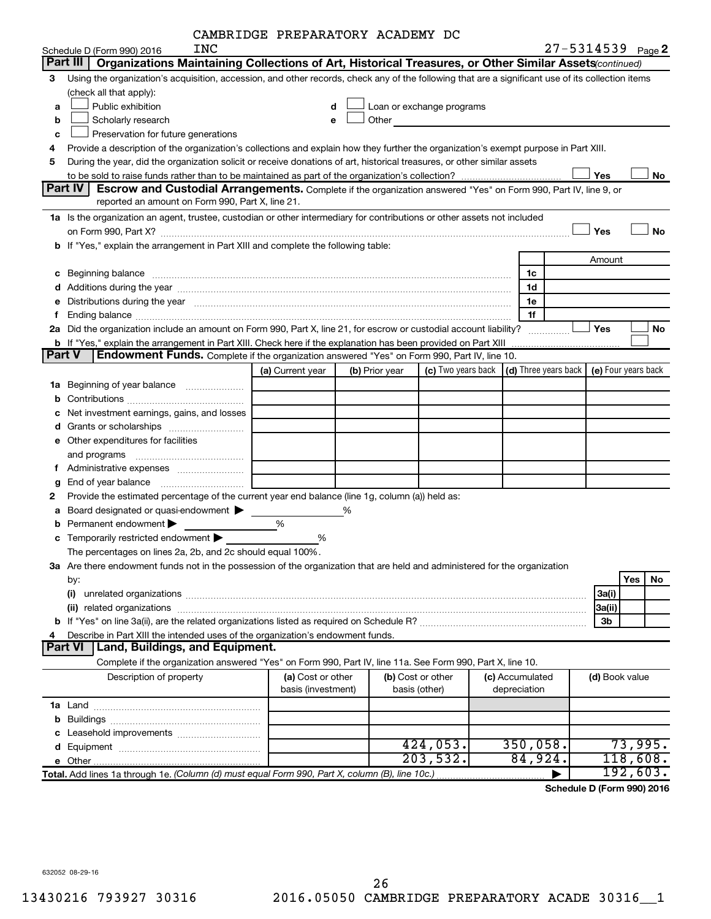| CAMBRIDGE PREPARATORY ACADEMY DC |  |  |  |
|----------------------------------|--|--|--|
|----------------------------------|--|--|--|

|        | INC                                                                                                                                                                                                                            | DRIDGE FREFARAIORI ACADEMI DC |   |                |                           |  |                                                                             | $27 - 5314539$ Page 2 |           |
|--------|--------------------------------------------------------------------------------------------------------------------------------------------------------------------------------------------------------------------------------|-------------------------------|---|----------------|---------------------------|--|-----------------------------------------------------------------------------|-----------------------|-----------|
|        | Schedule D (Form 990) 2016<br>Part III<br>Organizations Maintaining Collections of Art, Historical Treasures, or Other Similar Assets(continued)                                                                               |                               |   |                |                           |  |                                                                             |                       |           |
|        |                                                                                                                                                                                                                                |                               |   |                |                           |  |                                                                             |                       |           |
| 3      | Using the organization's acquisition, accession, and other records, check any of the following that are a significant use of its collection items                                                                              |                               |   |                |                           |  |                                                                             |                       |           |
|        | (check all that apply):<br>Public exhibition                                                                                                                                                                                   |                               |   |                |                           |  |                                                                             |                       |           |
| a      |                                                                                                                                                                                                                                | d                             |   |                | Loan or exchange programs |  |                                                                             |                       |           |
| b      | Scholarly research<br>Other<br>е<br><u> 1980 - Jan Stein Stein Stein Stein Stein Stein Stein Stein Stein Stein Stein Stein Stein Stein Stein Stein S</u>                                                                       |                               |   |                |                           |  |                                                                             |                       |           |
| c      | Preservation for future generations                                                                                                                                                                                            |                               |   |                |                           |  |                                                                             |                       |           |
| 4      | Provide a description of the organization's collections and explain how they further the organization's exempt purpose in Part XIII.                                                                                           |                               |   |                |                           |  |                                                                             |                       |           |
| 5      | During the year, did the organization solicit or receive donations of art, historical treasures, or other similar assets                                                                                                       |                               |   |                |                           |  |                                                                             |                       |           |
|        |                                                                                                                                                                                                                                |                               |   |                |                           |  |                                                                             | Yes                   | No        |
|        | Part IV<br><b>Escrow and Custodial Arrangements.</b> Complete if the organization answered "Yes" on Form 990, Part IV, line 9, or                                                                                              |                               |   |                |                           |  |                                                                             |                       |           |
|        | reported an amount on Form 990, Part X, line 21.                                                                                                                                                                               |                               |   |                |                           |  |                                                                             |                       |           |
|        | 1a Is the organization an agent, trustee, custodian or other intermediary for contributions or other assets not included                                                                                                       |                               |   |                |                           |  |                                                                             |                       |           |
|        |                                                                                                                                                                                                                                |                               |   |                |                           |  |                                                                             | Yes                   | <b>No</b> |
|        | b If "Yes," explain the arrangement in Part XIII and complete the following table:                                                                                                                                             |                               |   |                |                           |  |                                                                             |                       |           |
|        |                                                                                                                                                                                                                                |                               |   |                |                           |  |                                                                             | Amount                |           |
| с      | Beginning balance <b>contract to the contract of the contract of the contract of the contract of the contract of t</b>                                                                                                         |                               |   |                |                           |  | 1c                                                                          |                       |           |
|        |                                                                                                                                                                                                                                |                               |   |                |                           |  | 1d                                                                          |                       |           |
| е      | Distributions during the year manufactured and an account of the year manufactured and the year manufactured and the year manufactured and the year manufactured and the year manufactured and the year manufactured and the y |                               |   |                |                           |  | 1e                                                                          |                       |           |
| f.     |                                                                                                                                                                                                                                |                               |   |                |                           |  | 1f                                                                          |                       |           |
|        | 2a Did the organization include an amount on Form 990, Part X, line 21, for escrow or custodial account liability?                                                                                                             |                               |   |                |                           |  |                                                                             | Yes                   | No        |
|        | <b>b</b> If "Yes," explain the arrangement in Part XIII. Check here if the explanation has been provided on Part XIII                                                                                                          |                               |   |                |                           |  |                                                                             |                       |           |
| Part V | Endowment Funds. Complete if the organization answered "Yes" on Form 990, Part IV, line 10.                                                                                                                                    |                               |   |                |                           |  |                                                                             |                       |           |
|        |                                                                                                                                                                                                                                | (a) Current year              |   | (b) Prior year |                           |  | (c) Two years back $\vert$ (d) Three years back $\vert$ (e) Four years back |                       |           |
| 1a     | Beginning of year balance                                                                                                                                                                                                      |                               |   |                |                           |  |                                                                             |                       |           |
| b      |                                                                                                                                                                                                                                |                               |   |                |                           |  |                                                                             |                       |           |
|        | Net investment earnings, gains, and losses                                                                                                                                                                                     |                               |   |                |                           |  |                                                                             |                       |           |
| d      |                                                                                                                                                                                                                                |                               |   |                |                           |  |                                                                             |                       |           |
|        | e Other expenditures for facilities                                                                                                                                                                                            |                               |   |                |                           |  |                                                                             |                       |           |
|        |                                                                                                                                                                                                                                |                               |   |                |                           |  |                                                                             |                       |           |
|        | and programs                                                                                                                                                                                                                   |                               |   |                |                           |  |                                                                             |                       |           |
|        |                                                                                                                                                                                                                                |                               |   |                |                           |  |                                                                             |                       |           |
| g      |                                                                                                                                                                                                                                |                               |   |                |                           |  |                                                                             |                       |           |
| 2      | Provide the estimated percentage of the current year end balance (line 1g, column (a)) held as:                                                                                                                                |                               |   |                |                           |  |                                                                             |                       |           |
| а      | Board designated or quasi-endowment                                                                                                                                                                                            |                               | % |                |                           |  |                                                                             |                       |           |
| b      | Permanent endowment                                                                                                                                                                                                            | %                             |   |                |                           |  |                                                                             |                       |           |
|        | c Temporarily restricted endowment $\blacktriangleright$                                                                                                                                                                       | %                             |   |                |                           |  |                                                                             |                       |           |
|        | The percentages on lines 2a, 2b, and 2c should equal 100%.                                                                                                                                                                     |                               |   |                |                           |  |                                                                             |                       |           |
|        | 3a Are there endowment funds not in the possession of the organization that are held and administered for the organization                                                                                                     |                               |   |                |                           |  |                                                                             |                       |           |
|        | by:                                                                                                                                                                                                                            |                               |   |                |                           |  |                                                                             |                       | Yes<br>No |
|        | (i)                                                                                                                                                                                                                            |                               |   |                |                           |  |                                                                             | 3a(i)                 |           |
|        |                                                                                                                                                                                                                                |                               |   |                |                           |  |                                                                             | 3a(ii)                |           |
| b      |                                                                                                                                                                                                                                |                               |   |                |                           |  |                                                                             | 3b                    |           |
| 4      | Describe in Part XIII the intended uses of the organization's endowment funds.                                                                                                                                                 |                               |   |                |                           |  |                                                                             |                       |           |
|        | <b>Part VI</b><br>Land, Buildings, and Equipment.                                                                                                                                                                              |                               |   |                |                           |  |                                                                             |                       |           |
|        | Complete if the organization answered "Yes" on Form 990, Part IV, line 11a. See Form 990, Part X, line 10.                                                                                                                     |                               |   |                |                           |  |                                                                             |                       |           |
|        | Description of property                                                                                                                                                                                                        | (a) Cost or other             |   |                | (b) Cost or other         |  | (c) Accumulated                                                             | (d) Book value        |           |
|        |                                                                                                                                                                                                                                | basis (investment)            |   |                | basis (other)             |  | depreciation                                                                |                       |           |
|        |                                                                                                                                                                                                                                |                               |   |                |                           |  |                                                                             |                       |           |
| b      |                                                                                                                                                                                                                                |                               |   |                |                           |  |                                                                             |                       |           |
|        |                                                                                                                                                                                                                                |                               |   |                |                           |  |                                                                             |                       |           |
|        |                                                                                                                                                                                                                                |                               |   |                | 424,053.                  |  | 350,058.                                                                    |                       | 73,995.   |
|        |                                                                                                                                                                                                                                |                               |   |                | 203,532.                  |  | 84,924.                                                                     |                       | 118,608.  |
|        | Total. Add lines 1a through 1e. (Column (d) must equal Form 990, Part X, column (B), line 10c.)                                                                                                                                |                               |   |                |                           |  |                                                                             |                       | 192,603.  |

**Schedule D (Form 990) 2016**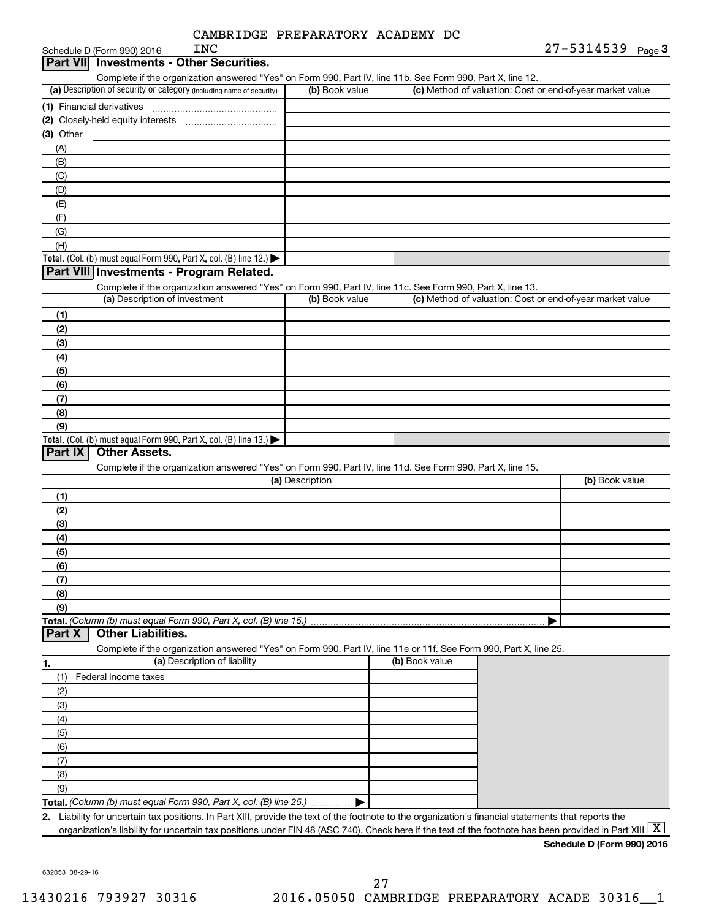| CAMBRIDGE PREPARATORY ACADEMY DC |  |  |  |  |
|----------------------------------|--|--|--|--|
|----------------------------------|--|--|--|--|

| <b>INC</b>                                                                                                                                                                         | CAMBRIDGE PREPARATORY ACADEMY DC |                | 27-5314539 Page 3                                         |
|------------------------------------------------------------------------------------------------------------------------------------------------------------------------------------|----------------------------------|----------------|-----------------------------------------------------------|
| Schedule D (Form 990) 2016<br><b>Part VII</b> Investments - Other Securities.                                                                                                      |                                  |                |                                                           |
|                                                                                                                                                                                    |                                  |                |                                                           |
| Complete if the organization answered "Yes" on Form 990, Part IV, line 11b. See Form 990, Part X, line 12.<br>(a) Description of security or category (including name of security) | (b) Book value                   |                | (c) Method of valuation: Cost or end-of-year market value |
|                                                                                                                                                                                    |                                  |                |                                                           |
|                                                                                                                                                                                    |                                  |                |                                                           |
|                                                                                                                                                                                    |                                  |                |                                                           |
| (3) Other                                                                                                                                                                          |                                  |                |                                                           |
| (A)                                                                                                                                                                                |                                  |                |                                                           |
| (B)                                                                                                                                                                                |                                  |                |                                                           |
| (C)                                                                                                                                                                                |                                  |                |                                                           |
| (D)                                                                                                                                                                                |                                  |                |                                                           |
| (E)                                                                                                                                                                                |                                  |                |                                                           |
| (F)                                                                                                                                                                                |                                  |                |                                                           |
| (G)                                                                                                                                                                                |                                  |                |                                                           |
| (H)                                                                                                                                                                                |                                  |                |                                                           |
| Total. (Col. (b) must equal Form 990, Part X, col. (B) line 12.) $\blacktriangleright$                                                                                             |                                  |                |                                                           |
| Part VIII Investments - Program Related.                                                                                                                                           |                                  |                |                                                           |
| Complete if the organization answered "Yes" on Form 990, Part IV, line 11c. See Form 990, Part X, line 13.                                                                         |                                  |                |                                                           |
| (a) Description of investment                                                                                                                                                      | (b) Book value                   |                | (c) Method of valuation: Cost or end-of-year market value |
| (1)                                                                                                                                                                                |                                  |                |                                                           |
| (2)                                                                                                                                                                                |                                  |                |                                                           |
| (3)                                                                                                                                                                                |                                  |                |                                                           |
| (4)                                                                                                                                                                                |                                  |                |                                                           |
| (5)                                                                                                                                                                                |                                  |                |                                                           |
| (6)                                                                                                                                                                                |                                  |                |                                                           |
| (7)                                                                                                                                                                                |                                  |                |                                                           |
| (8)                                                                                                                                                                                |                                  |                |                                                           |
|                                                                                                                                                                                    |                                  |                |                                                           |
| (9)<br>Total. (Col. (b) must equal Form 990, Part X, col. (B) line $13.$ )                                                                                                         |                                  |                |                                                           |
| <b>Other Assets.</b><br><b>Part IX</b>                                                                                                                                             |                                  |                |                                                           |
| Complete if the organization answered "Yes" on Form 990, Part IV, line 11d. See Form 990, Part X, line 15.                                                                         |                                  |                |                                                           |
|                                                                                                                                                                                    | (a) Description                  |                | (b) Book value                                            |
|                                                                                                                                                                                    |                                  |                |                                                           |
| (1)                                                                                                                                                                                |                                  |                |                                                           |
| (2)                                                                                                                                                                                |                                  |                |                                                           |
| (3)                                                                                                                                                                                |                                  |                |                                                           |
| (4)                                                                                                                                                                                |                                  |                |                                                           |
| (5)                                                                                                                                                                                |                                  |                |                                                           |
| (6)                                                                                                                                                                                |                                  |                |                                                           |
| (7)                                                                                                                                                                                |                                  |                |                                                           |
| (8)                                                                                                                                                                                |                                  |                |                                                           |
| (9)                                                                                                                                                                                |                                  |                |                                                           |
| Total. (Column (b) must equal Form 990, Part X, col. (B) line 15.)                                                                                                                 |                                  |                |                                                           |
| <b>Other Liabilities.</b><br><b>Part X</b>                                                                                                                                         |                                  |                |                                                           |
| Complete if the organization answered "Yes" on Form 990, Part IV, line 11e or 11f. See Form 990, Part X, line 25.                                                                  |                                  |                |                                                           |
| (a) Description of liability<br>1.                                                                                                                                                 |                                  | (b) Book value |                                                           |
| (1)<br>Federal income taxes                                                                                                                                                        |                                  |                |                                                           |
| (2)                                                                                                                                                                                |                                  |                |                                                           |
| (3)                                                                                                                                                                                |                                  |                |                                                           |
| (4)                                                                                                                                                                                |                                  |                |                                                           |
| (5)                                                                                                                                                                                |                                  |                |                                                           |
| (6)                                                                                                                                                                                |                                  |                |                                                           |
| (7)                                                                                                                                                                                |                                  |                |                                                           |
| (8)                                                                                                                                                                                |                                  |                |                                                           |
| (9)                                                                                                                                                                                |                                  |                |                                                           |

**Total.**  *(Column (b) must equal Form 990, Part X, col. (B) line 25.)*

**2.** Liability for uncertain tax positions. In Part XIII, provide the text of the footnote to the organization's financial statements that reports the organization's liability for uncertain tax positions under FIN 48 (ASC 740). Check here if the text of the footnote has been provided in Part XIII  $\boxed{\text{X}}$ 

 $\blacktriangleright$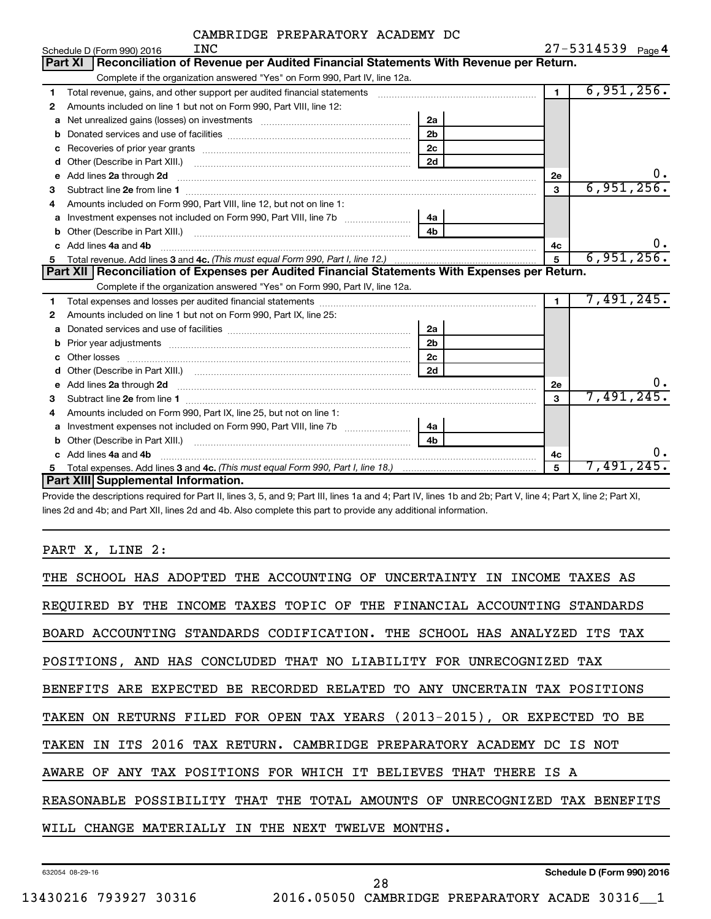|  | CAMBRIDGE PREPARATORY ACADEMY DC |  |  |
|--|----------------------------------|--|--|
|--|----------------------------------|--|--|

|    | INC<br>Schedule D (Form 990) 2016                                                                                                                                                                                                  |                |                | $27 - 5314539$ Page 4 |  |  |
|----|------------------------------------------------------------------------------------------------------------------------------------------------------------------------------------------------------------------------------------|----------------|----------------|-----------------------|--|--|
|    | Reconciliation of Revenue per Audited Financial Statements With Revenue per Return.<br>Part XI                                                                                                                                     |                |                |                       |  |  |
|    | Complete if the organization answered "Yes" on Form 990, Part IV, line 12a.                                                                                                                                                        |                |                |                       |  |  |
| 1  | Total revenue, gains, and other support per audited financial statements [111][11] matter controller matter controller matter controller matter matter matter matter matter matter matter matter matter matter matter matter m     |                | $\mathbf{1}$   | 6,951,256.            |  |  |
| 2  | Amounts included on line 1 but not on Form 990, Part VIII, line 12:                                                                                                                                                                |                |                |                       |  |  |
| a  | Net unrealized gains (losses) on investments [111] Net unrealized mains (losses) on investments [11] Metamanian                                                                                                                    | 2a             |                |                       |  |  |
|    |                                                                                                                                                                                                                                    | 2 <sub>b</sub> |                |                       |  |  |
| c  |                                                                                                                                                                                                                                    | 2 <sub>c</sub> |                |                       |  |  |
| d  |                                                                                                                                                                                                                                    | 2d             |                |                       |  |  |
| е  | Add lines 2a through 2d <b>must be a constructed as the constant of the constant of the constant of the construction</b>                                                                                                           |                | 2е             | ο.                    |  |  |
| 3  |                                                                                                                                                                                                                                    |                | 3              | 6,951,256.            |  |  |
| 4  | Amounts included on Form 990, Part VIII, line 12, but not on line 1:                                                                                                                                                               |                |                |                       |  |  |
| а  |                                                                                                                                                                                                                                    | 4a             |                |                       |  |  |
| b  |                                                                                                                                                                                                                                    | 4 <sub>b</sub> |                |                       |  |  |
| C. | Add lines 4a and 4b                                                                                                                                                                                                                |                | 4c             | υ.                    |  |  |
| 5  |                                                                                                                                                                                                                                    |                | $\overline{5}$ | 6,951,256.            |  |  |
|    | Part XII   Reconciliation of Expenses per Audited Financial Statements With Expenses per Return.                                                                                                                                   |                |                |                       |  |  |
|    |                                                                                                                                                                                                                                    |                |                |                       |  |  |
|    | Complete if the organization answered "Yes" on Form 990, Part IV, line 12a.                                                                                                                                                        |                |                |                       |  |  |
| 1  |                                                                                                                                                                                                                                    |                | $\blacksquare$ | 7,491,245.            |  |  |
| 2  | Amounts included on line 1 but not on Form 990, Part IX, line 25:                                                                                                                                                                  |                |                |                       |  |  |
| a  |                                                                                                                                                                                                                                    | 2a             |                |                       |  |  |
| b  | Prior year adjustments with the control of the control of the control of the control of the control of the control of the control of the control of the control of the control of the control of the control of the control of     | 2 <sub>b</sub> |                |                       |  |  |
|    |                                                                                                                                                                                                                                    | 2 <sub>c</sub> |                |                       |  |  |
|    |                                                                                                                                                                                                                                    | 2d             |                |                       |  |  |
| е  |                                                                                                                                                                                                                                    |                | 2e             | υ.                    |  |  |
| 3  | Add lines 2a through 2d <b>[10]</b> Communication and the state of the state of the state of the state of the state of the state of the state of the state of the state of the state of the state of the state of the state of the |                | 3              | 7,491,245.            |  |  |
| 4  | Amounts included on Form 990, Part IX, line 25, but not on line 1:                                                                                                                                                                 |                |                |                       |  |  |
| a  | Investment expenses not included on Form 990, Part VIII, line 7b [11, 111, 120]                                                                                                                                                    | 4a             |                |                       |  |  |
|    |                                                                                                                                                                                                                                    | 4h             |                |                       |  |  |
|    | Add lines 4a and 4b                                                                                                                                                                                                                |                | 4c             | 0.                    |  |  |
| 5  | Part XIII Supplemental Information.                                                                                                                                                                                                |                | 5              | 7,491,245.            |  |  |

Provide the descriptions required for Part II, lines 3, 5, and 9; Part III, lines 1a and 4; Part IV, lines 1b and 2b; Part V, line 4; Part X, line 2; Part XI, lines 2d and 4b; and Part XII, lines 2d and 4b. Also complete this part to provide any additional information.

PART X, LINE 2:

| THE SCHOOL HAS ADOPTED THE ACCOUNTING OF UNCERTAINTY IN INCOME TAXES AS    |
|----------------------------------------------------------------------------|
| REQUIRED BY THE INCOME TAXES TOPIC OF THE FINANCIAL ACCOUNTING STANDARDS   |
| BOARD ACCOUNTING STANDARDS CODIFICATION. THE SCHOOL HAS ANALYZED ITS TAX   |
| POSITIONS, AND HAS CONCLUDED THAT NO LIABILITY FOR UNRECOGNIZED TAX        |
| BENEFITS ARE EXPECTED BE RECORDED RELATED TO ANY UNCERTAIN TAX POSITIONS   |
| TAKEN ON RETURNS FILED FOR OPEN TAX YEARS (2013-2015), OR EXPECTED TO BE   |
| TAKEN IN ITS 2016 TAX RETURN. CAMBRIDGE PREPARATORY ACADEMY DC IS NOT      |
| AWARE OF ANY TAX POSITIONS FOR WHICH IT BELIEVES THAT THERE IS A           |
| REASONABLE POSSIBILITY THAT THE TOTAL AMOUNTS OF UNRECOGNIZED TAX BENEFITS |
| WILL CHANGE MATERIALLY IN THE NEXT TWELVE MONTHS.                          |
|                                                                            |

28

632054 08-29-16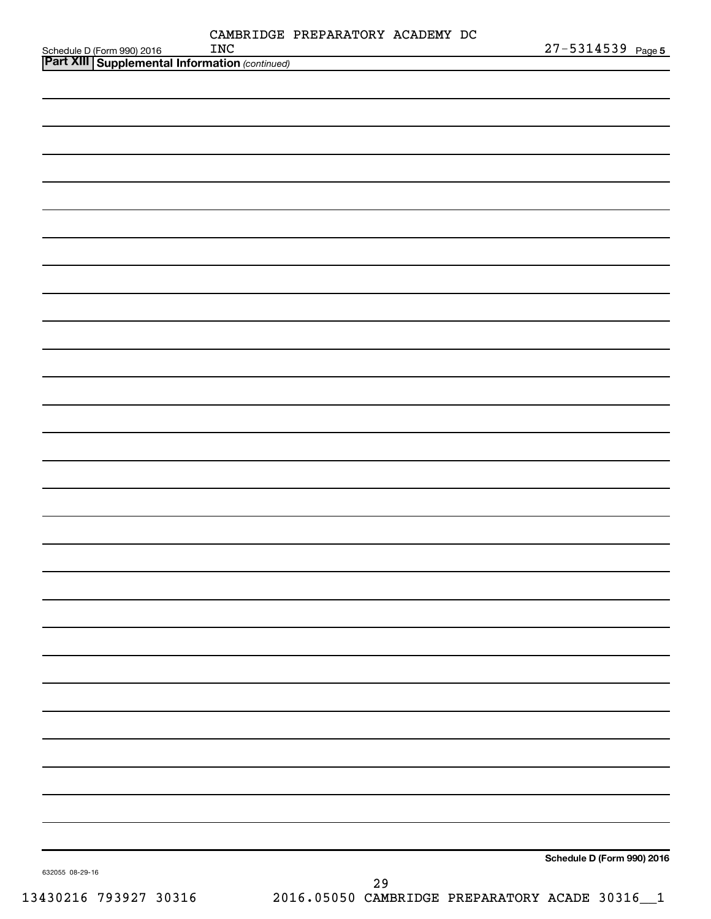$\overline{\phantom{0}}$ 

 $\overline{\phantom{a}}$ 

 $\overline{\phantom{0}}$ 

 $\overline{\phantom{0}}$ 

|                 | <b>INC</b> | CAMBRIDGE PREPARATORY ACADEMY DC |  | 27-5314539 Page          |  |
|-----------------|------------|----------------------------------|--|--------------------------|--|
|                 |            |                                  |  |                          |  |
|                 |            |                                  |  |                          |  |
|                 |            |                                  |  |                          |  |
|                 |            |                                  |  |                          |  |
|                 |            |                                  |  |                          |  |
|                 |            |                                  |  |                          |  |
|                 |            |                                  |  |                          |  |
|                 |            |                                  |  |                          |  |
|                 |            |                                  |  |                          |  |
|                 |            |                                  |  |                          |  |
|                 |            |                                  |  |                          |  |
|                 |            |                                  |  |                          |  |
|                 |            |                                  |  |                          |  |
|                 |            |                                  |  |                          |  |
|                 |            |                                  |  |                          |  |
|                 |            |                                  |  |                          |  |
|                 |            |                                  |  |                          |  |
|                 |            |                                  |  |                          |  |
|                 |            |                                  |  |                          |  |
|                 |            |                                  |  |                          |  |
|                 |            |                                  |  |                          |  |
|                 |            |                                  |  |                          |  |
|                 |            |                                  |  |                          |  |
|                 |            |                                  |  |                          |  |
|                 |            |                                  |  |                          |  |
|                 |            |                                  |  |                          |  |
|                 |            |                                  |  |                          |  |
|                 |            |                                  |  |                          |  |
|                 |            |                                  |  |                          |  |
| 632055 08-29-16 |            |                                  |  | Schedule D (Form 990) 20 |  |

**orm 990) 2016** 

632

 $\overline{\phantom{0}}$ 

 $\overline{\phantom{0}}$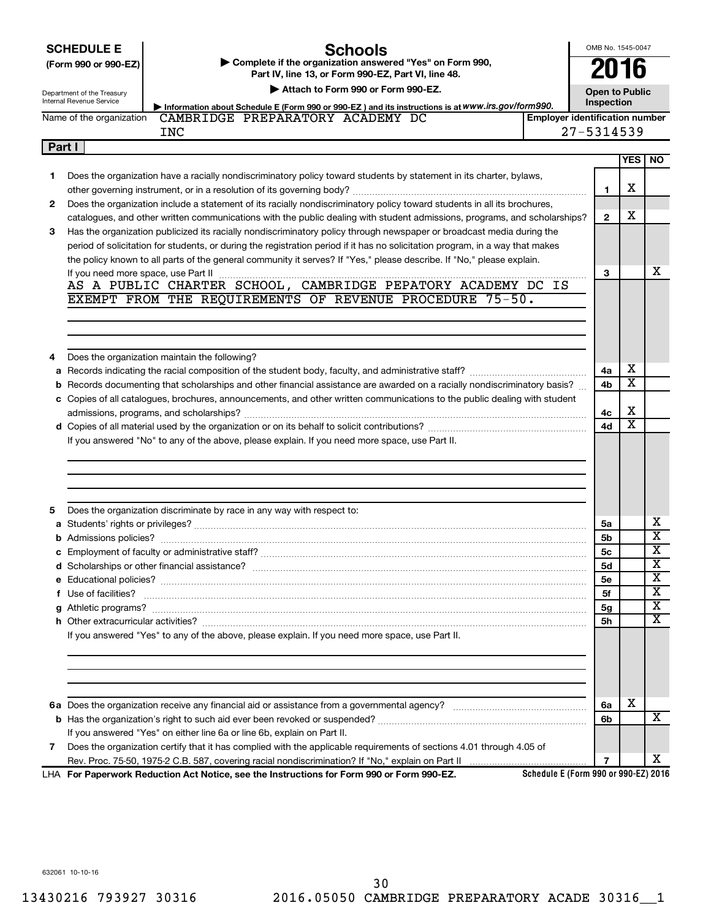|        | <b>SCHEDULE E</b><br>Schools<br>Complete if the organization answered "Yes" on Form 990,<br>(Form 990 or 990-EZ) |                                                                                                                                                                                                                                    |                                       | OMB No. 1545-0047<br>2016           |                         |                         |
|--------|------------------------------------------------------------------------------------------------------------------|------------------------------------------------------------------------------------------------------------------------------------------------------------------------------------------------------------------------------------|---------------------------------------|-------------------------------------|-------------------------|-------------------------|
|        |                                                                                                                  | Part IV, line 13, or Form 990-EZ, Part VI, line 48.                                                                                                                                                                                |                                       |                                     |                         |                         |
|        | Department of the Treasury<br>Internal Revenue Service                                                           | Attach to Form 990 or Form 990-EZ.                                                                                                                                                                                                 |                                       | <b>Open to Public</b><br>Inspection |                         |                         |
|        | Name of the organization                                                                                         | Information about Schedule E (Form 990 or 990-EZ) and its instructions is at WWW.irs.gov/form990.<br>CAMBRIDGE PREPARATORY ACADEMY DC                                                                                              | <b>Employer identification number</b> |                                     |                         |                         |
|        |                                                                                                                  | <b>INC</b>                                                                                                                                                                                                                         |                                       | 27-5314539                          |                         |                         |
| Part I |                                                                                                                  |                                                                                                                                                                                                                                    |                                       |                                     |                         |                         |
|        |                                                                                                                  |                                                                                                                                                                                                                                    |                                       |                                     | <b>YES</b>              | <b>NO</b>               |
| 1      |                                                                                                                  | Does the organization have a racially nondiscriminatory policy toward students by statement in its charter, bylaws,                                                                                                                |                                       |                                     |                         |                         |
|        |                                                                                                                  |                                                                                                                                                                                                                                    |                                       | 1                                   | х                       |                         |
| 2      |                                                                                                                  | Does the organization include a statement of its racially nondiscriminatory policy toward students in all its brochures,                                                                                                           |                                       |                                     |                         |                         |
|        |                                                                                                                  | catalogues, and other written communications with the public dealing with student admissions, programs, and scholarships?                                                                                                          |                                       | $\mathbf{2}$                        | x                       |                         |
| 3      |                                                                                                                  | Has the organization publicized its racially nondiscriminatory policy through newspaper or broadcast media during the                                                                                                              |                                       |                                     |                         |                         |
|        |                                                                                                                  | period of solicitation for students, or during the registration period if it has no solicitation program, in a way that makes                                                                                                      |                                       |                                     |                         |                         |
|        |                                                                                                                  | the policy known to all parts of the general community it serves? If "Yes," please describe. If "No," please explain.                                                                                                              |                                       |                                     |                         | х                       |
|        | If you need more space, use Part II                                                                              | AS A PUBLIC CHARTER SCHOOL, CAMBRIDGE PEPATORY ACADEMY DC IS                                                                                                                                                                       |                                       | 3                                   |                         |                         |
|        |                                                                                                                  | EXEMPT FROM THE REQUIREMENTS OF REVENUE PROCEDURE 75-50.                                                                                                                                                                           |                                       |                                     |                         |                         |
|        |                                                                                                                  |                                                                                                                                                                                                                                    |                                       |                                     |                         |                         |
|        |                                                                                                                  |                                                                                                                                                                                                                                    |                                       |                                     |                         |                         |
|        |                                                                                                                  |                                                                                                                                                                                                                                    |                                       |                                     |                         |                         |
| 4      |                                                                                                                  | Does the organization maintain the following?                                                                                                                                                                                      |                                       |                                     |                         |                         |
| a      |                                                                                                                  |                                                                                                                                                                                                                                    |                                       | 4a                                  | х                       |                         |
| b      |                                                                                                                  | Records documenting that scholarships and other financial assistance are awarded on a racially nondiscriminatory basis?                                                                                                            |                                       | 4b                                  | $\overline{\textbf{x}}$ |                         |
|        |                                                                                                                  | c Copies of all catalogues, brochures, announcements, and other written communications to the public dealing with student                                                                                                          |                                       |                                     |                         |                         |
|        |                                                                                                                  |                                                                                                                                                                                                                                    |                                       | 4с                                  | х                       |                         |
|        |                                                                                                                  |                                                                                                                                                                                                                                    |                                       | 4d                                  | $\overline{\textbf{x}}$ |                         |
|        |                                                                                                                  | If you answered "No" to any of the above, please explain. If you need more space, use Part II.                                                                                                                                     |                                       |                                     |                         |                         |
|        |                                                                                                                  |                                                                                                                                                                                                                                    |                                       |                                     |                         |                         |
|        |                                                                                                                  |                                                                                                                                                                                                                                    |                                       |                                     |                         |                         |
|        |                                                                                                                  |                                                                                                                                                                                                                                    |                                       |                                     |                         |                         |
| 5      |                                                                                                                  | Does the organization discriminate by race in any way with respect to:                                                                                                                                                             |                                       |                                     |                         |                         |
|        |                                                                                                                  |                                                                                                                                                                                                                                    |                                       | 5a                                  |                         | х                       |
|        |                                                                                                                  |                                                                                                                                                                                                                                    |                                       | 5b                                  |                         | $\overline{\textbf{x}}$ |
|        |                                                                                                                  |                                                                                                                                                                                                                                    |                                       | 5 <sub>c</sub>                      |                         | $\overline{\textbf{X}}$ |
|        |                                                                                                                  |                                                                                                                                                                                                                                    |                                       | 5d                                  |                         | $\overline{\textbf{x}}$ |
|        |                                                                                                                  |                                                                                                                                                                                                                                    |                                       | <b>5e</b>                           |                         | X                       |
|        |                                                                                                                  | f Use of facilities? <b>www.communities.</b> We can be a series of the contract of the contract of the contract of the contract of the contract of the contract of the contract of the contract of the contract of the contract of |                                       | 5f                                  |                         | х                       |
|        |                                                                                                                  |                                                                                                                                                                                                                                    |                                       | 5 <sub>g</sub>                      |                         | X                       |
|        |                                                                                                                  |                                                                                                                                                                                                                                    |                                       | 5h                                  |                         | X                       |
|        |                                                                                                                  | If you answered "Yes" to any of the above, please explain. If you need more space, use Part II.                                                                                                                                    |                                       |                                     |                         |                         |
|        |                                                                                                                  |                                                                                                                                                                                                                                    |                                       |                                     |                         |                         |
|        |                                                                                                                  |                                                                                                                                                                                                                                    |                                       |                                     |                         |                         |
|        |                                                                                                                  |                                                                                                                                                                                                                                    |                                       |                                     |                         |                         |
|        |                                                                                                                  |                                                                                                                                                                                                                                    |                                       | 6a                                  | x                       |                         |
|        |                                                                                                                  |                                                                                                                                                                                                                                    |                                       | 6b                                  |                         | x                       |
|        |                                                                                                                  | If you answered "Yes" on either line 6a or line 6b, explain on Part II.                                                                                                                                                            |                                       |                                     |                         |                         |
| 7      |                                                                                                                  | Does the organization certify that it has complied with the applicable requirements of sections 4.01 through 4.05 of                                                                                                               |                                       |                                     |                         |                         |
|        |                                                                                                                  |                                                                                                                                                                                                                                    |                                       | 7                                   |                         | x                       |
|        |                                                                                                                  | LHA For Paperwork Reduction Act Notice, see the Instructions for Form 990 or Form 990-EZ.                                                                                                                                          | Schedule E (Form 990 or 990-EZ) 2016  |                                     |                         |                         |

632061 10-10-16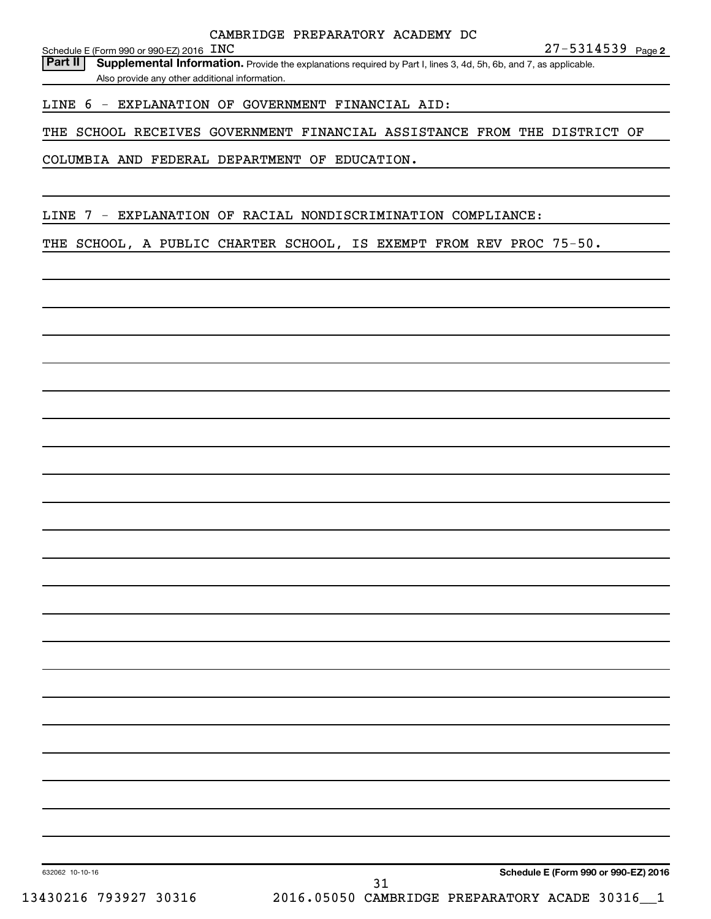Schedule E (Form 990 or 990-EZ) 2016 INC

Part II | Supplemental Information. Provide the explanations required by Part I, lines 3, 4d, 5h, 6b, and 7, as applicable. Also provide any other additional information.

LINE 6 - EXPLANATION OF GOVERNMENT FINANCIAL AID:

THE SCHOOL RECEIVES GOVERNMENT FINANCIAL ASSISTANCE FROM THE DISTRICT OF

COLUMBIA AND FEDERAL DEPARTMENT OF EDUCATION.

LINE 7 - EXPLANATION OF RACIAL NONDISCRIMINATION COMPLIANCE:

THE SCHOOL, A PUBLIC CHARTER SCHOOL, IS EXEMPT FROM REV PROC 75-50.

**Schedule E (Form 990 or 990-EZ) 2016**

632062 10-10-16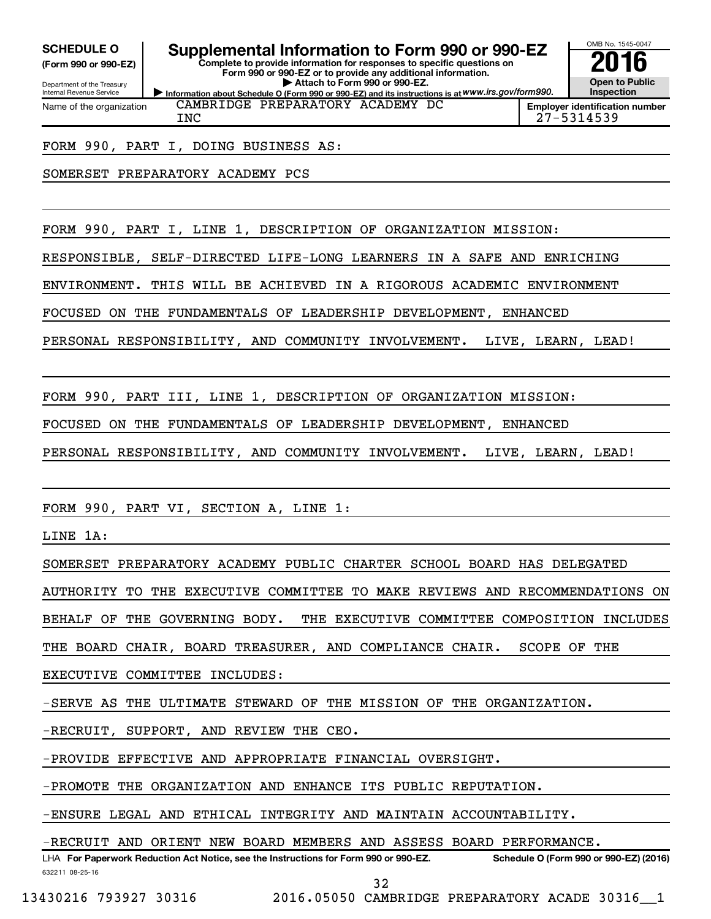**(Form 990 or 990-EZ)**

Department of the Treasury Internal Revenue Service Name of the organization

**Information about Schedule O (Form 990 or 990-EZ) and its instructions is at WWW.irs.gov/form990. Complete to provide information for responses to specific questions on Form 990 or 990-EZ or to provide any additional information. | Attach to Form 990 or 990-EZ. SCHEDULE O Supplemental Information to Form 990 or 990-EZ 2016**



**Employer identification number** INC 27-5314539

FORM 990, PART I, DOING BUSINESS AS:

SOMERSET PREPARATORY ACADEMY PCS

FORM 990, PART I, LINE 1, DESCRIPTION OF ORGANIZATION MISSION:

CAMBRIDGE PREPARATORY ACADEMY DC

RESPONSIBLE, SELF-DIRECTED LIFE-LONG LEARNERS IN A SAFE AND ENRICHING

ENVIRONMENT. THIS WILL BE ACHIEVED IN A RIGOROUS ACADEMIC ENVIRONMENT

FOCUSED ON THE FUNDAMENTALS OF LEADERSHIP DEVELOPMENT, ENHANCED

PERSONAL RESPONSIBILITY, AND COMMUNITY INVOLVEMENT. LIVE, LEARN, LEAD!

FORM 990, PART III, LINE 1, DESCRIPTION OF ORGANIZATION MISSION:

FOCUSED ON THE FUNDAMENTALS OF LEADERSHIP DEVELOPMENT, ENHANCED

PERSONAL RESPONSIBILITY, AND COMMUNITY INVOLVEMENT. LIVE, LEARN, LEAD!

FORM 990, PART VI, SECTION A, LINE 1:

LINE 1A:

SOMERSET PREPARATORY ACADEMY PUBLIC CHARTER SCHOOL BOARD HAS DELEGATED

AUTHORITY TO THE EXECUTIVE COMMITTEE TO MAKE REVIEWS AND RECOMMENDATIONS ON

BEHALF OF THE GOVERNING BODY. THE EXECUTIVE COMMITTEE COMPOSITION INCLUDES

THE BOARD CHAIR, BOARD TREASURER, AND COMPLIANCE CHAIR. SCOPE OF THE

EXECUTIVE COMMITTEE INCLUDES:

-SERVE AS THE ULTIMATE STEWARD OF THE MISSION OF THE ORGANIZATION.

-RECRUIT, SUPPORT, AND REVIEW THE CEO.

-PROVIDE EFFECTIVE AND APPROPRIATE FINANCIAL OVERSIGHT.

-PROMOTE THE ORGANIZATION AND ENHANCE ITS PUBLIC REPUTATION.

-ENSURE LEGAL AND ETHICAL INTEGRITY AND MAINTAIN ACCOUNTABILITY.

-RECRUIT AND ORIENT NEW BOARD MEMBERS AND ASSESS BOARD PERFORMANCE.

632211 08-25-16 LHA For Paperwork Reduction Act Notice, see the Instructions for Form 990 or 990-EZ. Schedule O (Form 990 or 990-EZ) (2016)

32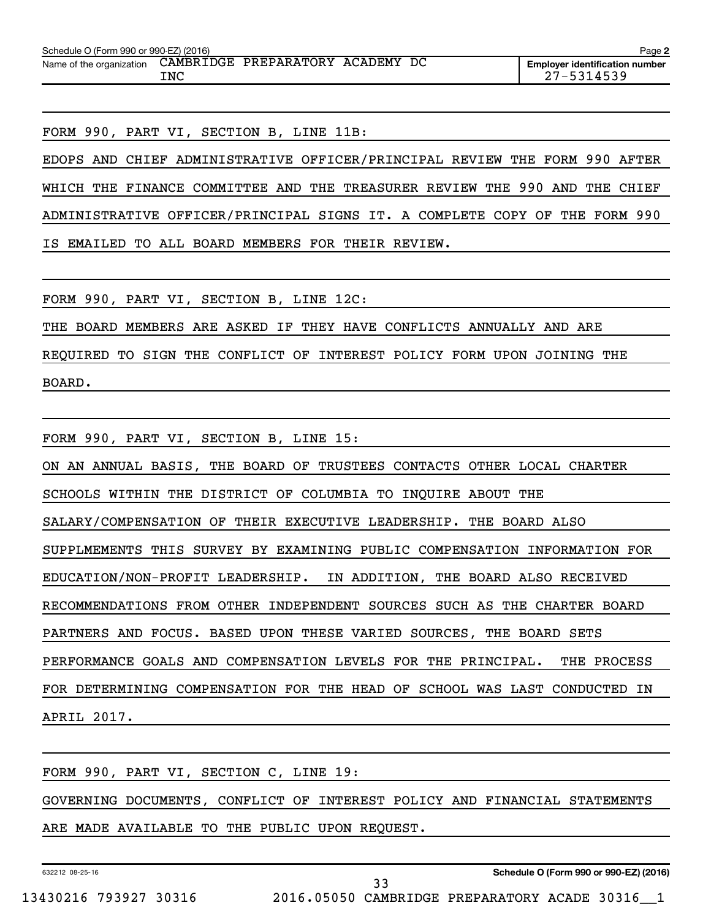FORM 990, PART VI, SECTION B, LINE 11B:

EDOPS AND CHIEF ADMINISTRATIVE OFFICER/PRINCIPAL REVIEW THE FORM 990 AFTER WHICH THE FINANCE COMMITTEE AND THE TREASURER REVIEW THE 990 AND THE CHIEF ADMINISTRATIVE OFFICER/PRINCIPAL SIGNS IT. A COMPLETE COPY OF THE FORM 990 IS EMAILED TO ALL BOARD MEMBERS FOR THEIR REVIEW.

FORM 990, PART VI, SECTION B, LINE 12C:

THE BOARD MEMBERS ARE ASKED IF THEY HAVE CONFLICTS ANNUALLY AND ARE

REQUIRED TO SIGN THE CONFLICT OF INTEREST POLICY FORM UPON JOINING THE

BOARD.

FORM 990, PART VI, SECTION B, LINE 15: ON AN ANNUAL BASIS, THE BOARD OF TRUSTEES CONTACTS OTHER LOCAL CHARTER SCHOOLS WITHIN THE DISTRICT OF COLUMBIA TO INQUIRE ABOUT THE SALARY/COMPENSATION OF THEIR EXECUTIVE LEADERSHIP. THE BOARD ALSO SUPPLMEMENTS THIS SURVEY BY EXAMINING PUBLIC COMPENSATION INFORMATION FOR EDUCATION/NON-PROFIT LEADERSHIP. IN ADDITION, THE BOARD ALSO RECEIVED RECOMMENDATIONS FROM OTHER INDEPENDENT SOURCES SUCH AS THE CHARTER BOARD PARTNERS AND FOCUS. BASED UPON THESE VARIED SOURCES, THE BOARD SETS PERFORMANCE GOALS AND COMPENSATION LEVELS FOR THE PRINCIPAL. THE PROCESS FOR DETERMINING COMPENSATION FOR THE HEAD OF SCHOOL WAS LAST CONDUCTED IN APRIL 2017.

FORM 990, PART VI, SECTION C, LINE 19: GOVERNING DOCUMENTS, CONFLICT OF INTEREST POLICY AND FINANCIAL STATEMENTS ARE MADE AVAILABLE TO THE PUBLIC UPON REQUEST.

632212 08-25-16